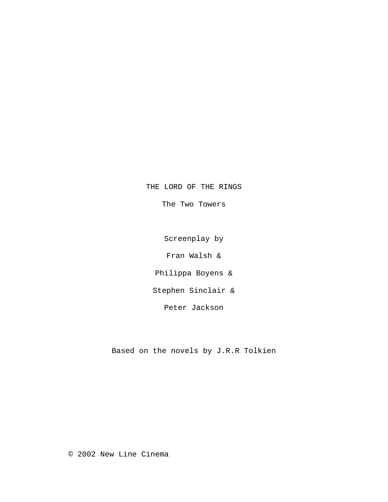THE LORD OF THE RINGS

The Two Towers

Screenplay by

Fran Walsh &

Philippa Boyens &

Stephen Sinclair &

Peter Jackson

Based on the novels by J.R.R Tolkien

© 2002 New Line Cinema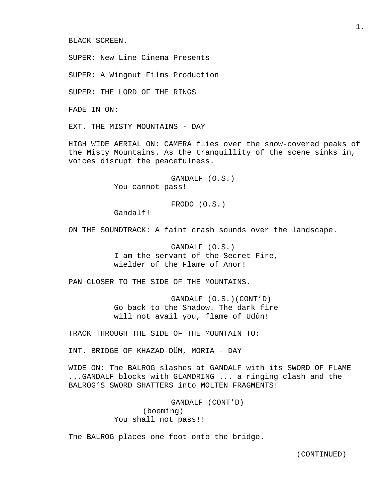BLACK SCREEN.

SUPER: New Line Cinema Presents

SUPER: A Wingnut Films Production

SUPER: THE LORD OF THE RINGS

FADE IN ON:

EXT. THE MISTY MOUNTAINS - DAY

HIGH WIDE AERIAL ON: CAMERA flies over the snow-covered peaks of the Misty Mountains. As the tranquillity of the scene sinks in, voices disrupt the peacefulness.

> GANDALF (O.S.) You cannot pass!

> > FRODO (O.S.)

Gandalf!

ON THE SOUNDTRACK: A faint crash sounds over the landscape.

 GANDALF (O.S.) I am the servant of the Secret Fire, wielder of the Flame of Anor!

PAN CLOSER TO THE SIDE OF THE MOUNTAINS.

 GANDALF (O.S.)(CONT'D) Go back to the Shadow. The dark fire will not avail you, flame of Udûn!

TRACK THROUGH THE SIDE OF THE MOUNTAIN TO:

INT. BRIDGE OF KHAZAD-DÛM, MORIA - DAY

WIDE ON: The BALROG slashes at GANDALF with its SWORD OF FLAME ...GANDALF blocks with GLAMDRING ... a ringing clash and the BALROG'S SWORD SHATTERS into MOLTEN FRAGMENTS!

> GANDALF (CONT'D) (booming) You shall not pass!!

The BALROG places one foot onto the bridge.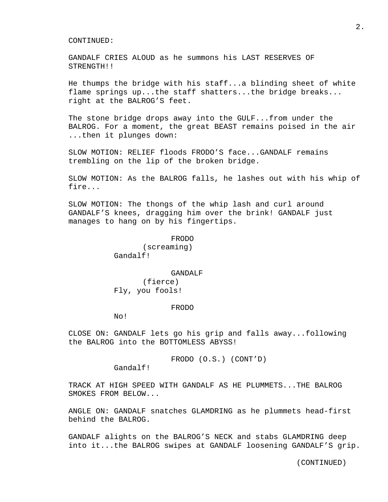GANDALF CRIES ALOUD as he summons his LAST RESERVES OF STRENGTH!!

He thumps the bridge with his staff...a blinding sheet of white flame springs up...the staff shatters...the bridge breaks... right at the BALROG'S feet.

The stone bridge drops away into the GULF...from under the BALROG. For a moment, the great BEAST remains poised in the air ...then it plunges down:

SLOW MOTION: RELIEF floods FRODO'S face...GANDALF remains trembling on the lip of the broken bridge.

SLOW MOTION: As the BALROG falls, he lashes out with his whip of fire...

SLOW MOTION: The thongs of the whip lash and curl around GANDALF'S knees, dragging him over the brink! GANDALF just manages to hang on by his fingertips.

#### FRODO

 (screaming) Gandalf!

#### GANDALF

 (fierce) Fly, you fools!

#### FRODO

No!

CLOSE ON: GANDALF lets go his grip and falls away...following the BALROG into the BOTTOMLESS ABYSS!

FRODO (O.S.) (CONT'D)

Gandalf!

TRACK AT HIGH SPEED WITH GANDALF AS HE PLUMMETS...THE BALROG SMOKES FROM BELOW...

ANGLE ON: GANDALF snatches GLAMDRING as he plummets head-first behind the BALROG.

GANDALF alights on the BALROG'S NECK and stabs GLAMDRING deep into it...the BALROG swipes at GANDALF loosening GANDALF'S grip.

2.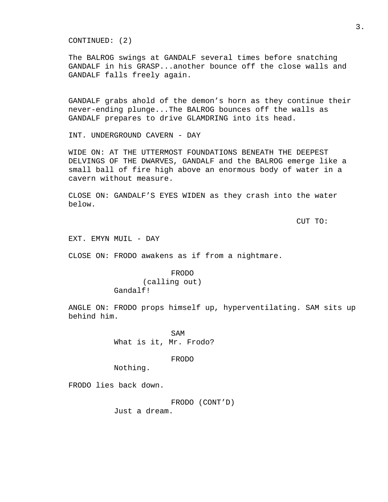CONTINUED: (2)

The BALROG swings at GANDALF several times before snatching GANDALF in his GRASP...another bounce off the close walls and GANDALF falls freely again.

GANDALF grabs ahold of the demon's horn as they continue their never-ending plunge...The BALROG bounces off the walls as GANDALF prepares to drive GLAMDRING into its head.

INT. UNDERGROUND CAVERN - DAY

WIDE ON: AT THE UTTERMOST FOUNDATIONS BENEATH THE DEEPEST DELVINGS OF THE DWARVES, GANDALF and the BALROG emerge like a small ball of fire high above an enormous body of water in a cavern without measure.

CLOSE ON: GANDALF'S EYES WIDEN as they crash into the water below.

CUT TO:

EXT. EMYN MUIL - DAY

CLOSE ON: FRODO awakens as if from a nightmare.

## FRODO (calling out) Gandalf!

ANGLE ON: FRODO props himself up, hyperventilating. SAM sits up behind him.

SAM What is it, Mr. Frodo?

FRODO

Nothing.

FRODO lies back down.

FRODO (CONT'D)

Just a dream.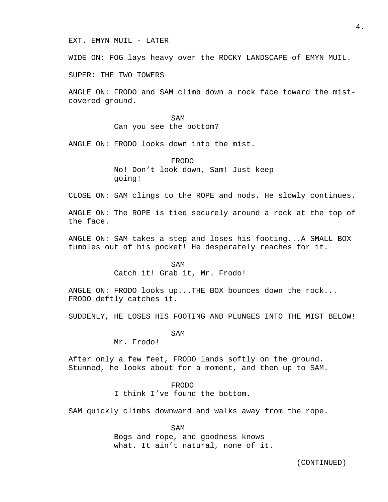EXT. EMYN MUIL - LATER

WIDE ON: FOG lays heavy over the ROCKY LANDSCAPE of EMYN MUIL.

SUPER: THE TWO TOWERS

ANGLE ON: FRODO and SAM climb down a rock face toward the mistcovered ground.

SAM Can you see the bottom?

ANGLE ON: FRODO looks down into the mist.

 FRODO No! Don't look down, Sam! Just keep going!

CLOSE ON: SAM clings to the ROPE and nods. He slowly continues.

ANGLE ON: The ROPE is tied securely around a rock at the top of the face.

ANGLE ON: SAM takes a step and loses his footing...A SMALL BOX tumbles out of his pocket! He desperately reaches for it.

SAM Catch it! Grab it, Mr. Frodo!

ANGLE ON: FRODO looks up...THE BOX bounces down the rock... FRODO deftly catches it.

SUDDENLY, HE LOSES HIS FOOTING AND PLUNGES INTO THE MIST BELOW!

SAM

Mr. Frodo!

After only a few feet, FRODO lands softly on the ground. Stunned, he looks about for a moment, and then up to SAM.

> FRODO I think I've found the bottom.

SAM quickly climbs downward and walks away from the rope.

SAM Bogs and rope, and goodness knows what. It ain't natural, none of it.

4.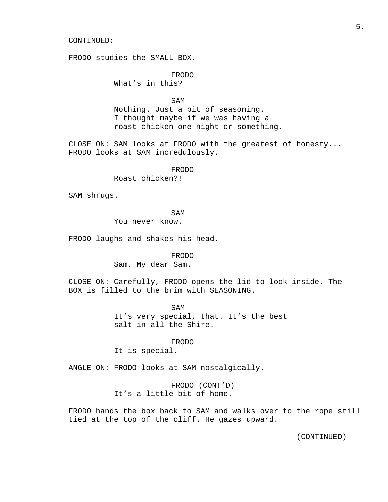FRODO studies the SMALL BOX.

 FRODO What's in this?

SAM

 Nothing. Just a bit of seasoning. I thought maybe if we was having a roast chicken one night or something.

CLOSE ON: SAM looks at FRODO with the greatest of honesty... FRODO looks at SAM incredulously.

FRODO

Roast chicken?!

SAM shrugs.

SAM

You never know.

FRODO laughs and shakes his head.

FRODO

Sam. My dear Sam.

CLOSE ON: Carefully, FRODO opens the lid to look inside. The BOX is filled to the brim with SEASONING.

> SAM It's very special, that. It's the best salt in all the Shire.

> > FRODO

It is special.

ANGLE ON: FRODO looks at SAM nostalgically.

 FRODO (CONT'D) It's a little bit of home.

FRODO hands the box back to SAM and walks over to the rope still tied at the top of the cliff. He gazes upward.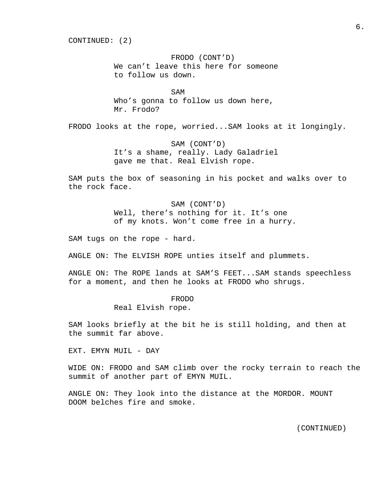CONTINUED: (2)

 FRODO (CONT'D) We can't leave this here for someone to follow us down.

SAM Who's gonna to follow us down here, Mr. Frodo?

FRODO looks at the rope, worried...SAM looks at it longingly.

 SAM (CONT'D) It's a shame, really. Lady Galadriel gave me that. Real Elvish rope.

SAM puts the box of seasoning in his pocket and walks over to the rock face.

> SAM (CONT'D) Well, there's nothing for it. It's one of my knots. Won't come free in a hurry.

SAM tugs on the rope - hard.

ANGLE ON: The ELVISH ROPE unties itself and plummets.

ANGLE ON: The ROPE lands at SAM'S FEET...SAM stands speechless for a moment, and then he looks at FRODO who shrugs.

> FRODO Real Elvish rope.

SAM looks briefly at the bit he is still holding, and then at the summit far above.

EXT. EMYN MUIL - DAY

WIDE ON: FRODO and SAM climb over the rocky terrain to reach the summit of another part of EMYN MUIL.

ANGLE ON: They look into the distance at the MORDOR. MOUNT DOOM belches fire and smoke.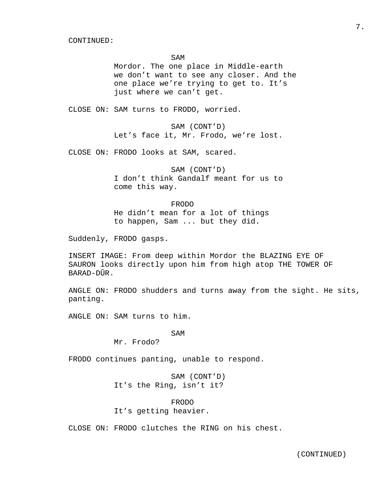SAM

 Mordor. The one place in Middle-earth we don't want to see any closer. And the one place we're trying to get to. It's just where we can't get.

CLOSE ON: SAM turns to FRODO, worried.

 SAM (CONT'D) Let's face it, Mr. Frodo, we're lost.

CLOSE ON: FRODO looks at SAM, scared.

 SAM (CONT'D) I don't think Gandalf meant for us to come this way.

#### FRODO

 He didn't mean for a lot of things to happen, Sam ... but they did.

Suddenly, FRODO gasps.

INSERT IMAGE: From deep within Mordor the BLAZING EYE OF SAURON looks directly upon him from high atop THE TOWER OF BARAD-DÛR.

ANGLE ON: FRODO shudders and turns away from the sight. He sits, panting.

ANGLE ON: SAM turns to him.

SAM

Mr. Frodo?

FRODO continues panting, unable to respond.

 SAM (CONT'D) It's the Ring, isn't it?

 FRODO It's getting heavier.

CLOSE ON: FRODO clutches the RING on his chest.

7.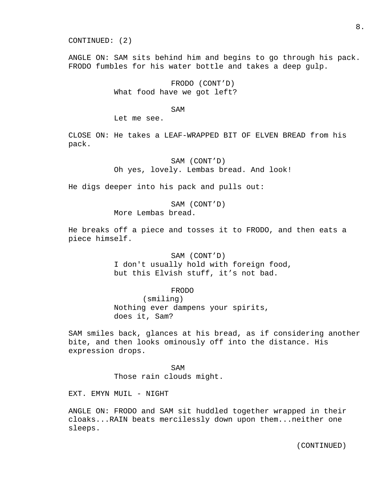CONTINUED: (2)

ANGLE ON: SAM sits behind him and begins to go through his pack. FRODO fumbles for his water bottle and takes a deep gulp.

> FRODO (CONT'D) What food have we got left?

SAM

Let me see.

CLOSE ON: He takes a LEAF-WRAPPED BIT OF ELVEN BREAD from his pack.

> SAM (CONT'D) Oh yes, lovely. Lembas bread. And look!

He digs deeper into his pack and pulls out:

 SAM (CONT'D) More Lembas bread.

He breaks off a piece and tosses it to FRODO, and then eats a piece himself.

> SAM (CONT'D) I don't usually hold with foreign food, but this Elvish stuff, it's not bad.

> > FRODO (smiling)

 Nothing ever dampens your spirits, does it, Sam?

SAM smiles back, glances at his bread, as if considering another bite, and then looks ominously off into the distance. His expression drops.

SAM Those rain clouds might.

EXT. EMYN MUIL - NIGHT

ANGLE ON: FRODO and SAM sit huddled together wrapped in their cloaks...RAIN beats mercilessly down upon them...neither one sleeps.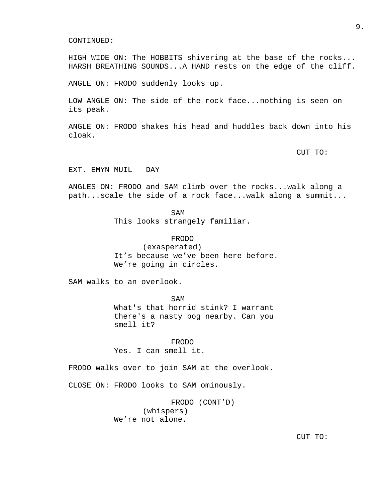HIGH WIDE ON: The HOBBITS shivering at the base of the rocks... HARSH BREATHING SOUNDS...A HAND rests on the edge of the cliff.

ANGLE ON: FRODO suddenly looks up.

LOW ANGLE ON: The side of the rock face...nothing is seen on its peak.

ANGLE ON: FRODO shakes his head and huddles back down into his cloak.

CUT TO:

EXT. EMYN MUIL - DAY

ANGLES ON: FRODO and SAM climb over the rocks...walk along a path...scale the side of a rock face...walk along a summit...

SAM This looks strangely familiar.

> FRODO (exasperated)

 It's because we've been here before. We're going in circles.

SAM walks to an overlook.

SAM What's that horrid stink? I warrant there's a nasty bog nearby. Can you smell it?

> FRODO Yes. I can smell it.

FRODO walks over to join SAM at the overlook.

CLOSE ON: FRODO looks to SAM ominously.

 FRODO (CONT'D) (whispers) We're not alone.

CUT TO: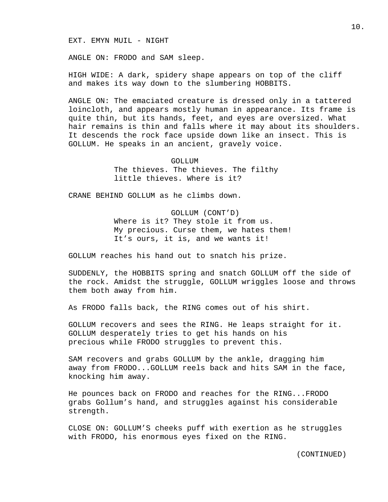EXT. EMYN MUIL - NIGHT

ANGLE ON: FRODO and SAM sleep.

HIGH WIDE: A dark, spidery shape appears on top of the cliff and makes its way down to the slumbering HOBBITS.

ANGLE ON: The emaciated creature is dressed only in a tattered loincloth, and appears mostly human in appearance. Its frame is quite thin, but its hands, feet, and eyes are oversized. What hair remains is thin and falls where it may about its shoulders. It descends the rock face upside down like an insect. This is GOLLUM. He speaks in an ancient, gravely voice.

> GOLLUM The thieves. The thieves. The filthy little thieves. Where is it?

CRANE BEHIND GOLLUM as he climbs down.

 GOLLUM (CONT'D) Where is it? They stole it from us. My precious. Curse them, we hates them! It's ours, it is, and we wants it!

GOLLUM reaches his hand out to snatch his prize.

SUDDENLY, the HOBBITS spring and snatch GOLLUM off the side of the rock. Amidst the struggle, GOLLUM wriggles loose and throws them both away from him.

As FRODO falls back, the RING comes out of his shirt.

GOLLUM recovers and sees the RING. He leaps straight for it. GOLLUM desperately tries to get his hands on his precious while FRODO struggles to prevent this.

SAM recovers and grabs GOLLUM by the ankle, dragging him away from FRODO...GOLLUM reels back and hits SAM in the face, knocking him away.

He pounces back on FRODO and reaches for the RING...FRODO grabs Gollum's hand, and struggles against his considerable strength.

CLOSE ON: GOLLUM'S cheeks puff with exertion as he struggles with FRODO, his enormous eyes fixed on the RING.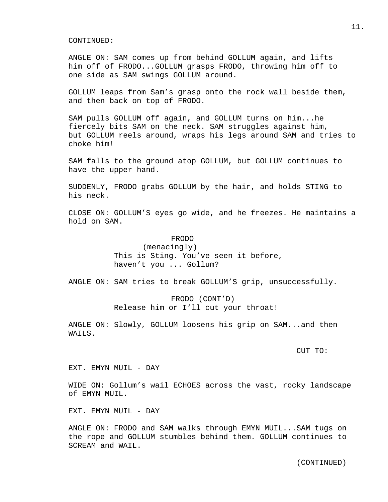ANGLE ON: SAM comes up from behind GOLLUM again, and lifts him off of FRODO...GOLLUM grasps FRODO, throwing him off to one side as SAM swings GOLLUM around.

GOLLUM leaps from Sam's grasp onto the rock wall beside them, and then back on top of FRODO.

SAM pulls GOLLUM off again, and GOLLUM turns on him...he fiercely bits SAM on the neck. SAM struggles against him, but GOLLUM reels around, wraps his legs around SAM and tries to choke him!

SAM falls to the ground atop GOLLUM, but GOLLUM continues to have the upper hand.

SUDDENLY, FRODO grabs GOLLUM by the hair, and holds STING to his neck.

CLOSE ON: GOLLUM'S eyes go wide, and he freezes. He maintains a hold on SAM.

#### FRODO

 (menacingly) This is Sting. You've seen it before, haven't you ... Gollum?

ANGLE ON: SAM tries to break GOLLUM'S grip, unsuccessfully.

 FRODO (CONT'D) Release him or I'll cut your throat!

ANGLE ON: Slowly, GOLLUM loosens his grip on SAM...and then WAILS.

CUT TO:

EXT. EMYN MUIL - DAY

WIDE ON: Gollum's wail ECHOES across the vast, rocky landscape of EMYN MUIL.

EXT. EMYN MUIL - DAY

ANGLE ON: FRODO and SAM walks through EMYN MUIL...SAM tugs on the rope and GOLLUM stumbles behind them. GOLLUM continues to SCREAM and WAIL.

11.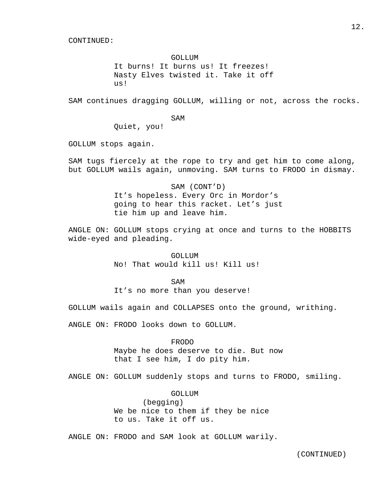### GOLLUM

 It burns! It burns us! It freezes! Nasty Elves twisted it. Take it off us!

SAM continues dragging GOLLUM, willing or not, across the rocks.

SAM

Quiet, you!

GOLLUM stops again.

SAM tugs fiercely at the rope to try and get him to come along, but GOLLUM wails again, unmoving. SAM turns to FRODO in dismay.

> SAM (CONT'D) It's hopeless. Every Orc in Mordor's going to hear this racket. Let's just tie him up and leave him.

ANGLE ON: GOLLUM stops crying at once and turns to the HOBBITS wide-eyed and pleading.

> GOLL LIM No! That would kill us! Kill us!

SAM

It's no more than you deserve!

GOLLUM wails again and COLLAPSES onto the ground, writhing.

ANGLE ON: FRODO looks down to GOLLUM.

## FRODO

 Maybe he does deserve to die. But now that I see him, I do pity him.

ANGLE ON: GOLLUM suddenly stops and turns to FRODO, smiling.

### GOLLUM

 (begging) We be nice to them if they be nice to us. Take it off us.

ANGLE ON: FRODO and SAM look at GOLLUM warily.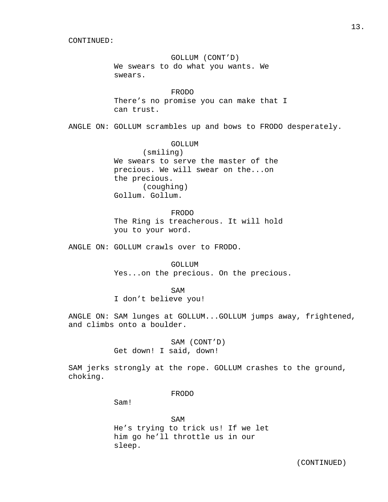GOLLUM (CONT'D) We swears to do what you wants. We swears.

 FRODO There's no promise you can make that I can trust.

ANGLE ON: GOLLUM scrambles up and bows to FRODO desperately.

### GOLLUM

 (smiling) We swears to serve the master of the precious. We will swear on the...on the precious. (coughing) Gollum. Gollum.

 FRODO The Ring is treacherous. It will hold you to your word.

ANGLE ON: GOLLUM crawls over to FRODO.

 GOLLUM Yes...on the precious. On the precious.

SAM

I don't believe you!

ANGLE ON: SAM lunges at GOLLUM...GOLLUM jumps away, frightened, and climbs onto a boulder.

> SAM (CONT'D) Get down! I said, down!

SAM jerks strongly at the rope. GOLLUM crashes to the ground, choking.

### FRODO

Sam!

SAM He's trying to trick us! If we let him go he'll throttle us in our sleep.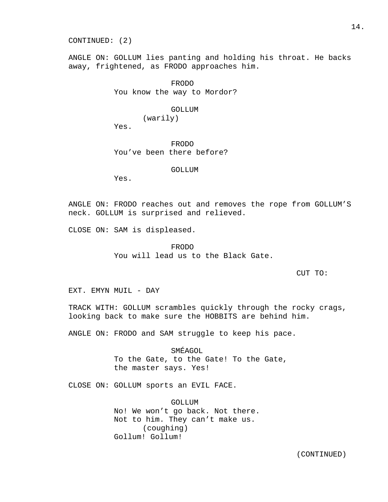CONTINUED: (2)

ANGLE ON: GOLLUM lies panting and holding his throat. He backs away, frightened, as FRODO approaches him.

> FRODO You know the way to Mordor?

## GOLLUM

(warily)

Yes.

 FRODO You've been there before?

GOLLUM

Yes.

ANGLE ON: FRODO reaches out and removes the rope from GOLLUM'S neck. GOLLUM is surprised and relieved.

CLOSE ON: SAM is displeased.

 FRODO You will lead us to the Black Gate.

CUT TO:

EXT. EMYN MUIL - DAY

TRACK WITH: GOLLUM scrambles quickly through the rocky crags, looking back to make sure the HOBBITS are behind him.

ANGLE ON: FRODO and SAM struggle to keep his pace.

 SMÉAGOL To the Gate, to the Gate! To the Gate, the master says. Yes!

CLOSE ON: GOLLUM sports an EVIL FACE.

 GOLLUM No! We won't go back. Not there. Not to him. They can't make us. (coughing) Gollum! Gollum!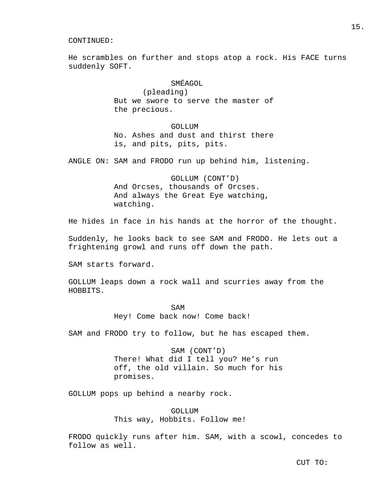He scrambles on further and stops atop a rock. His FACE turns suddenly SOFT.

# SMÉAGOL

 (pleading) But we swore to serve the master of the precious.

### GOLLUM

 No. Ashes and dust and thirst there is, and pits, pits, pits.

ANGLE ON: SAM and FRODO run up behind him, listening.

 GOLLUM (CONT'D) And Orcses, thousands of Orcses. And always the Great Eye watching, watching.

He hides in face in his hands at the horror of the thought.

Suddenly, he looks back to see SAM and FRODO. He lets out a frightening growl and runs off down the path.

SAM starts forward.

GOLLUM leaps down a rock wall and scurries away from the HOBBITS.

SAM Hey! Come back now! Come back!

SAM and FRODO try to follow, but he has escaped them.

 SAM (CONT'D) There! What did I tell you? He's run off, the old villain. So much for his promises.

GOLLUM pops up behind a nearby rock.

 GOLLUM This way, Hobbits. Follow me!

FRODO quickly runs after him. SAM, with a scowl, concedes to follow as well.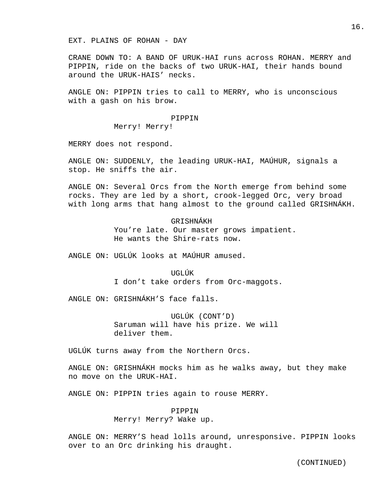EXT. PLAINS OF ROHAN - DAY

CRANE DOWN TO: A BAND OF URUK-HAI runs across ROHAN. MERRY and PIPPIN, ride on the backs of two URUK-HAI, their hands bound around the URUK-HAIS' necks.

ANGLE ON: PIPPIN tries to call to MERRY, who is unconscious with a gash on his brow.

#### PIPPIN

Merry! Merry!

MERRY does not respond.

ANGLE ON: SUDDENLY, the leading URUK-HAI, MAÚHUR, signals a stop. He sniffs the air.

ANGLE ON: Several Orcs from the North emerge from behind some rocks. They are led by a short, crook-legged Orc, very broad with long arms that hang almost to the ground called GRISHNÁKH.

## GRISHNÁKH

 You're late. Our master grows impatient. He wants the Shire-rats now.

ANGLE ON: UGLÚK looks at MAÚHUR amused.

 UGLÚK I don't take orders from Orc-maggots.

ANGLE ON: GRISHNÁKH'S face falls.

 UGLÚK (CONT'D) Saruman will have his prize. We will deliver them.

UGLÚK turns away from the Northern Orcs.

ANGLE ON: GRISHNÁKH mocks him as he walks away, but they make no move on the URUK-HAI.

ANGLE ON: PIPPIN tries again to rouse MERRY.

## PIPPIN Merry! Merry? Wake up.

ANGLE ON: MERRY'S head lolls around, unresponsive. PIPPIN looks over to an Orc drinking his draught.

16.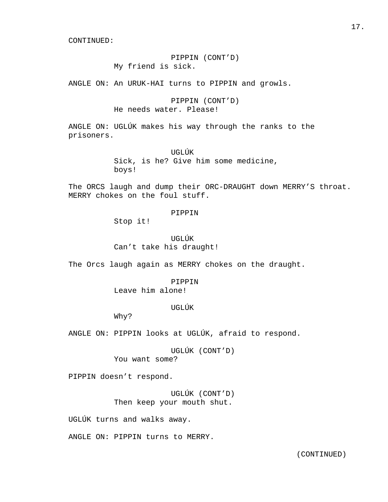## PIPPIN (CONT'D) My friend is sick.

ANGLE ON: An URUK-HAI turns to PIPPIN and growls.

 PIPPIN (CONT'D) He needs water. Please!

ANGLE ON: UGLÚK makes his way through the ranks to the prisoners.

> UGLÚK Sick, is he? Give him some medicine, boys!

The ORCS laugh and dump their ORC-DRAUGHT down MERRY'S throat. MERRY chokes on the foul stuff.

PIPPIN

Stop it!

 UGLÚK Can't take his draught!

The Orcs laugh again as MERRY chokes on the draught.

 PIPPIN Leave him alone!

## UGLÚK

Why?

ANGLE ON: PIPPIN looks at UGLÚK, afraid to respond.

 UGLÚK (CONT'D) You want some?

PIPPIN doesn't respond.

 UGLÚK (CONT'D) Then keep your mouth shut.

UGLÚK turns and walks away.

ANGLE ON: PIPPIN turns to MERRY.

17.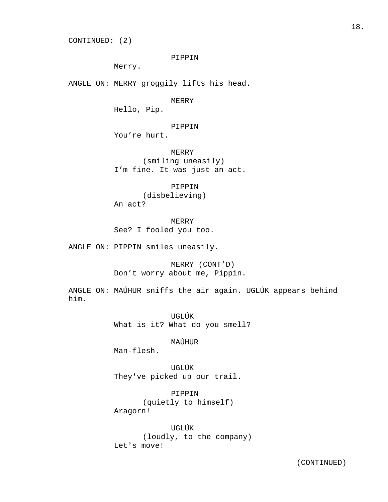CONTINUED: (2)

### PIPPIN

Merry.

ANGLE ON: MERRY groggily lifts his head.

MERRY

Hello, Pip.

PIPPIN

You're hurt.

 MERRY (smiling uneasily) I'm fine. It was just an act.

 PIPPIN (disbelieving) An act?

 MERRY See? I fooled you too.

ANGLE ON: PIPPIN smiles uneasily.

 MERRY (CONT'D) Don't worry about me, Pippin.

ANGLE ON: MAÚHUR sniffs the air again. UGLÚK appears behind him.

> UGLÚK What is it? What do you smell?

> > MAÚHUR

Man-flesh.

 UGLÚK They've picked up our trail.

 PIPPIN (quietly to himself) Aragorn!

 UGLÚK (loudly, to the company) Let's move!

18.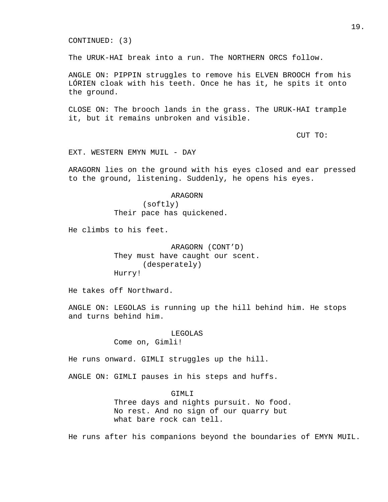The URUK-HAI break into a run. The NORTHERN ORCS follow.

ANGLE ON: PIPPIN struggles to remove his ELVEN BROOCH from his LÓRIEN cloak with his teeth. Once he has it, he spits it onto the ground.

CLOSE ON: The brooch lands in the grass. The URUK-HAI trample it, but it remains unbroken and visible.

CUT TO:

EXT. WESTERN EMYN MUIL - DAY

ARAGORN lies on the ground with his eyes closed and ear pressed to the ground, listening. Suddenly, he opens his eyes.

> ARAGORN (softly)

Their pace has quickened.

He climbs to his feet.

 ARAGORN (CONT'D) They must have caught our scent. (desperately) Hurry!

He takes off Northward.

ANGLE ON: LEGOLAS is running up the hill behind him. He stops and turns behind him.

> LEGOLAS Come on, Gimli!

He runs onward. GIMLI struggles up the hill.

ANGLE ON: GIMLI pauses in his steps and huffs.

GIMLI

 Three days and nights pursuit. No food. No rest. And no sign of our quarry but what bare rock can tell.

He runs after his companions beyond the boundaries of EMYN MUIL.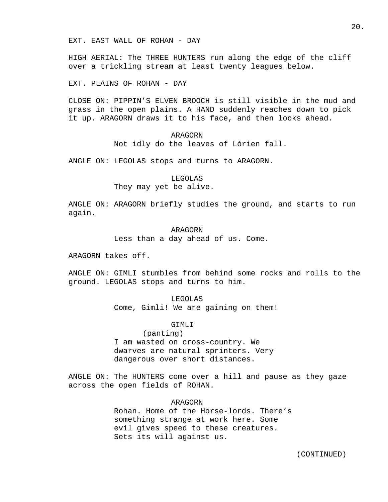HIGH AERIAL: The THREE HUNTERS run along the edge of the cliff over a trickling stream at least twenty leagues below.

EXT. PLAINS OF ROHAN - DAY

CLOSE ON: PIPPIN'S ELVEN BROOCH is still visible in the mud and grass in the open plains. A HAND suddenly reaches down to pick it up. ARAGORN draws it to his face, and then looks ahead.

## ARAGORN

Not idly do the leaves of Lórien fall.

ANGLE ON: LEGOLAS stops and turns to ARAGORN.

## LEGOLAS They may yet be alive.

ANGLE ON: ARAGORN briefly studies the ground, and starts to run again.

## ARAGORN

Less than a day ahead of us. Come.

ARAGORN takes off.

ANGLE ON: GIMLI stumbles from behind some rocks and rolls to the ground. LEGOLAS stops and turns to him.

#### LEGOLAS

Come, Gimli! We are gaining on them!

### GIMLI

### (panting)

 I am wasted on cross-country. We dwarves are natural sprinters. Very dangerous over short distances.

ANGLE ON: The HUNTERS come over a hill and pause as they gaze across the open fields of ROHAN.

### ARAGORN

 Rohan. Home of the Horse-lords. There's something strange at work here. Some evil gives speed to these creatures. Sets its will against us.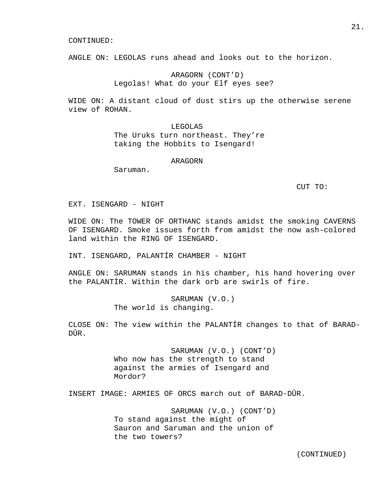ANGLE ON: LEGOLAS runs ahead and looks out to the horizon.

## ARAGORN (CONT'D) Legolas! What do your Elf eyes see?

WIDE ON: A distant cloud of dust stirs up the otherwise serene view of ROHAN.

> LEGOLAS The Uruks turn northeast. They're taking the Hobbits to Isengard!

#### ARAGORN

Saruman.

CUT TO:

EXT. ISENGARD - NIGHT

WIDE ON: The TOWER OF ORTHANC stands amidst the smoking CAVERNS OF ISENGARD. Smoke issues forth from amidst the now ash-colored land within the RING OF ISENGARD.

INT. ISENGARD, PALANTÍR CHAMBER - NIGHT

ANGLE ON: SARUMAN stands in his chamber, his hand hovering over the PALANTÍR. Within the dark orb are swirls of fire.

> SARUMAN (V.O.) The world is changing.

CLOSE ON: The view within the PALANTÍR changes to that of BARAD-DÛR.

> SARUMAN (V.O.) (CONT'D) Who now has the strength to stand against the armies of Isengard and Mordor?

INSERT IMAGE: ARMIES OF ORCS march out of BARAD-DÛR.

 SARUMAN (V.O.) (CONT'D) To stand against the might of Sauron and Saruman and the union of the two towers?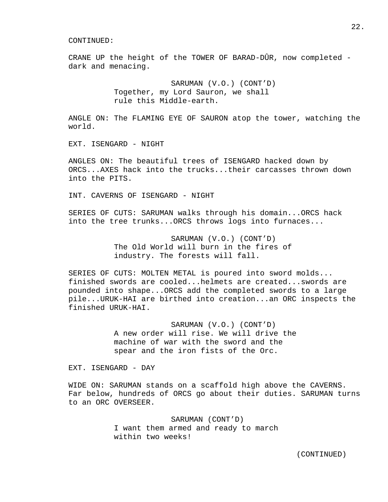CRANE UP the height of the TOWER OF BARAD-DÛR, now completed dark and menacing.

> SARUMAN (V.O.) (CONT'D) Together, my Lord Sauron, we shall rule this Middle-earth.

ANGLE ON: The FLAMING EYE OF SAURON atop the tower, watching the world.

EXT. ISENGARD - NIGHT

ANGLES ON: The beautiful trees of ISENGARD hacked down by ORCS...AXES hack into the trucks...their carcasses thrown down into the PITS.

INT. CAVERNS OF ISENGARD - NIGHT

SERIES OF CUTS: SARUMAN walks through his domain...ORCS hack into the tree trunks...ORCS throws logs into furnaces...

> SARUMAN (V.O.) (CONT'D) The Old World will burn in the fires of industry. The forests will fall.

SERIES OF CUTS: MOLTEN METAL is poured into sword molds... finished swords are cooled...helmets are created...swords are pounded into shape...ORCS add the completed swords to a large pile...URUK-HAI are birthed into creation...an ORC inspects the finished URUK-HAI.

> SARUMAN (V.O.) (CONT'D) A new order will rise. We will drive the machine of war with the sword and the spear and the iron fists of the Orc.

EXT. ISENGARD - DAY

WIDE ON: SARUMAN stands on a scaffold high above the CAVERNS. Far below, hundreds of ORCS go about their duties. SARUMAN turns to an ORC OVERSEER.

> SARUMAN (CONT'D) I want them armed and ready to march within two weeks!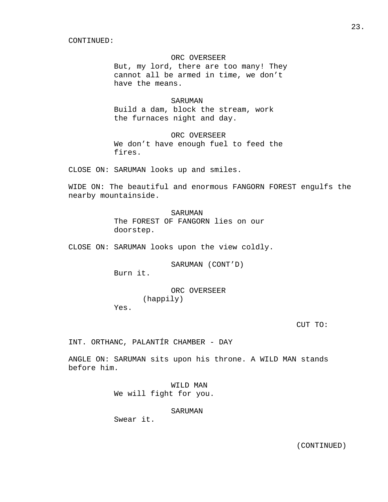### ORC OVERSEER

 But, my lord, there are too many! They cannot all be armed in time, we don't have the means.

### SARUMAN

 Build a dam, block the stream, work the furnaces night and day.

## ORC OVERSEER

 We don't have enough fuel to feed the fires.

CLOSE ON: SARUMAN looks up and smiles.

WIDE ON: The beautiful and enormous FANGORN FOREST engulfs the nearby mountainside.

> SARUMAN The FOREST OF FANGORN lies on our doorstep.

CLOSE ON: SARUMAN looks upon the view coldly.

SARUMAN (CONT'D)

Burn it.

 ORC OVERSEER (happily)

Yes.

CUT TO:

INT. ORTHANC, PALANTÍR CHAMBER - DAY

ANGLE ON: SARUMAN sits upon his throne. A WILD MAN stands before him.

> WILD MAN We will fight for you.

> > SARUMAN

Swear it.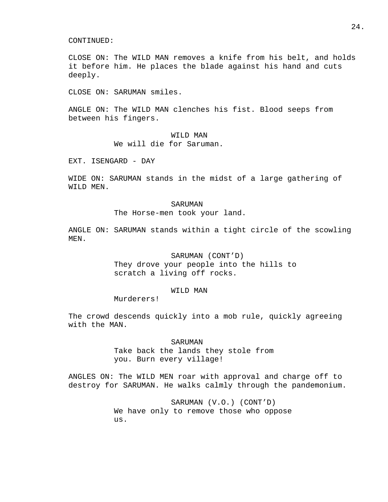CLOSE ON: The WILD MAN removes a knife from his belt, and holds it before him. He places the blade against his hand and cuts deeply.

CLOSE ON: SARUMAN smiles.

ANGLE ON: The WILD MAN clenches his fist. Blood seeps from between his fingers.

> WILD MAN We will die for Saruman.

EXT. ISENGARD - DAY

WIDE ON: SARUMAN stands in the midst of a large gathering of WILD MEN.

#### SARUMAN

The Horse-men took your land.

ANGLE ON: SARUMAN stands within a tight circle of the scowling MEN.

#### SARUMAN (CONT'D)

 They drove your people into the hills to scratch a living off rocks.

#### WILD MAN

Murderers!

The crowd descends quickly into a mob rule, quickly agreeing with the MAN.

> SARUMAN Take back the lands they stole from you. Burn every village!

ANGLES ON: The WILD MEN roar with approval and charge off to destroy for SARUMAN. He walks calmly through the pandemonium.

> SARUMAN (V.O.) (CONT'D) We have only to remove those who oppose us.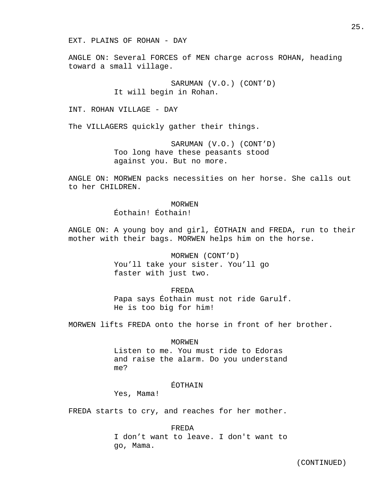EXT. PLAINS OF ROHAN - DAY

ANGLE ON: Several FORCES of MEN charge across ROHAN, heading toward a small village.

> SARUMAN (V.O.) (CONT'D) It will begin in Rohan.

INT. ROHAN VILLAGE - DAY

The VILLAGERS quickly gather their things.

 SARUMAN (V.O.) (CONT'D) Too long have these peasants stood against you. But no more.

ANGLE ON: MORWEN packs necessities on her horse. She calls out to her CHILDREN.

#### MORWEN

Éothain! Éothain!

ANGLE ON: A young boy and girl, ÉOTHAIN and FREDA, run to their mother with their bags. MORWEN helps him on the horse.

> MORWEN (CONT'D) You'll take your sister. You'll go faster with just two.

 FREDA Papa says Éothain must not ride Garulf. He is too big for him!

MORWEN lifts FREDA onto the horse in front of her brother.

### MORWEN

 Listen to me. You must ride to Edoras and raise the alarm. Do you understand me?

## **ÉOTHAIN**

Yes, Mama!

FREDA starts to cry, and reaches for her mother.

#### FREDA

 I don't want to leave. I don't want to go, Mama.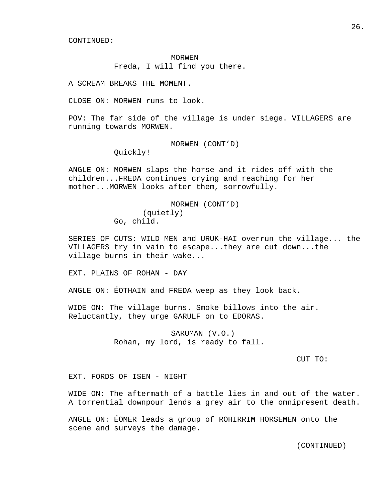### MORWEN

Freda, I will find you there.

A SCREAM BREAKS THE MOMENT.

CLOSE ON: MORWEN runs to look.

POV: The far side of the village is under siege. VILLAGERS are running towards MORWEN.

MORWEN (CONT'D)

Quickly!

ANGLE ON: MORWEN slaps the horse and it rides off with the children...FREDA continues crying and reaching for her mother...MORWEN looks after them, sorrowfully.

> MORWEN (CONT'D) (quietly) Go, child.

SERIES OF CUTS: WILD MEN and URUK-HAI overrun the village... the VILLAGERS try in vain to escape...they are cut down...the village burns in their wake...

EXT. PLAINS OF ROHAN - DAY

ANGLE ON: ÉOTHAIN and FREDA weep as they look back.

WIDE ON: The village burns. Smoke billows into the air. Reluctantly, they urge GARULF on to EDORAS.

> SARUMAN (V.O.) Rohan, my lord, is ready to fall.

> > CUT TO:

EXT. FORDS OF ISEN - NIGHT

WIDE ON: The aftermath of a battle lies in and out of the water. A torrential downpour lends a grey air to the omnipresent death.

ANGLE ON: ÉOMER leads a group of ROHIRRIM HORSEMEN onto the scene and surveys the damage.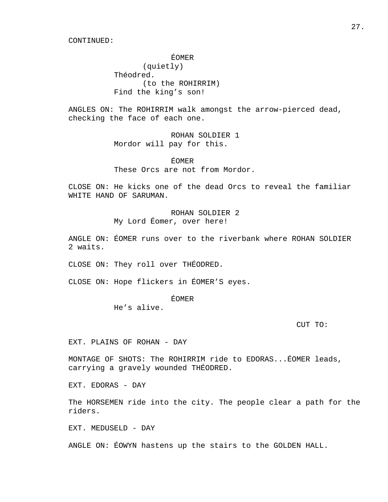ÉOMER

 (quietly) Théodred. (to the ROHIRRIM) Find the king's son!

ANGLES ON: The ROHIRRIM walk amongst the arrow-pierced dead, checking the face of each one.

> ROHAN SOLDIER 1 Mordor will pay for this.

 ÉOMER These Orcs are not from Mordor.

CLOSE ON: He kicks one of the dead Orcs to reveal the familiar WHITE HAND OF SARUMAN.

> ROHAN SOLDIER 2 My Lord Éomer, over here!

ANGLE ON: ÉOMER runs over to the riverbank where ROHAN SOLDIER 2 waits.

CLOSE ON: They roll over THÉODRED.

CLOSE ON: Hope flickers in ÉOMER'S eyes.

ÉOMER

He's alive.

CUT TO:

EXT. PLAINS OF ROHAN - DAY

MONTAGE OF SHOTS: The ROHIRRIM ride to EDORAS...ÉOMER leads, carrying a gravely wounded THÉODRED.

EXT. EDORAS - DAY

The HORSEMEN ride into the city. The people clear a path for the riders.

EXT. MEDUSELD - DAY

ANGLE ON: ÉOWYN hastens up the stairs to the GOLDEN HALL.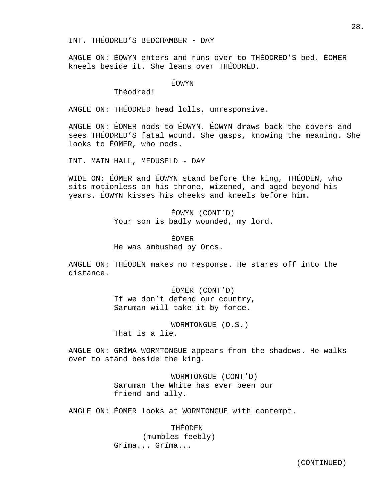INT. THÉODRED'S BEDCHAMBER - DAY

ANGLE ON: ÉOWYN enters and runs over to THÉODRED'S bed. ÉOMER kneels beside it. She leans over THÉODRED.

## ÉOWYN

Théodred!

ANGLE ON: THÉODRED head lolls, unresponsive.

ANGLE ON: ÉOMER nods to ÉOWYN. ÉOWYN draws back the covers and sees THÉODRED'S fatal wound. She gasps, knowing the meaning. She looks to ÉOMER, who nods.

INT. MAIN HALL, MEDUSELD - DAY

WIDE ON: ÉOMER and ÉOWYN stand before the king, THÉODEN, who sits motionless on his throne, wizened, and aged beyond his years. ÉOWYN kisses his cheeks and kneels before him.

> ÉOWYN (CONT'D) Your son is badly wounded, my lord.

 ÉOMER He was ambushed by Orcs.

ANGLE ON: THÉODEN makes no response. He stares off into the distance.

> ÉOMER (CONT'D) If we don't defend our country, Saruman will take it by force.

 WORMTONGUE (O.S.) That is a lie.

ANGLE ON: GRÍMA WORMTONGUE appears from the shadows. He walks over to stand beside the king.

> WORMTONGUE (CONT'D) Saruman the White has ever been our friend and ally.

ANGLE ON: ÉOMER looks at WORMTONGUE with contempt.

 THÉODEN (mumbles feebly) Gríma... Gríma...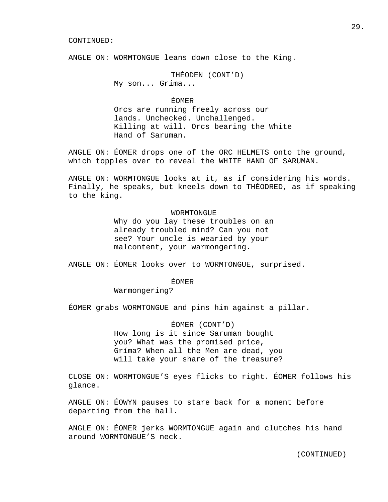ANGLE ON: WORMTONGUE leans down close to the King.

 THÉODEN (CONT'D) My son... Gríma...

ÉOMER

 Orcs are running freely across our lands. Unchecked. Unchallenged. Killing at will. Orcs bearing the White Hand of Saruman.

ANGLE ON: ÉOMER drops one of the ORC HELMETS onto the ground, which topples over to reveal the WHITE HAND OF SARUMAN.

ANGLE ON: WORMTONGUE looks at it, as if considering his words. Finally, he speaks, but kneels down to THÉODRED, as if speaking to the king.

#### WORMTONGUE

 Why do you lay these troubles on an already troubled mind? Can you not see? Your uncle is wearied by your malcontent, your warmongering.

ANGLE ON: ÉOMER looks over to WORMTONGUE, surprised.

ÉOMER

Warmongering?

ÉOMER grabs WORMTONGUE and pins him against a pillar.

### ÉOMER (CONT'D)

 How long is it since Saruman bought you? What was the promised price, Gríma? When all the Men are dead, you will take your share of the treasure?

CLOSE ON: WORMTONGUE'S eyes flicks to right. ÉOMER follows his glance.

ANGLE ON: ÉOWYN pauses to stare back for a moment before departing from the hall.

ANGLE ON: ÉOMER jerks WORMTONGUE again and clutches his hand around WORMTONGUE'S neck.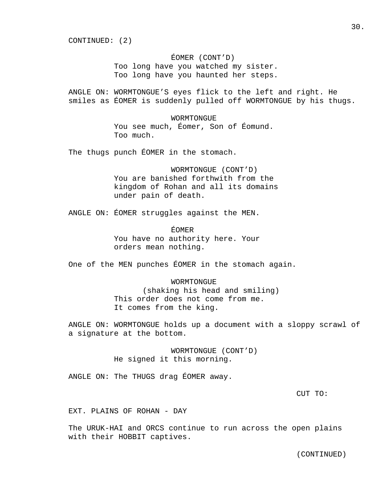CONTINUED: (2)

## ÉOMER (CONT'D)

 Too long have you watched my sister. Too long have you haunted her steps.

ANGLE ON: WORMTONGUE'S eyes flick to the left and right. He smiles as ÉOMER is suddenly pulled off WORMTONGUE by his thugs.

# WORMTONGUE You see much, Éomer, Son of Éomund. Too much.

The thugs punch ÉOMER in the stomach.

 WORMTONGUE (CONT'D) You are banished forthwith from the kingdom of Rohan and all its domains under pain of death.

ANGLE ON: ÉOMER struggles against the MEN.

 ÉOMER You have no authority here. Your orders mean nothing.

One of the MEN punches ÉOMER in the stomach again.

# WORMTONGUE (shaking his head and smiling) This order does not come from me. It comes from the king.

ANGLE ON: WORMTONGUE holds up a document with a sloppy scrawl of a signature at the bottom.

> WORMTONGUE (CONT'D) He signed it this morning.

ANGLE ON: The THUGS drag ÉOMER away.

CUT TO:

EXT. PLAINS OF ROHAN - DAY

The URUK-HAI and ORCS continue to run across the open plains with their HOBBIT captives.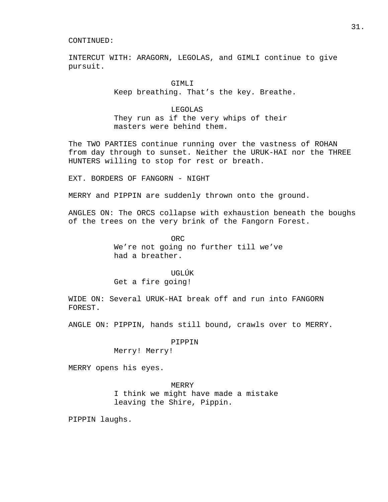INTERCUT WITH: ARAGORN, LEGOLAS, and GIMLI continue to give pursuit.

> GIMLI Keep breathing. That's the key. Breathe.

 LEGOLAS They run as if the very whips of their masters were behind them.

The TWO PARTIES continue running over the vastness of ROHAN from day through to sunset. Neither the URUK-HAI nor the THREE HUNTERS willing to stop for rest or breath.

EXT. BORDERS OF FANGORN - NIGHT

MERRY and PIPPIN are suddenly thrown onto the ground.

ANGLES ON: The ORCS collapse with exhaustion beneath the boughs of the trees on the very brink of the Fangorn Forest.

**ORC** ORC We're not going no further till we've had a breather.

> UGLÚK Get a fire going!

WIDE ON: Several URUK-HAI break off and run into FANGORN FOREST.

ANGLE ON: PIPPIN, hands still bound, crawls over to MERRY.

### PIPPIN

Merry! Merry!

MERRY opens his eyes.

### MERRY

 I think we might have made a mistake leaving the Shire, Pippin.

PIPPIN laughs.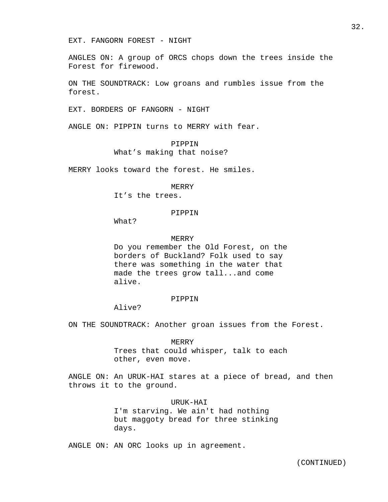EXT. FANGORN FOREST - NIGHT

ANGLES ON: A group of ORCS chops down the trees inside the Forest for firewood.

ON THE SOUNDTRACK: Low groans and rumbles issue from the forest.

EXT. BORDERS OF FANGORN - NIGHT

ANGLE ON: PIPPIN turns to MERRY with fear.

PIPPIN

What's making that noise?

MERRY looks toward the forest. He smiles.

MERRY

It's the trees.

### PIPPIN

What?

#### MERRY

 Do you remember the Old Forest, on the borders of Buckland? Folk used to say there was something in the water that made the trees grow tall...and come alive.

#### PIPPIN

Alive?

ON THE SOUNDTRACK: Another groan issues from the Forest.

 MERRY Trees that could whisper, talk to each other, even move.

ANGLE ON: An URUK-HAI stares at a piece of bread, and then throws it to the ground.

### URUK-HAI

 I'm starving. We ain't had nothing but maggoty bread for three stinking days.

ANGLE ON: AN ORC looks up in agreement.

32.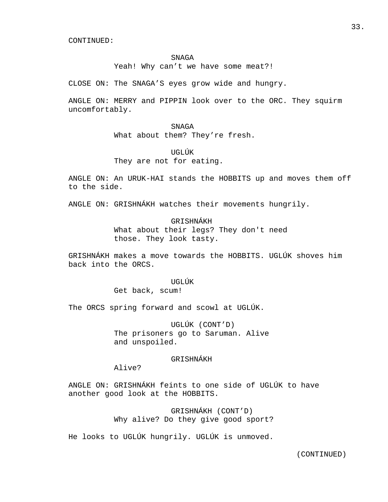### **SNAGA**

Yeah! Why can't we have some meat?!

CLOSE ON: The SNAGA'S eyes grow wide and hungry.

ANGLE ON: MERRY and PIPPIN look over to the ORC. They squirm uncomfortably.

> SNAGA What about them? They're fresh.

 UGLÚK They are not for eating.

ANGLE ON: An URUK-HAI stands the HOBBITS up and moves them off to the side.

ANGLE ON: GRISHNÁKH watches their movements hungrily.

 GRISHNÁKH What about their legs? They don't need those. They look tasty.

GRISHNÁKH makes a move towards the HOBBITS. UGLÚK shoves him back into the ORCS.

> UGLÚK Get back, scum!

The ORCS spring forward and scowl at UGLÚK.

 UGLÚK (CONT'D) The prisoners go to Saruman. Alive and unspoiled.

## GRISHNÁKH

Alive?

ANGLE ON: GRISHNÁKH feints to one side of UGLÚK to have another good look at the HOBBITS.

> GRISHNÁKH (CONT'D) Why alive? Do they give good sport?

He looks to UGLÚK hungrily. UGLÚK is unmoved.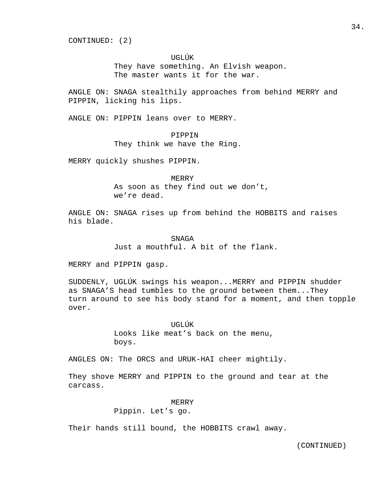CONTINUED: (2)

### UGLÚK

 They have something. An Elvish weapon. The master wants it for the war.

ANGLE ON: SNAGA stealthily approaches from behind MERRY and PIPPIN, licking his lips.

ANGLE ON: PIPPIN leans over to MERRY.

### PIPPIN

They think we have the Ring.

MERRY quickly shushes PIPPIN.

 MERRY As soon as they find out we don't, we're dead.

ANGLE ON: SNAGA rises up from behind the HOBBITS and raises his blade.

> SNAGA Just a mouthful. A bit of the flank.

MERRY and PIPPIN gasp.

SUDDENLY, UGLÚK swings his weapon...MERRY and PIPPIN shudder as SNAGA'S head tumbles to the ground between them...They turn around to see his body stand for a moment, and then topple over.

> UGLÚK Looks like meat's back on the menu, boys.

ANGLES ON: The ORCS and URUK-HAI cheer mightily.

They shove MERRY and PIPPIN to the ground and tear at the carcass.

### MERRY

Pippin. Let's go.

Their hands still bound, the HOBBITS crawl away.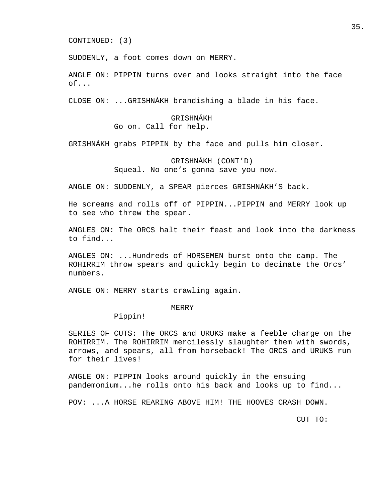CONTINUED: (3)

SUDDENLY, a foot comes down on MERRY.

ANGLE ON: PIPPIN turns over and looks straight into the face of...

CLOSE ON: ...GRISHNÁKH brandishing a blade in his face.

 GRISHNÁKH Go on. Call for help.

GRISHNÁKH grabs PIPPIN by the face and pulls him closer.

 GRISHNÁKH (CONT'D) Squeal. No one's gonna save you now.

ANGLE ON: SUDDENLY, a SPEAR pierces GRISHNÁKH'S back.

He screams and rolls off of PIPPIN...PIPPIN and MERRY look up to see who threw the spear.

ANGLES ON: The ORCS halt their feast and look into the darkness to find...

ANGLES ON: ...Hundreds of HORSEMEN burst onto the camp. The ROHIRRIM throw spears and quickly begin to decimate the Orcs' numbers.

ANGLE ON: MERRY starts crawling again.

#### MERRY

Pippin!

SERIES OF CUTS: The ORCS and URUKS make a feeble charge on the ROHIRRIM. The ROHIRRIM mercilessly slaughter them with swords, arrows, and spears, all from horseback! The ORCS and URUKS run for their lives!

ANGLE ON: PIPPIN looks around quickly in the ensuing pandemonium...he rolls onto his back and looks up to find...

POV: ...A HORSE REARING ABOVE HIM! THE HOOVES CRASH DOWN.

CUT TO: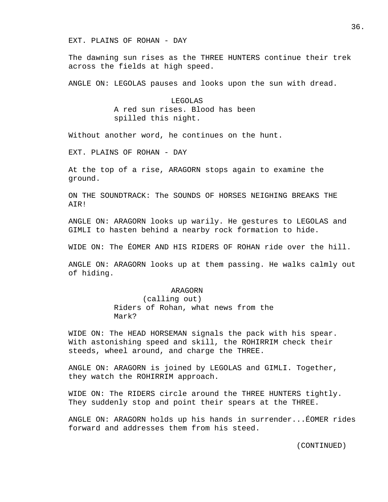EXT. PLAINS OF ROHAN - DAY

The dawning sun rises as the THREE HUNTERS continue their trek across the fields at high speed.

ANGLE ON: LEGOLAS pauses and looks upon the sun with dread.

 LEGOLAS A red sun rises. Blood has been spilled this night.

Without another word, he continues on the hunt.

EXT. PLAINS OF ROHAN - DAY

At the top of a rise, ARAGORN stops again to examine the ground.

ON THE SOUNDTRACK: The SOUNDS OF HORSES NEIGHING BREAKS THE AIR!

ANGLE ON: ARAGORN looks up warily. He gestures to LEGOLAS and GIMLI to hasten behind a nearby rock formation to hide.

WIDE ON: The ÉOMER AND HIS RIDERS OF ROHAN ride over the hill.

ANGLE ON: ARAGORN looks up at them passing. He walks calmly out of hiding.

### ARAGORN

 (calling out) Riders of Rohan, what news from the Mark?

WIDE ON: The HEAD HORSEMAN signals the pack with his spear. With astonishing speed and skill, the ROHIRRIM check their steeds, wheel around, and charge the THREE.

ANGLE ON: ARAGORN is joined by LEGOLAS and GIMLI. Together, they watch the ROHIRRIM approach.

WIDE ON: The RIDERS circle around the THREE HUNTERS tightly. They suddenly stop and point their spears at the THREE.

ANGLE ON: ARAGORN holds up his hands in surrender...ÉOMER rides forward and addresses them from his steed.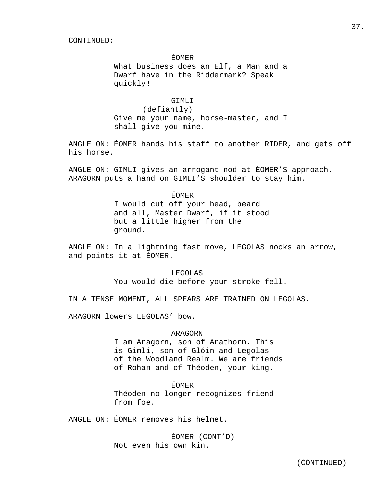## ÉOMER

 What business does an Elf, a Man and a Dwarf have in the Riddermark? Speak quickly!

## GTMLT<sub>I</sub>

 (defiantly) Give me your name, horse-master, and I shall give you mine.

ANGLE ON: ÉOMER hands his staff to another RIDER, and gets off his horse.

ANGLE ON: GIMLI gives an arrogant nod at ÉOMER'S approach. ARAGORN puts a hand on GIMLI'S shoulder to stay him.

# ÉOMER I would cut off your head, beard and all, Master Dwarf, if it stood but a little higher from the ground.

ANGLE ON: In a lightning fast move, LEGOLAS nocks an arrow, and points it at ÉOMER.

# LEGOLAS You would die before your stroke fell.

IN A TENSE MOMENT, ALL SPEARS ARE TRAINED ON LEGOLAS.

ARAGORN lowers LEGOLAS' bow.

## ARAGORN

 I am Aragorn, son of Arathorn. This is Gimli, son of Glóin and Legolas of the Woodland Realm. We are friends of Rohan and of Théoden, your king.

### ÉOMER

 Théoden no longer recognizes friend from foe.

ANGLE ON: ÉOMER removes his helmet.

 ÉOMER (CONT'D) Not even his own kin.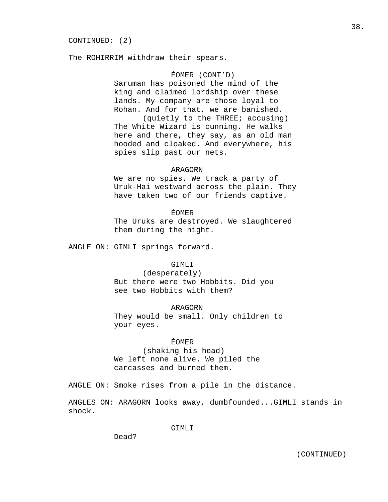The ROHIRRIM withdraw their spears.

### ÉOMER (CONT'D)

 Saruman has poisoned the mind of the king and claimed lordship over these lands. My company are those loyal to Rohan. And for that, we are banished.

 (quietly to the THREE; accusing) The White Wizard is cunning. He walks here and there, they say, as an old man hooded and cloaked. And everywhere, his spies slip past our nets.

### ARAGORN

 We are no spies. We track a party of Uruk-Hai westward across the plain. They have taken two of our friends captive.

# ÉOMER

 The Uruks are destroyed. We slaughtered them during the night.

ANGLE ON: GIMLI springs forward.

## GIMLI

 (desperately) But there were two Hobbits. Did you see two Hobbits with them?

## ARAGORN

 They would be small. Only children to your eyes.

## ÉOMER

 (shaking his head) We left none alive. We piled the carcasses and burned them.

ANGLE ON: Smoke rises from a pile in the distance.

ANGLES ON: ARAGORN looks away, dumbfounded...GIMLI stands in shock.

GIMLI

Dead?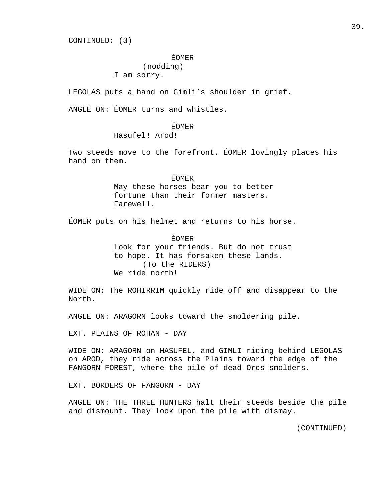CONTINUED: (3)

### ÉOMER

# (nodding)

## I am sorry.

LEGOLAS puts a hand on Gimli's shoulder in grief.

ANGLE ON: ÉOMER turns and whistles.

# ÉOMER

Hasufel! Arod!

Two steeds move to the forefront. ÉOMER lovingly places his hand on them.

# ÉOMER May these horses bear you to better fortune than their former masters. Farewell.

ÉOMER puts on his helmet and returns to his horse.

## ÉOMER

 Look for your friends. But do not trust to hope. It has forsaken these lands. (To the RIDERS) We ride north!

WIDE ON: The ROHIRRIM quickly ride off and disappear to the North.

ANGLE ON: ARAGORN looks toward the smoldering pile.

EXT. PLAINS OF ROHAN - DAY

WIDE ON: ARAGORN on HASUFEL, and GIMLI riding behind LEGOLAS on AROD, they ride across the Plains toward the edge of the FANGORN FOREST, where the pile of dead Orcs smolders.

EXT. BORDERS OF FANGORN - DAY

ANGLE ON: THE THREE HUNTERS halt their steeds beside the pile and dismount. They look upon the pile with dismay.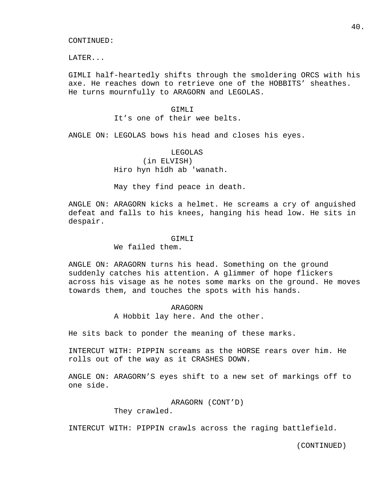LATER...

GIMLI half-heartedly shifts through the smoldering ORCS with his axe. He reaches down to retrieve one of the HOBBITS' sheathes. He turns mournfully to ARAGORN and LEGOLAS.

## GTMLT<sub>I</sub>

## It's one of their wee belts.

ANGLE ON: LEGOLAS bows his head and closes his eyes.

# LEGOLAS (in ELVISH) Hiro hyn hîdh ab 'wanath.

May they find peace in death.

ANGLE ON: ARAGORN kicks a helmet. He screams a cry of anguished defeat and falls to his knees, hanging his head low. He sits in despair.

### GTMLT<sub>I</sub>T

We failed them.

ANGLE ON: ARAGORN turns his head. Something on the ground suddenly catches his attention. A glimmer of hope flickers across his visage as he notes some marks on the ground. He moves towards them, and touches the spots with his hands.

### ARAGORN

A Hobbit lay here. And the other.

He sits back to ponder the meaning of these marks.

INTERCUT WITH: PIPPIN screams as the HORSE rears over him. He rolls out of the way as it CRASHES DOWN.

ANGLE ON: ARAGORN'S eyes shift to a new set of markings off to one side.

> ARAGORN (CONT'D) They crawled.

INTERCUT WITH: PIPPIN crawls across the raging battlefield.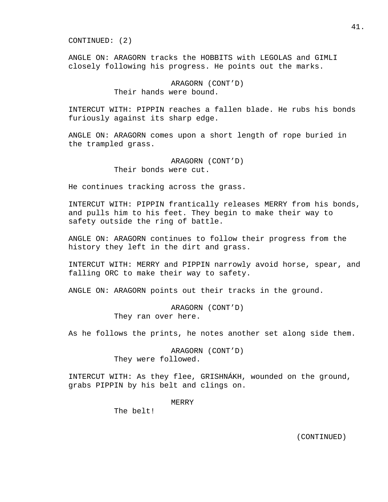CONTINUED: (2)

ANGLE ON: ARAGORN tracks the HOBBITS with LEGOLAS and GIMLI closely following his progress. He points out the marks.

> ARAGORN (CONT'D) Their hands were bound.

INTERCUT WITH: PIPPIN reaches a fallen blade. He rubs his bonds furiously against its sharp edge.

ANGLE ON: ARAGORN comes upon a short length of rope buried in the trampled grass.

> ARAGORN (CONT'D) Their bonds were cut.

He continues tracking across the grass.

INTERCUT WITH: PIPPIN frantically releases MERRY from his bonds, and pulls him to his feet. They begin to make their way to safety outside the ring of battle.

ANGLE ON: ARAGORN continues to follow their progress from the history they left in the dirt and grass.

INTERCUT WITH: MERRY and PIPPIN narrowly avoid horse, spear, and falling ORC to make their way to safety.

ANGLE ON: ARAGORN points out their tracks in the ground.

 ARAGORN (CONT'D) They ran over here.

As he follows the prints, he notes another set along side them.

 ARAGORN (CONT'D) They were followed.

INTERCUT WITH: As they flee, GRISHNÁKH, wounded on the ground, grabs PIPPIN by his belt and clings on.

MERRY

The belt!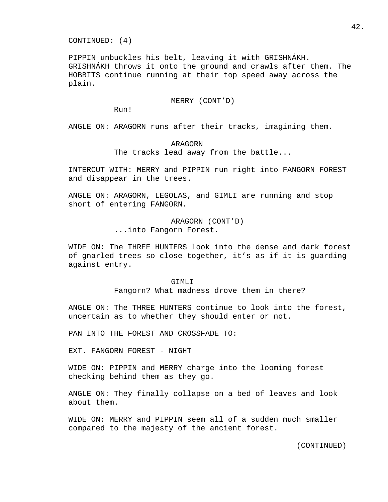CONTINUED: (4)

PIPPIN unbuckles his belt, leaving it with GRISHNÁKH. GRISHNÁKH throws it onto the ground and crawls after them. The HOBBITS continue running at their top speed away across the plain.

MERRY (CONT'D)

Run!

ANGLE ON: ARAGORN runs after their tracks, imagining them.

## ARAGORN

The tracks lead away from the battle...

INTERCUT WITH: MERRY and PIPPIN run right into FANGORN FOREST and disappear in the trees.

ANGLE ON: ARAGORN, LEGOLAS, and GIMLI are running and stop short of entering FANGORN.

> ARAGORN (CONT'D) ...into Fangorn Forest.

WIDE ON: The THREE HUNTERS look into the dense and dark forest of gnarled trees so close together, it's as if it is guarding against entry.

### GTMLT<sub>J</sub>T

Fangorn? What madness drove them in there?

ANGLE ON: The THREE HUNTERS continue to look into the forest, uncertain as to whether they should enter or not.

PAN INTO THE FOREST AND CROSSFADE TO:

EXT. FANGORN FOREST - NIGHT

WIDE ON: PIPPIN and MERRY charge into the looming forest checking behind them as they go.

ANGLE ON: They finally collapse on a bed of leaves and look about them.

WIDE ON: MERRY and PIPPIN seem all of a sudden much smaller compared to the majesty of the ancient forest.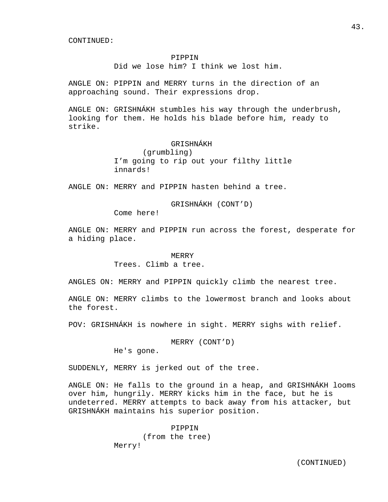## PIPPIN

Did we lose him? I think we lost him.

ANGLE ON: PIPPIN and MERRY turns in the direction of an approaching sound. Their expressions drop.

ANGLE ON: GRISHNÁKH stumbles his way through the underbrush, looking for them. He holds his blade before him, ready to strike.

# GRISHNÁKH

 (grumbling) I'm going to rip out your filthy little innards!

ANGLE ON: MERRY and PIPPIN hasten behind a tree.

GRISHNÁKH (CONT'D)

Come here!

ANGLE ON: MERRY and PIPPIN run across the forest, desperate for a hiding place.

## MERRY

Trees. Climb a tree.

ANGLES ON: MERRY and PIPPIN quickly climb the nearest tree.

ANGLE ON: MERRY climbs to the lowermost branch and looks about the forest.

POV: GRISHNÁKH is nowhere in sight. MERRY sighs with relief.

MERRY (CONT'D)

He's gone.

SUDDENLY, MERRY is jerked out of the tree.

ANGLE ON: He falls to the ground in a heap, and GRISHNÁKH looms over him, hungrily. MERRY kicks him in the face, but he is undeterred. MERRY attempts to back away from his attacker, but GRISHNÁKH maintains his superior position.

> PIPPIN (from the tree) Merry!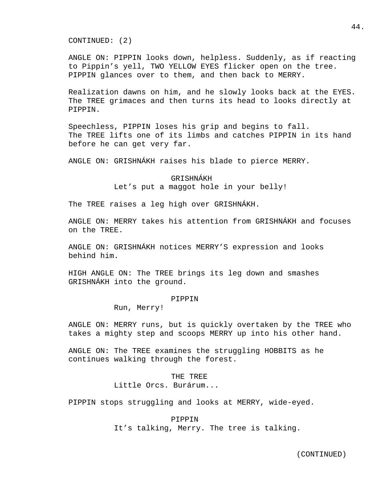CONTINUED: (2)

ANGLE ON: PIPPIN looks down, helpless. Suddenly, as if reacting to Pippin's yell, TWO YELLOW EYES flicker open on the tree. PIPPIN glances over to them, and then back to MERRY.

Realization dawns on him, and he slowly looks back at the EYES. The TREE grimaces and then turns its head to looks directly at PIPPIN.

Speechless, PIPPIN loses his grip and begins to fall. The TREE lifts one of its limbs and catches PIPPIN in its hand before he can get very far.

ANGLE ON: GRISHNÁKH raises his blade to pierce MERRY.

 GRISHNÁKH Let's put a maggot hole in your belly!

The TREE raises a leg high over GRISHNÁKH.

ANGLE ON: MERRY takes his attention from GRISHNÁKH and focuses on the TREE.

ANGLE ON: GRISHNÁKH notices MERRY'S expression and looks behind him.

HIGH ANGLE ON: The TREE brings its leg down and smashes GRISHNÁKH into the ground.

### PIPPIN

Run, Merry!

ANGLE ON: MERRY runs, but is quickly overtaken by the TREE who takes a mighty step and scoops MERRY up into his other hand.

ANGLE ON: The TREE examines the struggling HOBBITS as he continues walking through the forest.

> THE TREE Little Orcs. Burárum...

PIPPIN stops struggling and looks at MERRY, wide-eyed.

### PIPPIN

It's talking, Merry. The tree is talking.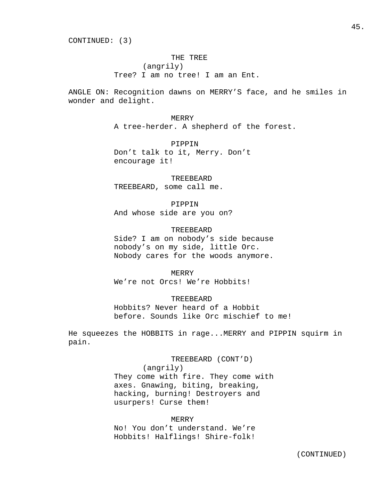CONTINUED: (3)

## THE TREE

(angrily)

Tree? I am no tree! I am an Ent.

ANGLE ON: Recognition dawns on MERRY'S face, and he smiles in wonder and delight.

MERRY

A tree-herder. A shepherd of the forest.

 PIPPIN Don't talk to it, Merry. Don't encourage it!

TREEBEARD

TREEBEARD, some call me.

## PIPPIN

And whose side are you on?

# TREEBEARD

 Side? I am on nobody's side because nobody's on my side, little Orc. Nobody cares for the woods anymore.

MERRY

We're not Orcs! We're Hobbits!

TREEBEARD

 Hobbits? Never heard of a Hobbit before. Sounds like Orc mischief to me!

He squeezes the HOBBITS in rage...MERRY and PIPPIN squirm in pain.

> TREEBEARD (CONT'D) (angrily) They come with fire. They come with axes. Gnawing, biting, breaking, hacking, burning! Destroyers and usurpers! Curse them!

 MERRY No! You don't understand. We're Hobbits! Halflings! Shire-folk!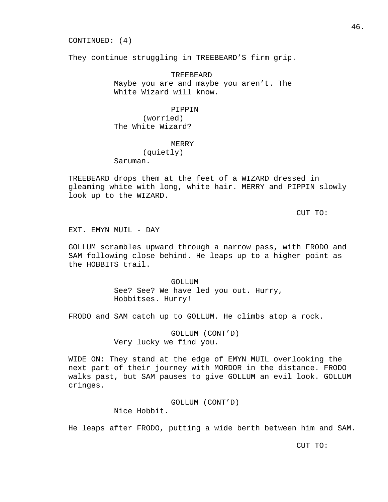CONTINUED: (4)

They continue struggling in TREEBEARD'S firm grip.

 TREEBEARD Maybe you are and maybe you aren't. The White Wizard will know.

## PIPPIN

 (worried) The White Wizard?

### MERRY

(quietly)

Saruman.

TREEBEARD drops them at the feet of a WIZARD dressed in gleaming white with long, white hair. MERRY and PIPPIN slowly look up to the WIZARD.

CUT TO:

EXT. EMYN MUIL - DAY

GOLLUM scrambles upward through a narrow pass, with FRODO and SAM following close behind. He leaps up to a higher point as the HOBBITS trail.

> GOLLUM See? See? We have led you out. Hurry, Hobbitses. Hurry!

FRODO and SAM catch up to GOLLUM. He climbs atop a rock.

 GOLLUM (CONT'D) Very lucky we find you.

WIDE ON: They stand at the edge of EMYN MUIL overlooking the next part of their journey with MORDOR in the distance. FRODO walks past, but SAM pauses to give GOLLUM an evil look. GOLLUM cringes.

> GOLLUM (CONT'D) Nice Hobbit.

He leaps after FRODO, putting a wide berth between him and SAM.

CUT TO: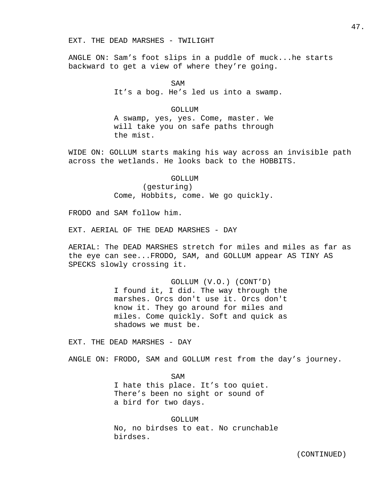### EXT. THE DEAD MARSHES - TWILIGHT

ANGLE ON: Sam's foot slips in a puddle of muck...he starts backward to get a view of where they're going.

SAM It's a bog. He's led us into a swamp.

## GOLLUM

 A swamp, yes, yes. Come, master. We will take you on safe paths through the mist.

WIDE ON: GOLLUM starts making his way across an invisible path across the wetlands. He looks back to the HOBBITS.

GOLLUM

(gesturing)

Come, Hobbits, come. We go quickly.

FRODO and SAM follow him.

EXT. AERIAL OF THE DEAD MARSHES - DAY

AERIAL: The DEAD MARSHES stretch for miles and miles as far as the eye can see...FRODO, SAM, and GOLLUM appear AS TINY AS SPECKS slowly crossing it.

> GOLLUM (V.O.) (CONT'D) I found it, I did. The way through the marshes. Orcs don't use it. Orcs don't know it. They go around for miles and miles. Come quickly. Soft and quick as shadows we must be.

EXT. THE DEAD MARSHES - DAY

ANGLE ON: FRODO, SAM and GOLLUM rest from the day's journey.

SAM I hate this place. It's too quiet. There's been no sight or sound of a bird for two days.

> GOLLUM No, no birdses to eat. No crunchable birdses.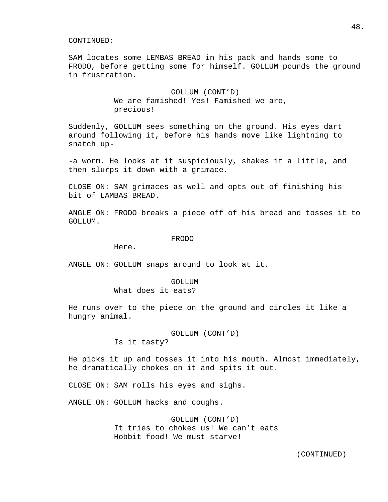SAM locates some LEMBAS BREAD in his pack and hands some to FRODO, before getting some for himself. GOLLUM pounds the ground in frustration.

> GOLLUM (CONT'D) We are famished! Yes! Famished we are, precious!

Suddenly, GOLLUM sees something on the ground. His eyes dart around following it, before his hands move like lightning to snatch up-

-a worm. He looks at it suspiciously, shakes it a little, and then slurps it down with a grimace.

CLOSE ON: SAM grimaces as well and opts out of finishing his bit of LAMBAS BREAD.

ANGLE ON: FRODO breaks a piece off of his bread and tosses it to GOLLUM.

### FRODO

Here.

ANGLE ON: GOLLUM snaps around to look at it.

# GOLLUM

What does it eats?

He runs over to the piece on the ground and circles it like a hungry animal.

GOLLUM (CONT'D)

Is it tasty?

He picks it up and tosses it into his mouth. Almost immediately, he dramatically chokes on it and spits it out.

CLOSE ON: SAM rolls his eyes and sighs.

ANGLE ON: GOLLUM hacks and coughs.

 GOLLUM (CONT'D) It tries to chokes us! We can't eats Hobbit food! We must starve!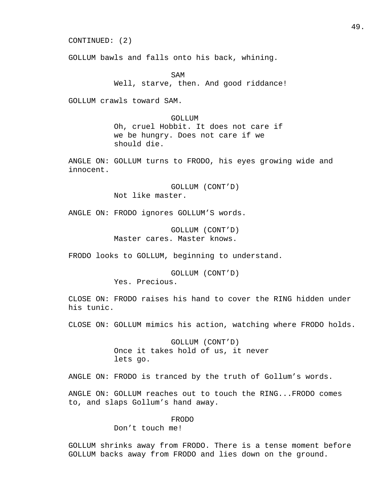CONTINUED: (2)

GOLLUM bawls and falls onto his back, whining.

SAM Well, starve, then. And good riddance!

GOLLUM crawls toward SAM.

 GOLLUM Oh, cruel Hobbit. It does not care if we be hungry. Does not care if we should die.

ANGLE ON: GOLLUM turns to FRODO, his eyes growing wide and innocent.

> GOLLUM (CONT'D) Not like master.

ANGLE ON: FRODO ignores GOLLUM'S words.

 GOLLUM (CONT'D) Master cares. Master knows.

FRODO looks to GOLLUM, beginning to understand.

 GOLLUM (CONT'D) Yes. Precious.

CLOSE ON: FRODO raises his hand to cover the RING hidden under his tunic.

CLOSE ON: GOLLUM mimics his action, watching where FRODO holds.

 GOLLUM (CONT'D) Once it takes hold of us, it never lets go.

ANGLE ON: FRODO is tranced by the truth of Gollum's words.

ANGLE ON: GOLLUM reaches out to touch the RING...FRODO comes to, and slaps Gollum's hand away.

FRODO

Don't touch me!

GOLLUM shrinks away from FRODO. There is a tense moment before GOLLUM backs away from FRODO and lies down on the ground.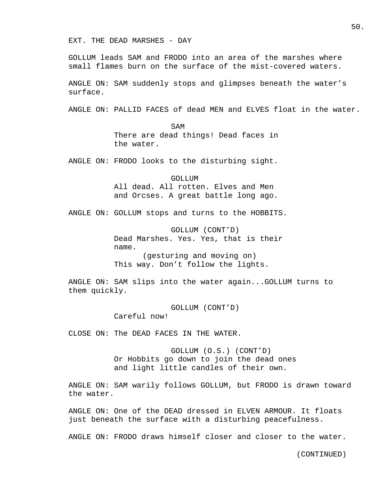EXT. THE DEAD MARSHES - DAY

GOLLUM leads SAM and FRODO into an area of the marshes where small flames burn on the surface of the mist-covered waters.

ANGLE ON: SAM suddenly stops and glimpses beneath the water's surface.

ANGLE ON: PALLID FACES of dead MEN and ELVES float in the water.

SAM There are dead things! Dead faces in the water.

ANGLE ON: FRODO looks to the disturbing sight.

 GOLLUM All dead. All rotten. Elves and Men and Orcses. A great battle long ago.

ANGLE ON: GOLLUM stops and turns to the HOBBITS.

 GOLLUM (CONT'D) Dead Marshes. Yes. Yes, that is their name. (gesturing and moving on) This way. Don't follow the lights.

ANGLE ON: SAM slips into the water again...GOLLUM turns to them quickly.

> GOLLUM (CONT'D) Careful now!

CLOSE ON: The DEAD FACES IN THE WATER.

 GOLLUM (O.S.) (CONT'D) Or Hobbits go down to join the dead ones and light little candles of their own.

ANGLE ON: SAM warily follows GOLLUM, but FRODO is drawn toward the water.

ANGLE ON: One of the DEAD dressed in ELVEN ARMOUR. It floats just beneath the surface with a disturbing peacefulness.

ANGLE ON: FRODO draws himself closer and closer to the water.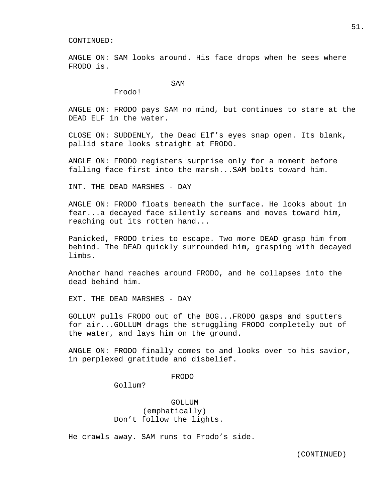ANGLE ON: SAM looks around. His face drops when he sees where FRODO is.

SAM

Frodo!

ANGLE ON: FRODO pays SAM no mind, but continues to stare at the DEAD ELF in the water.

CLOSE ON: SUDDENLY, the Dead Elf's eyes snap open. Its blank, pallid stare looks straight at FRODO.

ANGLE ON: FRODO registers surprise only for a moment before falling face-first into the marsh...SAM bolts toward him.

INT. THE DEAD MARSHES - DAY

ANGLE ON: FRODO floats beneath the surface. He looks about in fear...a decayed face silently screams and moves toward him, reaching out its rotten hand...

Panicked, FRODO tries to escape. Two more DEAD grasp him from behind. The DEAD quickly surrounded him, grasping with decayed limbs.

Another hand reaches around FRODO, and he collapses into the dead behind him.

EXT. THE DEAD MARSHES - DAY

GOLLUM pulls FRODO out of the BOG...FRODO gasps and sputters for air...GOLLUM drags the struggling FRODO completely out of the water, and lays him on the ground.

ANGLE ON: FRODO finally comes to and looks over to his savior, in perplexed gratitude and disbelief.

## FRODO

Gollum?

 GOLLUM (emphatically) Don't follow the lights.

He crawls away. SAM runs to Frodo's side.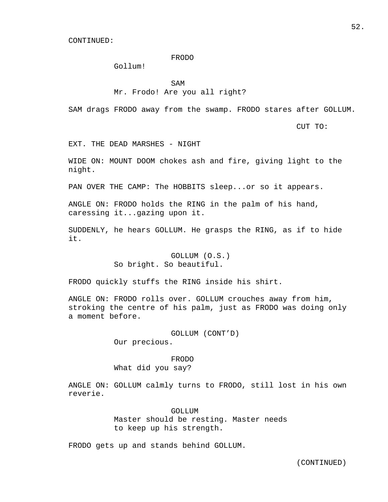### FRODO

Gollum!

SAM

# Mr. Frodo! Are you all right?

SAM drags FRODO away from the swamp. FRODO stares after GOLLUM.

CUT TO:

EXT. THE DEAD MARSHES - NIGHT

WIDE ON: MOUNT DOOM chokes ash and fire, giving light to the night.

PAN OVER THE CAMP: The HOBBITS sleep...or so it appears.

ANGLE ON: FRODO holds the RING in the palm of his hand, caressing it...gazing upon it.

SUDDENLY, he hears GOLLUM. He grasps the RING, as if to hide it.

> GOLLUM (O.S.) So bright. So beautiful.

FRODO quickly stuffs the RING inside his shirt.

ANGLE ON: FRODO rolls over. GOLLUM crouches away from him, stroking the centre of his palm, just as FRODO was doing only a moment before.

> GOLLUM (CONT'D) Our precious.

# FRODO

What did you say?

ANGLE ON: GOLLUM calmly turns to FRODO, still lost in his own reverie.

> GOLLUM Master should be resting. Master needs to keep up his strength.

FRODO gets up and stands behind GOLLUM.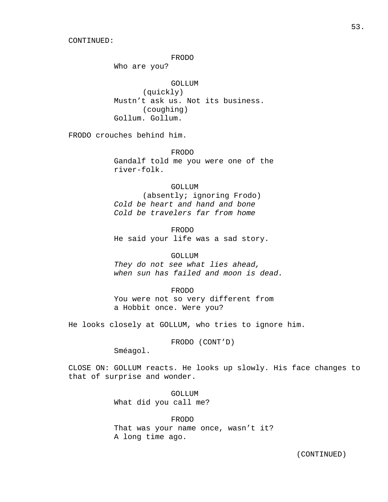FRODO

Who are you?

 GOLLUM (quickly)

 Mustn't ask us. Not its business. (coughing) Gollum. Gollum.

FRODO crouches behind him.

 FRODO Gandalf told me you were one of the river-folk.

### GOLLUM

 (absently; ignoring Frodo) Cold be heart and hand and bone Cold be travelers far from home

 FRODO He said your life was a sad story.

### GOLLUM

They do not see what lies ahead, when sun has failed and moon is dead.

### FRODO

 You were not so very different from a Hobbit once. Were you?

He looks closely at GOLLUM, who tries to ignore him.

FRODO (CONT'D)

Sméagol.

CLOSE ON: GOLLUM reacts. He looks up slowly. His face changes to that of surprise and wonder.

> GOLLUM What did you call me?

 FRODO That was your name once, wasn't it? A long time ago.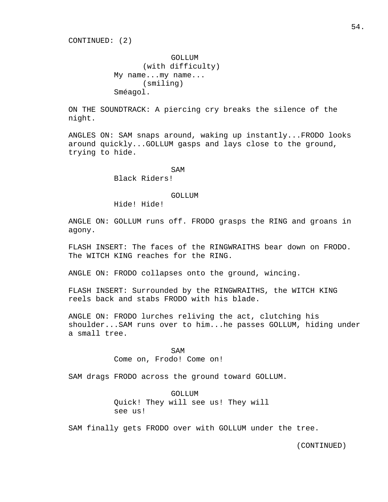GOLLUM (with difficulty) My name...my name... (smiling) Sméagol.

ON THE SOUNDTRACK: A piercing cry breaks the silence of the night.

ANGLES ON: SAM snaps around, waking up instantly...FRODO looks around quickly...GOLLUM gasps and lays close to the ground, trying to hide.

SAM

Black Riders!

### GOLLUM

Hide! Hide!

ANGLE ON: GOLLUM runs off. FRODO grasps the RING and groans in agony.

FLASH INSERT: The faces of the RINGWRAITHS bear down on FRODO. The WITCH KING reaches for the RING.

ANGLE ON: FRODO collapses onto the ground, wincing.

FLASH INSERT: Surrounded by the RINGWRAITHS, the WITCH KING reels back and stabs FRODO with his blade.

ANGLE ON: FRODO lurches reliving the act, clutching his shoulder...SAM runs over to him...he passes GOLLUM, hiding under a small tree.

SAM

Come on, Frodo! Come on!

SAM drags FRODO across the ground toward GOLLUM.

 GOLLUM Quick! They will see us! They will see us!

SAM finally gets FRODO over with GOLLUM under the tree.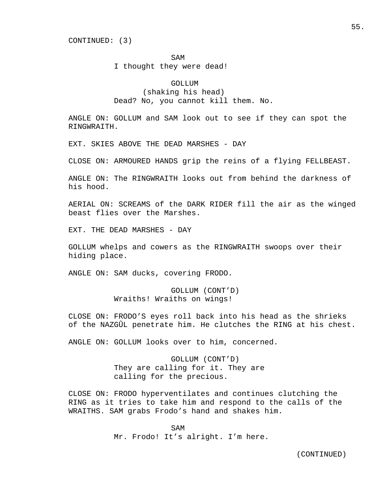SAM

I thought they were dead!

 GOLLUM (shaking his head) Dead? No, you cannot kill them. No.

ANGLE ON: GOLLUM and SAM look out to see if they can spot the RINGWRAITH.

EXT. SKIES ABOVE THE DEAD MARSHES - DAY

CLOSE ON: ARMOURED HANDS grip the reins of a flying FELLBEAST.

ANGLE ON: The RINGWRAITH looks out from behind the darkness of his hood.

AERIAL ON: SCREAMS of the DARK RIDER fill the air as the winged beast flies over the Marshes.

EXT. THE DEAD MARSHES - DAY

GOLLUM whelps and cowers as the RINGWRAITH swoops over their hiding place.

ANGLE ON: SAM ducks, covering FRODO.

 GOLLUM (CONT'D) Wraiths! Wraiths on wings!

CLOSE ON: FRODO'S eyes roll back into his head as the shrieks of the NAZGÛL penetrate him. He clutches the RING at his chest.

ANGLE ON: GOLLUM looks over to him, concerned.

 GOLLUM (CONT'D) They are calling for it. They are calling for the precious.

CLOSE ON: FRODO hyperventilates and continues clutching the RING as it tries to take him and respond to the calls of the WRAITHS. SAM grabs Frodo's hand and shakes him.

SAM Mr. Frodo! It's alright. I'm here.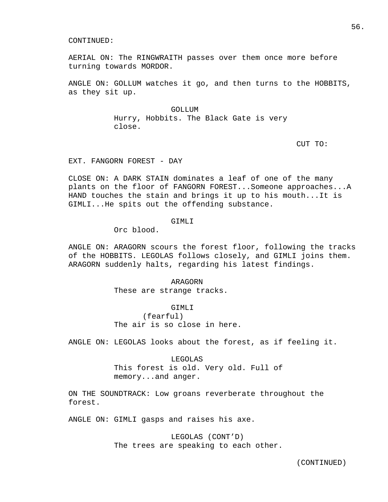AERIAL ON: The RINGWRAITH passes over them once more before turning towards MORDOR.

ANGLE ON: GOLLUM watches it go, and then turns to the HOBBITS, as they sit up.

> GOLLUM Hurry, Hobbits. The Black Gate is very close.

CUT TO:

EXT. FANGORN FOREST - DAY

CLOSE ON: A DARK STAIN dominates a leaf of one of the many plants on the floor of FANGORN FOREST...Someone approaches...A HAND touches the stain and brings it up to his mouth...It is GIMLI...He spits out the offending substance.

## GIMLI

Orc blood.

ANGLE ON: ARAGORN scours the forest floor, following the tracks of the HOBBITS. LEGOLAS follows closely, and GIMLI joins them. ARAGORN suddenly halts, regarding his latest findings.

> ARAGORN These are strange tracks.

 GIMLI (fearful) The air is so close in here.

ANGLE ON: LEGOLAS looks about the forest, as if feeling it.

 LEGOLAS This forest is old. Very old. Full of memory...and anger.

ON THE SOUNDTRACK: Low groans reverberate throughout the forest.

ANGLE ON: GIMLI gasps and raises his axe.

 LEGOLAS (CONT'D) The trees are speaking to each other. 56.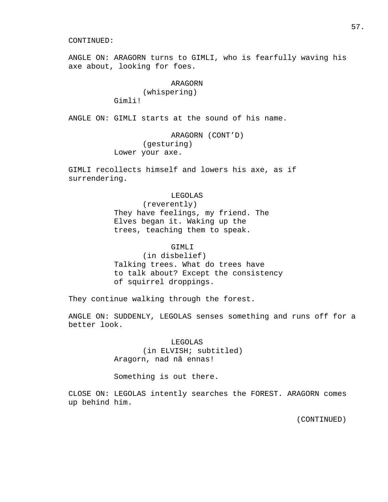ANGLE ON: ARAGORN turns to GIMLI, who is fearfully waving his axe about, looking for foes.

# ARAGORN (whispering)

Gimli!

ANGLE ON: GIMLI starts at the sound of his name.

 ARAGORN (CONT'D) (gesturing) Lower your axe.

GIMLI recollects himself and lowers his axe, as if surrendering.

## LEGOLAS

 (reverently) They have feelings, my friend. The Elves began it. Waking up the trees, teaching them to speak.

## GIMLI

 (in disbelief) Talking trees. What do trees have to talk about? Except the consistency of squirrel droppings.

They continue walking through the forest.

ANGLE ON: SUDDENLY, LEGOLAS senses something and runs off for a better look.

## LEGOLAS

 (in ELVISH; subtitled) Aragorn, nad nâ ennas!

Something is out there.

CLOSE ON: LEGOLAS intently searches the FOREST. ARAGORN comes up behind him.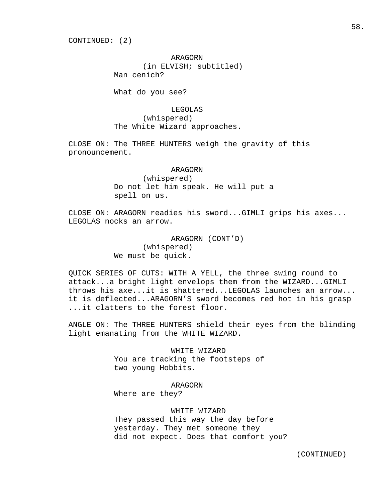CONTINUED: (2)

 ARAGORN (in ELVISH; subtitled) Man cenich?

What do you see?

 LEGOLAS (whispered) The White Wizard approaches.

CLOSE ON: The THREE HUNTERS weigh the gravity of this pronouncement.

> ARAGORN (whispered) Do not let him speak. He will put a spell on us.

CLOSE ON: ARAGORN readies his sword...GIMLI grips his axes... LEGOLAS nocks an arrow.

> ARAGORN (CONT'D) (whispered) We must be quick.

QUICK SERIES OF CUTS: WITH A YELL, the three swing round to attack...a bright light envelops them from the WIZARD...GIMLI throws his axe...it is shattered...LEGOLAS launches an arrow... it is deflected...ARAGORN'S sword becomes red hot in his grasp ...it clatters to the forest floor.

ANGLE ON: The THREE HUNTERS shield their eyes from the blinding light emanating from the WHITE WIZARD.

> WHITE WIZARD You are tracking the footsteps of two young Hobbits.

> > ARAGORN

Where are they?

## WHITE WIZARD

 They passed this way the day before yesterday. They met someone they did not expect. Does that comfort you?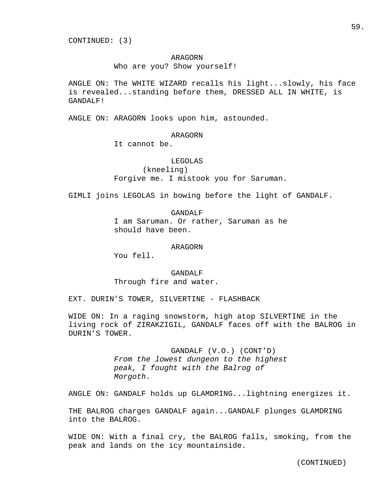CONTINUED: (3)

## ARAGORN

Who are you? Show yourself!

ANGLE ON: The WHITE WIZARD recalls his light...slowly, his face is revealed...standing before them, DRESSED ALL IN WHITE, is GANDALF!

ANGLE ON: ARAGORN looks upon him, astounded.

### ARAGORN

It cannot be.

### LEGOLAS

 (kneeling) Forgive me. I mistook you for Saruman.

GIMLI joins LEGOLAS in bowing before the light of GANDALF.

 GANDALF I am Saruman. Or rather, Saruman as he should have been.

### ARAGORN

You fell.

 GANDALF Through fire and water.

EXT. DURIN'S TOWER, SILVERTINE - FLASHBACK

WIDE ON: In a raging snowstorm, high atop SILVERTINE in the living rock of ZIRAKZIGIL, GANDALF faces off with the BALROG in DURIN'S TOWER.

> GANDALF (V.O.) (CONT'D) From the lowest dungeon to the highest peak, I fought with the Balrog of Morgoth.

ANGLE ON: GANDALF holds up GLAMDRING...lightning energizes it.

THE BALROG charges GANDALF again...GANDALF plunges GLAMDRING into the BALROG.

WIDE ON: With a final cry, the BALROG falls, smoking, from the peak and lands on the icy mountainside.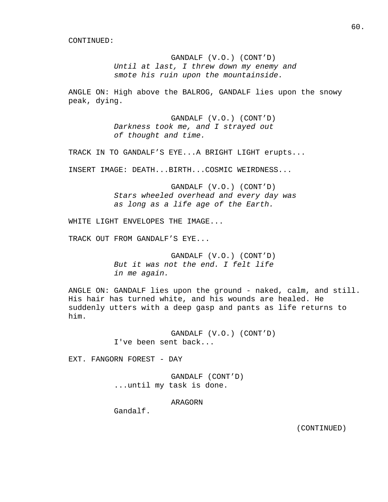GANDALF (V.O.) (CONT'D) Until at last, I threw down my enemy and smote his ruin upon the mountainside.

ANGLE ON: High above the BALROG, GANDALF lies upon the snowy peak, dying.

> GANDALF (V.O.) (CONT'D) Darkness took me, and I strayed out of thought and time.

TRACK IN TO GANDALF'S EYE...A BRIGHT LIGHT erupts...

INSERT IMAGE: DEATH...BIRTH...COSMIC WEIRDNESS...

 GANDALF (V.O.) (CONT'D) Stars wheeled overhead and every day was as long as a life age of the Earth.

WHITE LIGHT ENVELOPES THE IMAGE...

TRACK OUT FROM GANDALF'S EYE...

 GANDALF (V.O.) (CONT'D) But it was not the end. I felt life in me again.

ANGLE ON: GANDALF lies upon the ground - naked, calm, and still. His hair has turned white, and his wounds are healed. He suddenly utters with a deep gasp and pants as life returns to him.

> GANDALF (V.O.) (CONT'D) I've been sent back...

EXT. FANGORN FOREST - DAY

 GANDALF (CONT'D) ...until my task is done.

ARAGORN

Gandalf.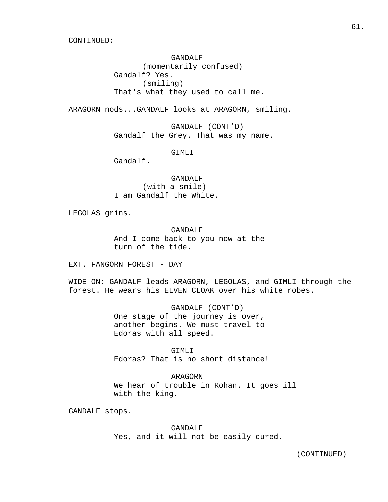GANDALF (momentarily confused) Gandalf? Yes. (smiling) That's what they used to call me.

ARAGORN nods...GANDALF looks at ARAGORN, smiling.

 GANDALF (CONT'D) Gandalf the Grey. That was my name.

GIMLI

Gandalf.

 GANDALF (with a smile) I am Gandalf the White.

LEGOLAS grins.

## GANDALF

 And I come back to you now at the turn of the tide.

EXT. FANGORN FOREST - DAY

WIDE ON: GANDALF leads ARAGORN, LEGOLAS, and GIMLI through the forest. He wears his ELVEN CLOAK over his white robes.

> GANDALF (CONT'D) One stage of the journey is over, another begins. We must travel to Edoras with all speed.

 GIMLI Edoras? That is no short distance!

 ARAGORN We hear of trouble in Rohan. It goes ill with the king.

GANDALF stops.

 GANDALF Yes, and it will not be easily cured.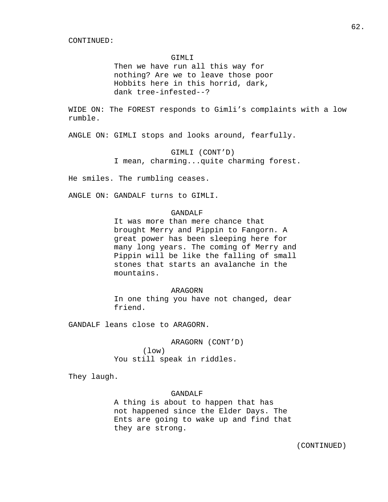### GIMLI

 Then we have run all this way for nothing? Are we to leave those poor Hobbits here in this horrid, dark, dank tree-infested--?

WIDE ON: The FOREST responds to Gimli's complaints with a low rumble.

ANGLE ON: GIMLI stops and looks around, fearfully.

 GIMLI (CONT'D) I mean, charming...quite charming forest.

He smiles. The rumbling ceases.

ANGLE ON: GANDALF turns to GIMLI.

# GANDALF

 It was more than mere chance that brought Merry and Pippin to Fangorn. A great power has been sleeping here for many long years. The coming of Merry and Pippin will be like the falling of small stones that starts an avalanche in the mountains.

### ARAGORN

 In one thing you have not changed, dear friend.

GANDALF leans close to ARAGORN.

 ARAGORN (CONT'D) (low) You still speak in riddles.

They laugh.

## GANDALF

 A thing is about to happen that has not happened since the Elder Days. The Ents are going to wake up and find that they are strong.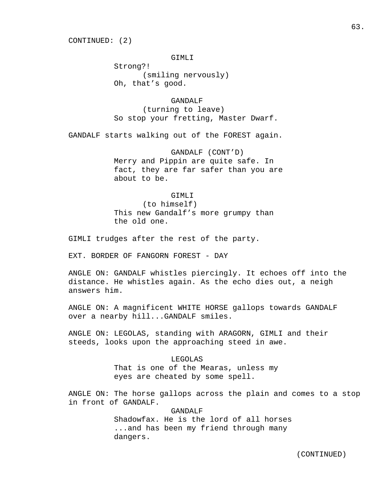CONTINUED: (2)

GIMLI

 Strong?! (smiling nervously) Oh, that's good.

 GANDALF (turning to leave) So stop your fretting, Master Dwarf.

GANDALF starts walking out of the FOREST again.

 GANDALF (CONT'D) Merry and Pippin are quite safe. In fact, they are far safer than you are about to be.

GIMLI

 (to himself) This new Gandalf's more grumpy than the old one.

GIMLI trudges after the rest of the party.

EXT. BORDER OF FANGORN FOREST - DAY

ANGLE ON: GANDALF whistles piercingly. It echoes off into the distance. He whistles again. As the echo dies out, a neigh answers him.

ANGLE ON: A magnificent WHITE HORSE gallops towards GANDALF over a nearby hill...GANDALF smiles.

ANGLE ON: LEGOLAS, standing with ARAGORN, GIMLI and their steeds, looks upon the approaching steed in awe.

> LEGOLAS That is one of the Mearas, unless my eyes are cheated by some spell.

ANGLE ON: The horse gallops across the plain and comes to a stop in front of GANDALF.

> GANDALF Shadowfax. He is the lord of all horses ...and has been my friend through many dangers.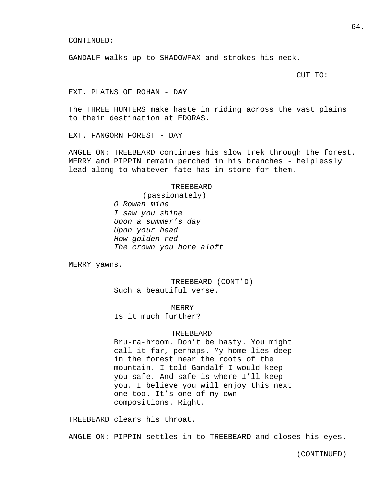GANDALF walks up to SHADOWFAX and strokes his neck.

CUT TO:

EXT. PLAINS OF ROHAN - DAY

The THREE HUNTERS make haste in riding across the vast plains to their destination at EDORAS.

EXT. FANGORN FOREST - DAY

ANGLE ON: TREEBEARD continues his slow trek through the forest. MERRY and PIPPIN remain perched in his branches - helplessly lead along to whatever fate has in store for them.

### TREEBEARD

 (passionately) O Rowan mine I saw you shine Upon a summer's day Upon your head How golden-red The crown you bore aloft

MERRY yawns.

 TREEBEARD (CONT'D) Such a beautiful verse.

MERRY

Is it much further?

### TREEBEARD

 Bru-ra-hroom. Don't be hasty. You might call it far, perhaps. My home lies deep in the forest near the roots of the mountain. I told Gandalf I would keep you safe. And safe is where I'll keep you. I believe you will enjoy this next one too. It's one of my own compositions. Right.

TREEBEARD clears his throat.

ANGLE ON: PIPPIN settles in to TREEBEARD and closes his eyes.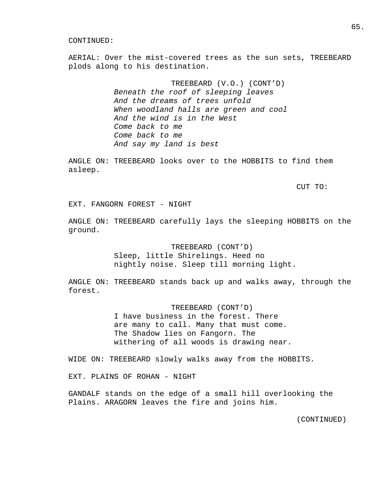AERIAL: Over the mist-covered trees as the sun sets, TREEBEARD plods along to his destination.

> TREEBEARD (V.O.) (CONT'D) Beneath the roof of sleeping leaves And the dreams of trees unfold When woodland halls are green and cool And the wind is in the West Come back to me Come back to me And say my land is best

ANGLE ON: TREEBEARD looks over to the HOBBITS to find them asleep.

CUT TO:

EXT. FANGORN FOREST - NIGHT

ANGLE ON: TREEBEARD carefully lays the sleeping HOBBITS on the ground.

> TREEBEARD (CONT'D) Sleep, little Shirelings. Heed no nightly noise. Sleep till morning light.

ANGLE ON: TREEBEARD stands back up and walks away, through the forest.

> TREEBEARD (CONT'D) I have business in the forest. There are many to call. Many that must come. The Shadow lies on Fangorn. The withering of all woods is drawing near.

WIDE ON: TREEBEARD slowly walks away from the HOBBITS.

EXT. PLAINS OF ROHAN - NIGHT

GANDALF stands on the edge of a small hill overlooking the Plains. ARAGORN leaves the fire and joins him.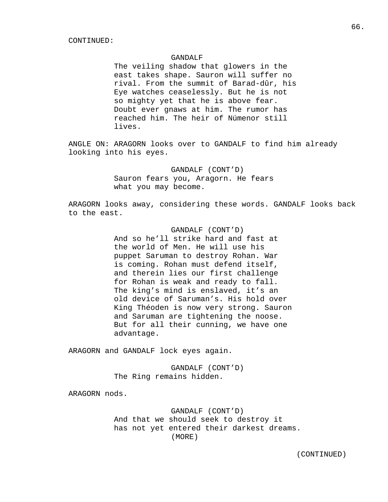### GANDALF

 The veiling shadow that glowers in the east takes shape. Sauron will suffer no rival. From the summit of Barad-dûr, his Eye watches ceaselessly. But he is not so mighty yet that he is above fear. Doubt ever gnaws at him. The rumor has reached him. The heir of Númenor still lives.

ANGLE ON: ARAGORN looks over to GANDALF to find him already looking into his eyes.

> GANDALF (CONT'D) Sauron fears you, Aragorn. He fears what you may become.

ARAGORN looks away, considering these words. GANDALF looks back to the east.

> GANDALF (CONT'D) And so he'll strike hard and fast at the world of Men. He will use his puppet Saruman to destroy Rohan. War is coming. Rohan must defend itself, and therein lies our first challenge for Rohan is weak and ready to fall. The king's mind is enslaved, it's an old device of Saruman's. His hold over King Théoden is now very strong. Sauron and Saruman are tightening the noose. But for all their cunning, we have one advantage.

ARAGORN and GANDALF lock eyes again.

 GANDALF (CONT'D) The Ring remains hidden.

ARAGORN nods.

 GANDALF (CONT'D) And that we should seek to destroy it has not yet entered their darkest dreams. (MORE)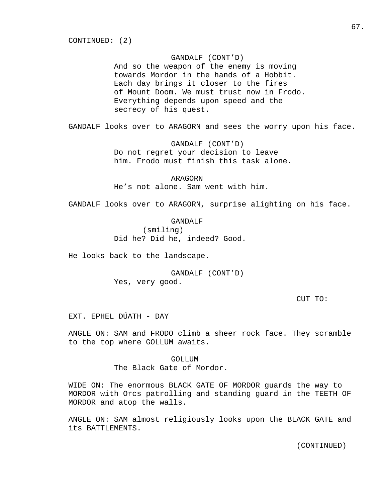## GANDALF (CONT'D)

 And so the weapon of the enemy is moving towards Mordor in the hands of a Hobbit. Each day brings it closer to the fires of Mount Doom. We must trust now in Frodo. Everything depends upon speed and the secrecy of his quest.

GANDALF looks over to ARAGORN and sees the worry upon his face.

 GANDALF (CONT'D) Do not regret your decision to leave him. Frodo must finish this task alone.

 ARAGORN He's not alone. Sam went with him.

GANDALF looks over to ARAGORN, surprise alighting on his face.

 GANDALF (smiling) Did he? Did he, indeed? Good.

He looks back to the landscape.

 GANDALF (CONT'D) Yes, very good.

CUT TO:

EXT. EPHEL DÚATH - DAY

ANGLE ON: SAM and FRODO climb a sheer rock face. They scramble to the top where GOLLUM awaits.

> GOLLUM The Black Gate of Mordor.

WIDE ON: The enormous BLACK GATE OF MORDOR guards the way to MORDOR with Orcs patrolling and standing guard in the TEETH OF MORDOR and atop the walls.

ANGLE ON: SAM almost religiously looks upon the BLACK GATE and its BATTLEMENTS.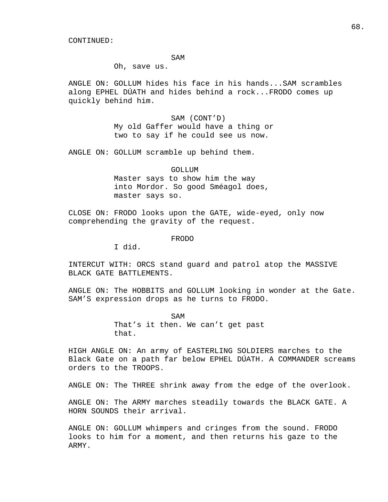SAM

Oh, save us.

ANGLE ON: GOLLUM hides his face in his hands...SAM scrambles along EPHEL DÚATH and hides behind a rock...FRODO comes up quickly behind him.

> SAM (CONT'D) My old Gaffer would have a thing or two to say if he could see us now.

ANGLE ON: GOLLUM scramble up behind them.

 GOLLUM Master says to show him the way into Mordor. So good Sméagol does, master says so.

CLOSE ON: FRODO looks upon the GATE, wide-eyed, only now comprehending the gravity of the request.

FRODO

I did.

INTERCUT WITH: ORCS stand guard and patrol atop the MASSIVE BLACK GATE BATTLEMENTS.

ANGLE ON: The HOBBITS and GOLLUM looking in wonder at the Gate. SAM'S expression drops as he turns to FRODO.

SAM That's it then. We can't get past that.

HIGH ANGLE ON: An army of EASTERLING SOLDIERS marches to the Black Gate on a path far below EPHEL DÚATH. A COMMANDER screams orders to the TROOPS.

ANGLE ON: The THREE shrink away from the edge of the overlook.

ANGLE ON: The ARMY marches steadily towards the BLACK GATE. A HORN SOUNDS their arrival.

ANGLE ON: GOLLUM whimpers and cringes from the sound. FRODO looks to him for a moment, and then returns his gaze to the ARMY.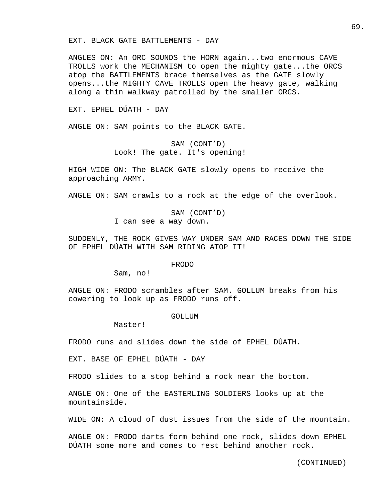EXT. BLACK GATE BATTLEMENTS - DAY

ANGLES ON: An ORC SOUNDS the HORN again...two enormous CAVE TROLLS work the MECHANISM to open the mighty gate...the ORCS atop the BATTLEMENTS brace themselves as the GATE slowly opens...the MIGHTY CAVE TROLLS open the heavy gate, walking along a thin walkway patrolled by the smaller ORCS.

EXT. EPHEL DÚATH - DAY

ANGLE ON: SAM points to the BLACK GATE.

 SAM (CONT'D) Look! The gate. It's opening!

HIGH WIDE ON: The BLACK GATE slowly opens to receive the approaching ARMY.

ANGLE ON: SAM crawls to a rock at the edge of the overlook.

 SAM (CONT'D) I can see a way down.

SUDDENLY, THE ROCK GIVES WAY UNDER SAM AND RACES DOWN THE SIDE OF EPHEL DÚATH WITH SAM RIDING ATOP IT!

FRODO

Sam, no!

ANGLE ON: FRODO scrambles after SAM. GOLLUM breaks from his cowering to look up as FRODO runs off.

GOLLUM

Master!

FRODO runs and slides down the side of EPHEL DÚATH.

EXT. BASE OF EPHEL DÚATH - DAY

FRODO slides to a stop behind a rock near the bottom.

ANGLE ON: One of the EASTERLING SOLDIERS looks up at the mountainside.

WIDE ON: A cloud of dust issues from the side of the mountain.

ANGLE ON: FRODO darts form behind one rock, slides down EPHEL DÚATH some more and comes to rest behind another rock.

69.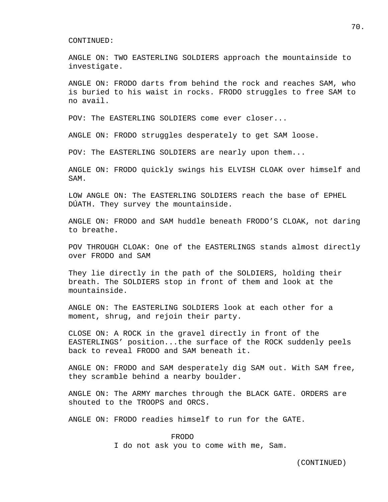ANGLE ON: TWO EASTERLING SOLDIERS approach the mountainside to investigate.

ANGLE ON: FRODO darts from behind the rock and reaches SAM, who is buried to his waist in rocks. FRODO struggles to free SAM to no avail.

POV: The EASTERLING SOLDIERS come ever closer...

ANGLE ON: FRODO struggles desperately to get SAM loose.

POV: The EASTERLING SOLDIERS are nearly upon them...

ANGLE ON: FRODO quickly swings his ELVISH CLOAK over himself and SAM.

LOW ANGLE ON: The EASTERLING SOLDIERS reach the base of EPHEL DÚATH. They survey the mountainside.

ANGLE ON: FRODO and SAM huddle beneath FRODO'S CLOAK, not daring to breathe.

POV THROUGH CLOAK: One of the EASTERLINGS stands almost directly over FRODO and SAM

They lie directly in the path of the SOLDIERS, holding their breath. The SOLDIERS stop in front of them and look at the mountainside.

ANGLE ON: The EASTERLING SOLDIERS look at each other for a moment, shrug, and rejoin their party.

CLOSE ON: A ROCK in the gravel directly in front of the EASTERLINGS' position...the surface of the ROCK suddenly peels back to reveal FRODO and SAM beneath it.

ANGLE ON: FRODO and SAM desperately dig SAM out. With SAM free, they scramble behind a nearby boulder.

ANGLE ON: The ARMY marches through the BLACK GATE. ORDERS are shouted to the TROOPS and ORCS.

ANGLE ON: FRODO readies himself to run for the GATE.

 FRODO I do not ask you to come with me, Sam. 70.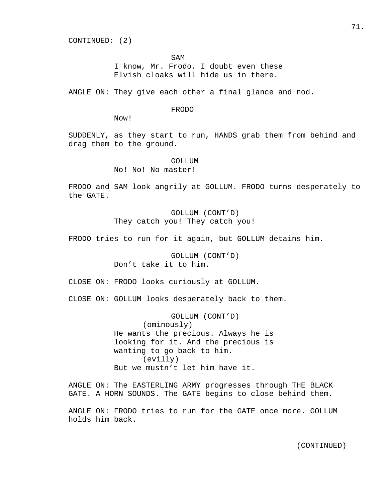CONTINUED: (2)

SAM

 I know, Mr. Frodo. I doubt even these Elvish cloaks will hide us in there.

ANGLE ON: They give each other a final glance and nod.

### FRODO

Now!

SUDDENLY, as they start to run, HANDS grab them from behind and drag them to the ground.

GOLLUM

No! No! No master!

FRODO and SAM look angrily at GOLLUM. FRODO turns desperately to the GATE.

> GOLLUM (CONT'D) They catch you! They catch you!

FRODO tries to run for it again, but GOLLUM detains him.

 GOLLUM (CONT'D) Don't take it to him.

CLOSE ON: FRODO looks curiously at GOLLUM.

CLOSE ON: GOLLUM looks desperately back to them.

 GOLLUM (CONT'D) (ominously) He wants the precious. Always he is looking for it. And the precious is wanting to go back to him. (evilly) But we mustn't let him have it.

ANGLE ON: The EASTERLING ARMY progresses through THE BLACK GATE. A HORN SOUNDS. The GATE begins to close behind them.

ANGLE ON: FRODO tries to run for the GATE once more. GOLLUM holds him back.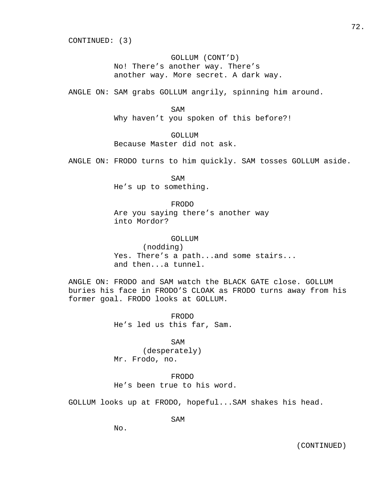CONTINUED: (3)

## GOLLUM (CONT'D) No! There's another way. There's another way. More secret. A dark way.

ANGLE ON: SAM grabs GOLLUM angrily, spinning him around.

## SAM

Why haven't you spoken of this before?!

## GOLLUM

Because Master did not ask.

ANGLE ON: FRODO turns to him quickly. SAM tosses GOLLUM aside.

 SAM He's up to something.

## FRODO

 Are you saying there's another way into Mordor?

### GOLLUM

 (nodding) Yes. There's a path...and some stairs... and then...a tunnel.

ANGLE ON: FRODO and SAM watch the BLACK GATE close. GOLLUM buries his face in FRODO'S CLOAK as FRODO turns away from his former goal. FRODO looks at GOLLUM.

> FRODO He's led us this far, Sam.

## SAM

 (desperately) Mr. Frodo, no.

 FRODO He's been true to his word.

GOLLUM looks up at FRODO, hopeful...SAM shakes his head.

SAM

No.

72.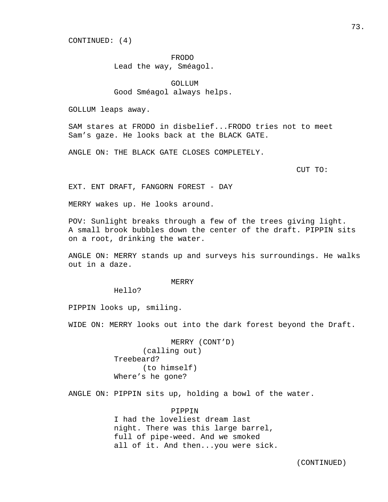CONTINUED: (4)

FRODO

Lead the way, Sméagol.

 GOLLUM Good Sméagol always helps.

GOLLUM leaps away.

SAM stares at FRODO in disbelief...FRODO tries not to meet Sam's gaze. He looks back at the BLACK GATE.

ANGLE ON: THE BLACK GATE CLOSES COMPLETELY.

CUT TO:

EXT. ENT DRAFT, FANGORN FOREST - DAY

MERRY wakes up. He looks around.

POV: Sunlight breaks through a few of the trees giving light. A small brook bubbles down the center of the draft. PIPPIN sits on a root, drinking the water.

ANGLE ON: MERRY stands up and surveys his surroundings. He walks out in a daze.

MERRY

Hello?

PIPPIN looks up, smiling.

WIDE ON: MERRY looks out into the dark forest beyond the Draft.

 MERRY (CONT'D) (calling out) Treebeard? (to himself) Where's he gone?

ANGLE ON: PIPPIN sits up, holding a bowl of the water.

 PIPPIN I had the loveliest dream last night. There was this large barrel, full of pipe-weed. And we smoked all of it. And then...you were sick.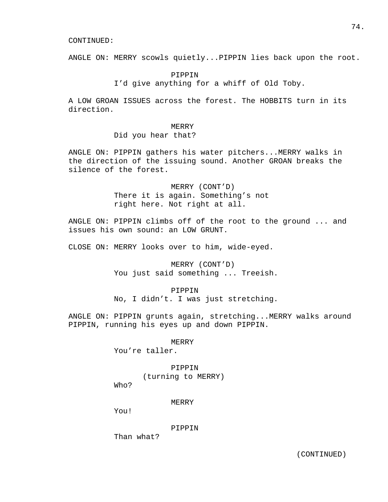ANGLE ON: MERRY scowls quietly...PIPPIN lies back upon the root.

## PIPPIN I'd give anything for a whiff of Old Toby.

A LOW GROAN ISSUES across the forest. The HOBBITS turn in its direction.

### MERRY

## Did you hear that?

ANGLE ON: PIPPIN gathers his water pitchers...MERRY walks in the direction of the issuing sound. Another GROAN breaks the silence of the forest.

> MERRY (CONT'D) There it is again. Something's not right here. Not right at all.

ANGLE ON: PIPPIN climbs off of the root to the ground ... and issues his own sound: an LOW GRUNT.

CLOSE ON: MERRY looks over to him, wide-eyed.

 MERRY (CONT'D) You just said something ... Treeish.

#### PIPPIN

No, I didn't. I was just stretching.

ANGLE ON: PIPPIN grunts again, stretching...MERRY walks around PIPPIN, running his eyes up and down PIPPIN.

MERRY

You're taller.

 PIPPIN (turning to MERRY)

Who?

#### MERRY

You!

## PIPPIN

Than what?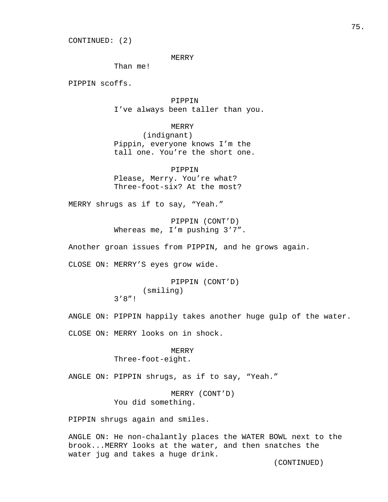CONTINUED: (2)

#### MERRY

Than me!

PIPPIN scoffs.

 PIPPIN I've always been taller than you.

 MERRY (indignant) Pippin, everyone knows I'm the tall one. You're the short one.

 PIPPIN Please, Merry. You're what? Three-foot-six? At the most?

MERRY shrugs as if to say, "Yeah."

 PIPPIN (CONT'D) Whereas me, I'm pushing  $3'7''.$ 

Another groan issues from PIPPIN, and he grows again.

CLOSE ON: MERRY'S eyes grow wide.

 PIPPIN (CONT'D) (smiling) 3'8"!

ANGLE ON: PIPPIN happily takes another huge gulp of the water.

CLOSE ON: MERRY looks on in shock.

 MERRY Three-foot-eight.

ANGLE ON: PIPPIN shrugs, as if to say, "Yeah."

 MERRY (CONT'D) You did something.

PIPPIN shrugs again and smiles.

ANGLE ON: He non-chalantly places the WATER BOWL next to the brook...MERRY looks at the water, and then snatches the water jug and takes a huge drink.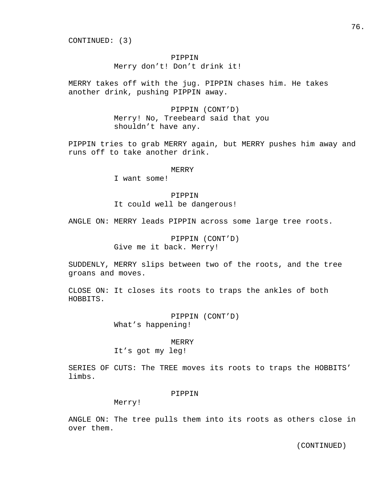CONTINUED: (3)

## PIPPIN

Merry don't! Don't drink it!

MERRY takes off with the jug. PIPPIN chases him. He takes another drink, pushing PIPPIN away.

> PIPPIN (CONT'D) Merry! No, Treebeard said that you shouldn't have any.

PIPPIN tries to grab MERRY again, but MERRY pushes him away and runs off to take another drink.

#### **MERRY**

I want some!

 PIPPIN It could well be dangerous!

ANGLE ON: MERRY leads PIPPIN across some large tree roots.

 PIPPIN (CONT'D) Give me it back. Merry!

SUDDENLY, MERRY slips between two of the roots, and the tree groans and moves.

CLOSE ON: It closes its roots to traps the ankles of both HOBBITS.

> PIPPIN (CONT'D) What's happening!

> > MERRY

It's got my leg!

SERIES OF CUTS: The TREE moves its roots to traps the HOBBITS' limbs.

### PIPPIN

Merry!

ANGLE ON: The tree pulls them into its roots as others close in over them.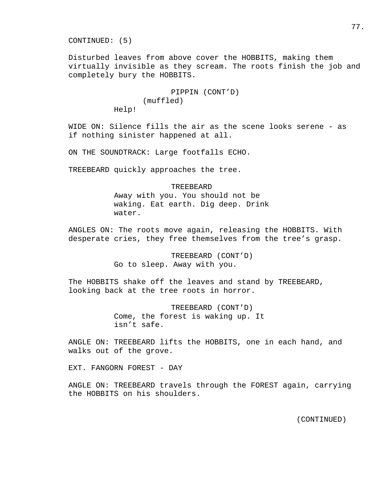77.

CONTINUED: (5)

Disturbed leaves from above cover the HOBBITS, making them virtually invisible as they scream. The roots finish the job and completely bury the HOBBITS.

> PIPPIN (CONT'D) (muffled) Help!

WIDE ON: Silence fills the air as the scene looks serene - as if nothing sinister happened at all.

ON THE SOUNDTRACK: Large footfalls ECHO.

TREEBEARD quickly approaches the tree.

 TREEBEARD Away with you. You should not be waking. Eat earth. Dig deep. Drink water.

ANGLES ON: The roots move again, releasing the HOBBITS. With desperate cries, they free themselves from the tree's grasp.

> TREEBEARD (CONT'D) Go to sleep. Away with you.

The HOBBITS shake off the leaves and stand by TREEBEARD, looking back at the tree roots in horror.

> TREEBEARD (CONT'D) Come, the forest is waking up. It isn't safe.

ANGLE ON: TREEBEARD lifts the HOBBITS, one in each hand, and walks out of the grove.

EXT. FANGORN FOREST - DAY

ANGLE ON: TREEBEARD travels through the FOREST again, carrying the HOBBITS on his shoulders.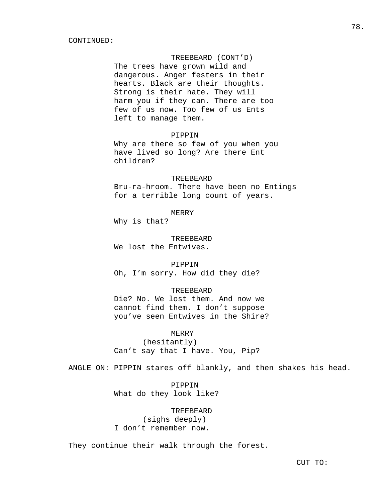## TREEBEARD (CONT'D)

 The trees have grown wild and dangerous. Anger festers in their hearts. Black are their thoughts. Strong is their hate. They will harm you if they can. There are too few of us now. Too few of us Ents left to manage them.

### PIPPIN

 Why are there so few of you when you have lived so long? Are there Ent children?

## TREEBEARD

 Bru-ra-hroom. There have been no Entings for a terrible long count of years.

## MERRY

Why is that?

#### TREEBEARD

We lost the Entwives.

 PIPPIN Oh, I'm sorry. How did they die?

### TREEBEARD

 Die? No. We lost them. And now we cannot find them. I don't suppose you've seen Entwives in the Shire?

 MERRY (hesitantly) Can't say that I have. You, Pip?

ANGLE ON: PIPPIN stares off blankly, and then shakes his head.

 PIPPIN What do they look like?

## TREEBEARD (sighs deeply) I don't remember now.

They continue their walk through the forest.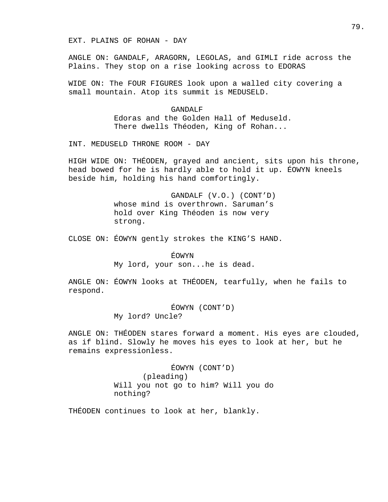EXT. PLAINS OF ROHAN - DAY

ANGLE ON: GANDALF, ARAGORN, LEGOLAS, and GIMLI ride across the Plains. They stop on a rise looking across to EDORAS

WIDE ON: The FOUR FIGURES look upon a walled city covering a small mountain. Atop its summit is MEDUSELD.

> GANDALF Edoras and the Golden Hall of Meduseld. There dwells Théoden, King of Rohan...

INT. MEDUSELD THRONE ROOM - DAY

HIGH WIDE ON: THÉODEN, grayed and ancient, sits upon his throne, head bowed for he is hardly able to hold it up. ÉOWYN kneels beside him, holding his hand comfortingly.

> GANDALF (V.O.) (CONT'D) whose mind is overthrown. Saruman's hold over King Théoden is now very strong.

CLOSE ON: ÉOWYN gently strokes the KING'S HAND.

ÉOWYN

My lord, your son...he is dead.

ANGLE ON: ÉOWYN looks at THÉODEN, tearfully, when he fails to respond.

> ÉOWYN (CONT'D) My lord? Uncle?

ANGLE ON: THÉODEN stares forward a moment. His eyes are clouded, as if blind. Slowly he moves his eyes to look at her, but he remains expressionless.

> ÉOWYN (CONT'D) (pleading) Will you not go to him? Will you do nothing?

THÉODEN continues to look at her, blankly.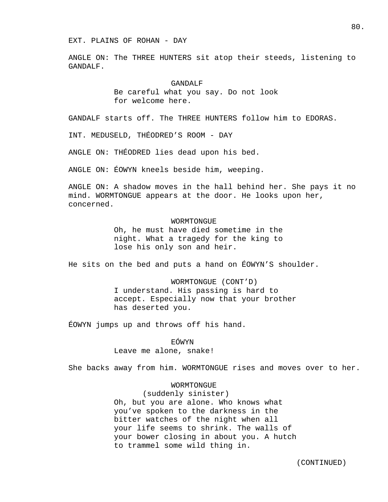#### EXT. PLAINS OF ROHAN - DAY

ANGLE ON: The THREE HUNTERS sit atop their steeds, listening to GANDALF.

### GANDALF

 Be careful what you say. Do not look for welcome here.

GANDALF starts off. The THREE HUNTERS follow him to EDORAS.

INT. MEDUSELD, THÉODRED'S ROOM - DAY

ANGLE ON: THÉODRED lies dead upon his bed.

ANGLE ON: ÉOWYN kneels beside him, weeping.

ANGLE ON: A shadow moves in the hall behind her. She pays it no mind. WORMTONGUE appears at the door. He looks upon her, concerned.

> WORMTONGUE Oh, he must have died sometime in the night. What a tragedy for the king to lose his only son and heir.

He sits on the bed and puts a hand on ÉOWYN'S shoulder.

 WORMTONGUE (CONT'D) I understand. His passing is hard to accept. Especially now that your brother has deserted you.

ÉOWYN jumps up and throws off his hand.

EÓWYN

Leave me alone, snake!

She backs away from him. WORMTONGUE rises and moves over to her.

## WORMTONGUE

 (suddenly sinister) Oh, but you are alone. Who knows what you've spoken to the darkness in the bitter watches of the night when all your life seems to shrink. The walls of your bower closing in about you. A hutch to trammel some wild thing in.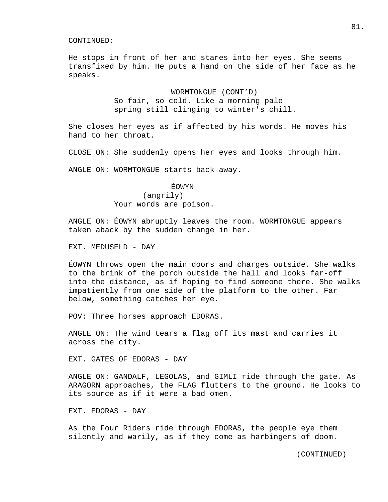He stops in front of her and stares into her eyes. She seems transfixed by him. He puts a hand on the side of her face as he speaks.

> WORMTONGUE (CONT'D) So fair, so cold. Like a morning pale spring still clinging to winter's chill.

She closes her eyes as if affected by his words. He moves his hand to her throat.

CLOSE ON: She suddenly opens her eyes and looks through him.

ANGLE ON: WORMTONGUE starts back away.

ÉOWYN

## (angrily) Your words are poison.

ANGLE ON: ÉOWYN abruptly leaves the room. WORMTONGUE appears taken aback by the sudden change in her.

EXT. MEDUSELD - DAY

ÉOWYN throws open the main doors and charges outside. She walks to the brink of the porch outside the hall and looks far-off into the distance, as if hoping to find someone there. She walks impatiently from one side of the platform to the other. Far below, something catches her eye.

POV: Three horses approach EDORAS.

ANGLE ON: The wind tears a flag off its mast and carries it across the city.

EXT. GATES OF EDORAS - DAY

ANGLE ON: GANDALF, LEGOLAS, and GIMLI ride through the gate. As ARAGORN approaches, the FLAG flutters to the ground. He looks to its source as if it were a bad omen.

EXT. EDORAS - DAY

As the Four Riders ride through EDORAS, the people eye them silently and warily, as if they come as harbingers of doom.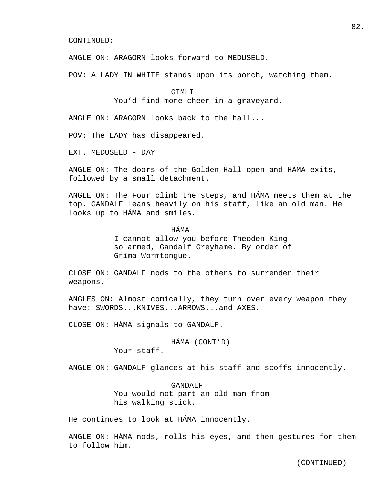ANGLE ON: ARAGORN looks forward to MEDUSELD.

POV: A LADY IN WHITE stands upon its porch, watching them.

#### GTMLT

You'd find more cheer in a graveyard.

ANGLE ON: ARAGORN looks back to the hall...

POV: The LADY has disappeared.

EXT. MEDUSELD - DAY

ANGLE ON: The doors of the Golden Hall open and HÁMA exits, followed by a small detachment.

ANGLE ON: The Four climb the steps, and HÁMA meets them at the top. GANDALF leans heavily on his staff, like an old man. He looks up to HÁMA and smiles.

## HÁMA

 I cannot allow you before Théoden King so armed, Gandalf Greyhame. By order of Gríma Wormtongue.

CLOSE ON: GANDALF nods to the others to surrender their weapons.

ANGLES ON: Almost comically, they turn over every weapon they have: SWORDS...KNIVES...ARROWS...and AXES.

CLOSE ON: HÁMA signals to GANDALF.

# HÁMA (CONT'D)

Your staff.

ANGLE ON: GANDALF glances at his staff and scoffs innocently.

 GANDALF You would not part an old man from his walking stick.

He continues to look at HÁMA innocently.

ANGLE ON: HÁMA nods, rolls his eyes, and then gestures for them to follow him.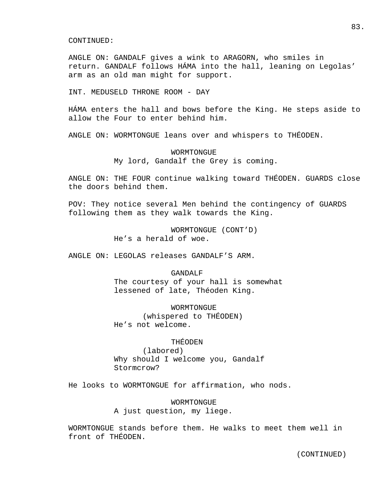ANGLE ON: GANDALF gives a wink to ARAGORN, who smiles in return. GANDALF follows HÁMA into the hall, leaning on Legolas' arm as an old man might for support.

INT. MEDUSELD THRONE ROOM - DAY

HÁMA enters the hall and bows before the King. He steps aside to allow the Four to enter behind him.

ANGLE ON: WORMTONGUE leans over and whispers to THÉODEN.

 WORMTONGUE My lord, Gandalf the Grey is coming.

ANGLE ON: THE FOUR continue walking toward THÉODEN. GUARDS close the doors behind them.

POV: They notice several Men behind the contingency of GUARDS following them as they walk towards the King.

> WORMTONGUE (CONT'D) He's a herald of woe.

ANGLE ON: LEGOLAS releases GANDALF'S ARM.

#### GANDALF

 The courtesy of your hall is somewhat lessened of late, Théoden King.

 WORMTONGUE (whispered to THÉODEN) He's not welcome.

## THÉODEN

 (labored) Why should I welcome you, Gandalf Stormcrow?

He looks to WORMTONGUE for affirmation, who nods.

 WORMTONGUE A just question, my liege.

WORMTONGUE stands before them. He walks to meet them well in front of THÉODEN.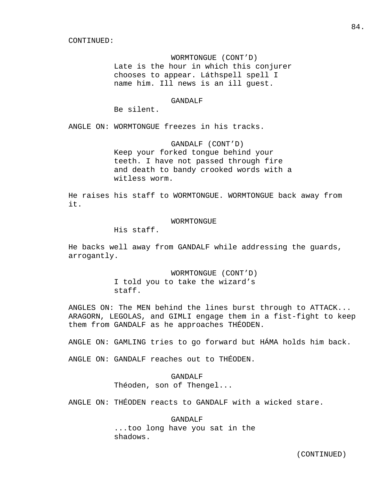WORMTONGUE (CONT'D) Late is the hour in which this conjurer chooses to appear. Láthspell spell I name him. Ill news is an ill guest.

## GANDALF

Be silent.

ANGLE ON: WORMTONGUE freezes in his tracks.

 GANDALF (CONT'D) Keep your forked tongue behind your teeth. I have not passed through fire and death to bandy crooked words with a witless worm.

He raises his staff to WORMTONGUE. WORMTONGUE back away from it.

#### WORMTONGUE

His staff.

He backs well away from GANDALF while addressing the guards, arrogantly.

> WORMTONGUE (CONT'D) I told you to take the wizard's staff.

ANGLES ON: The MEN behind the lines burst through to ATTACK... ARAGORN, LEGOLAS, and GIMLI engage them in a fist-fight to keep them from GANDALF as he approaches THÉODEN.

ANGLE ON: GAMLING tries to go forward but HÁMA holds him back.

ANGLE ON: GANDALF reaches out to THÉODEN.

 GANDALF Théoden, son of Thengel...

ANGLE ON: THÉODEN reacts to GANDALF with a wicked stare.

 GANDALF ...too long have you sat in the shadows.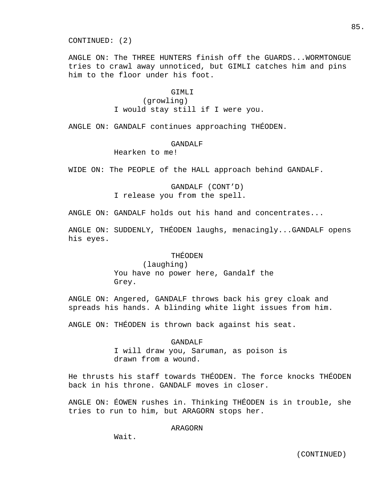CONTINUED: (2)

ANGLE ON: The THREE HUNTERS finish off the GUARDS...WORMTONGUE tries to crawl away unnoticed, but GIMLI catches him and pins him to the floor under his foot.

## GTMLT

 (growling) I would stay still if I were you.

ANGLE ON: GANDALF continues approaching THÉODEN.

#### GANDALF

Hearken to me!

WIDE ON: The PEOPLE of the HALL approach behind GANDALF.

 GANDALF (CONT'D) I release you from the spell.

ANGLE ON: GANDALF holds out his hand and concentrates...

ANGLE ON: SUDDENLY, THÉODEN laughs, menacingly...GANDALF opens his eyes.

## THÉODEN

 (laughing) You have no power here, Gandalf the Grey.

ANGLE ON: Angered, GANDALF throws back his grey cloak and spreads his hands. A blinding white light issues from him.

ANGLE ON: THÉODEN is thrown back against his seat.

 GANDALF I will draw you, Saruman, as poison is drawn from a wound.

He thrusts his staff towards THÉODEN. The force knocks THÉODEN back in his throne. GANDALF moves in closer.

ANGLE ON: ÉOWEN rushes in. Thinking THÉODEN is in trouble, she tries to run to him, but ARAGORN stops her.

ARAGORN

Wait.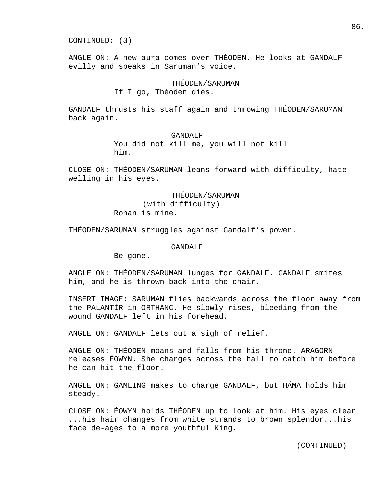CONTINUED: (3)

ANGLE ON: A new aura comes over THÉODEN. He looks at GANDALF evilly and speaks in Saruman's voice.

## THÉODEN/SARUMAN

## If I go, Théoden dies.

GANDALF thrusts his staff again and throwing THÉODEN/SARUMAN back again.

## GANDALF

 You did not kill me, you will not kill him.

CLOSE ON: THÉODEN/SARUMAN leans forward with difficulty, hate welling in his eyes.

> THÉODEN/SARUMAN (with difficulty) Rohan is mine.

THÉODEN/SARUMAN struggles against Gandalf's power.

#### GANDALF

Be gone.

ANGLE ON: THÉODEN/SARUMAN lunges for GANDALF. GANDALF smites him, and he is thrown back into the chair.

INSERT IMAGE: SARUMAN flies backwards across the floor away from the PALANTÍR in ORTHANC. He slowly rises, bleeding from the wound GANDALF left in his forehead.

ANGLE ON: GANDALF lets out a sigh of relief.

ANGLE ON: THÉODEN moans and falls from his throne. ARAGORN releases ÉOWYN. She charges across the hall to catch him before he can hit the floor.

ANGLE ON: GAMLING makes to charge GANDALF, but HÁMA holds him steady.

CLOSE ON: ÉOWYN holds THÉODEN up to look at him. His eyes clear ...his hair changes from white strands to brown splendor...his face de-ages to a more youthful King.

86.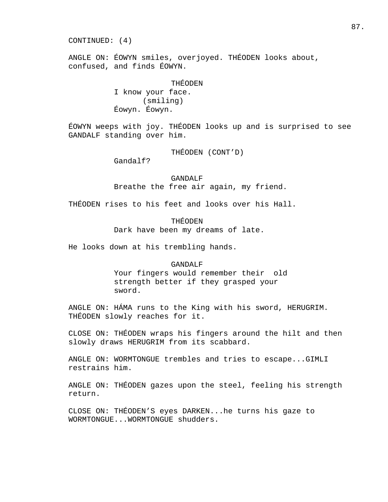CONTINUED: (4)

ANGLE ON: ÉOWYN smiles, overjoyed. THÉODEN looks about, confused, and finds ÉOWYN.

> THÉODEN I know your face. (smiling) Éowyn. Éowyn.

ÉOWYN weeps with joy. THÉODEN looks up and is surprised to see GANDALF standing over him.

THÉODEN (CONT'D)

Gandalf?

 GANDALF Breathe the free air again, my friend.

THÉODEN rises to his feet and looks over his Hall.

 THÉODEN Dark have been my dreams of late.

He looks down at his trembling hands.

## GANDALF

 Your fingers would remember their old strength better if they grasped your sword.

ANGLE ON: HÁMA runs to the King with his sword, HERUGRIM. THÉODEN slowly reaches for it.

CLOSE ON: THÉODEN wraps his fingers around the hilt and then slowly draws HERUGRIM from its scabbard.

ANGLE ON: WORMTONGUE trembles and tries to escape...GIMLI restrains him.

ANGLE ON: THÉODEN gazes upon the steel, feeling his strength return.

CLOSE ON: THÉODEN'S eyes DARKEN...he turns his gaze to WORMTONGUE...WORMTONGUE shudders.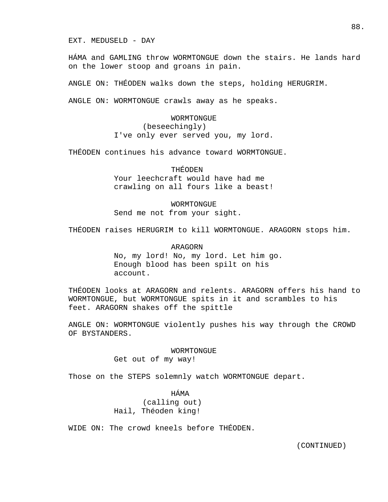EXT. MEDUSELD - DAY

HÁMA and GAMLING throw WORMTONGUE down the stairs. He lands hard on the lower stoop and groans in pain.

ANGLE ON: THÉODEN walks down the steps, holding HERUGRIM.

ANGLE ON: WORMTONGUE crawls away as he speaks.

 WORMTONGUE (beseechingly) I've only ever served you, my lord.

THÉODEN continues his advance toward WORMTONGUE.

 THÉODEN Your leechcraft would have had me crawling on all fours like a beast!

 WORMTONGUE Send me not from your sight.

THÉODEN raises HERUGRIM to kill WORMTONGUE. ARAGORN stops him.

 ARAGORN No, my lord! No, my lord. Let him go. Enough blood has been spilt on his account.

THÉODEN looks at ARAGORN and relents. ARAGORN offers his hand to WORMTONGUE, but WORMTONGUE spits in it and scrambles to his feet. ARAGORN shakes off the spittle

ANGLE ON: WORMTONGUE violently pushes his way through the CROWD OF BYSTANDERS.

WORMTONGUE

Get out of my way!

Those on the STEPS solemnly watch WORMTONGUE depart.

 HÁMA (calling out) Hail, Théoden king!

WIDE ON: The crowd kneels before THÉODEN.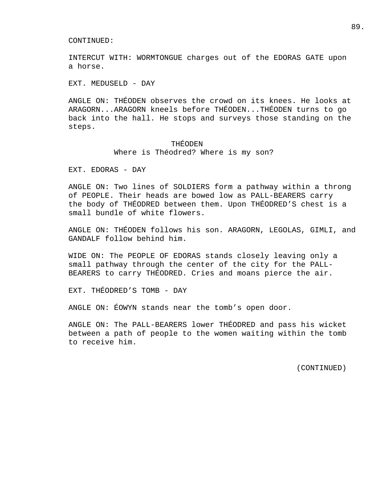INTERCUT WITH: WORMTONGUE charges out of the EDORAS GATE upon a horse.

EXT. MEDUSELD - DAY

ANGLE ON: THÉODEN observes the crowd on its knees. He looks at ARAGORN...ARAGORN kneels before THÉODEN...THÉODEN turns to go back into the hall. He stops and surveys those standing on the steps.

### THÉODEN

Where is Théodred? Where is my son?

EXT. EDORAS - DAY

ANGLE ON: Two lines of SOLDIERS form a pathway within a throng of PEOPLE. Their heads are bowed low as PALL-BEARERS carry the body of THÉODRED between them. Upon THÉODRED'S chest is a small bundle of white flowers.

ANGLE ON: THÉODEN follows his son. ARAGORN, LEGOLAS, GIMLI, and GANDALF follow behind him.

WIDE ON: The PEOPLE OF EDORAS stands closely leaving only a small pathway through the center of the city for the PALL-BEARERS to carry THÉODRED. Cries and moans pierce the air.

EXT. THÉODRED'S TOMB - DAY

ANGLE ON: ÉOWYN stands near the tomb's open door.

ANGLE ON: The PALL-BEARERS lower THÉODRED and pass his wicket between a path of people to the women waiting within the tomb to receive him.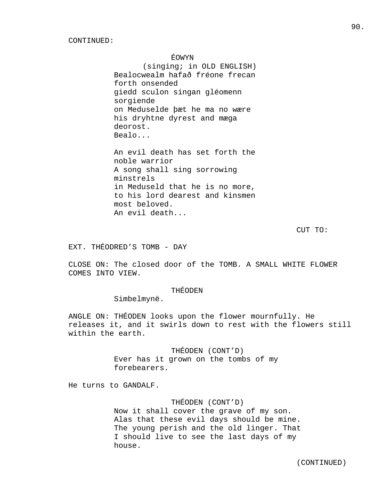ÉOWYN

 (singing; in OLD ENGLISH) Bealocwealm hafað fréone frecan forth onsended giedd sculon singan gléomenn sorgiende on Meduselde þæt he ma no wære his dryhtne dyrest and mæga deorost. Bealo...

 An evil death has set forth the noble warrior A song shall sing sorrowing minstrels in Meduseld that he is no more, to his lord dearest and kinsmen most beloved. An evil death...

CUT TO:

EXT. THÉODRED'S TOMB - DAY

CLOSE ON: The closed door of the TOMB. A SMALL WHITE FLOWER COMES INTO VIEW.

## THÉODEN

Simbelmynë.

ANGLE ON: THÉODEN looks upon the flower mournfully. He releases it, and it swirls down to rest with the flowers still within the earth.

> THÉODEN (CONT'D) Ever has it grown on the tombs of my forebearers.

He turns to GANDALF.

## THÉODEN (CONT'D)

 Now it shall cover the grave of my son. Alas that these evil days should be mine. The young perish and the old linger. That I should live to see the last days of my house.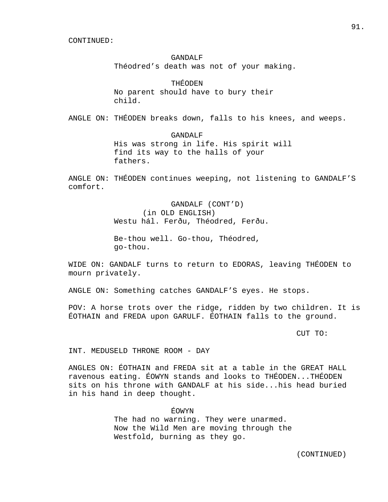#### GANDALF

Théodred's death was not of your making.

## THÉODEN

 No parent should have to bury their child.

ANGLE ON: THÉODEN breaks down, falls to his knees, and weeps.

#### GANDALF

 His was strong in life. His spirit will find its way to the halls of your fathers.

ANGLE ON: THÉODEN continues weeping, not listening to GANDALF'S comfort.

> GANDALF (CONT'D) (in OLD ENGLISH) Westu hál. Ferðu, Théodred, Ferðu.

 Be-thou well. Go-thou, Théodred, go-thou.

WIDE ON: GANDALF turns to return to EDORAS, leaving THÉODEN to mourn privately.

ANGLE ON: Something catches GANDALF'S eyes. He stops.

POV: A horse trots over the ridge, ridden by two children. It is ÉOTHAIN and FREDA upon GARULF. ÉOTHAIN falls to the ground.

CUT TO:

INT. MEDUSELD THRONE ROOM - DAY

ANGLES ON: ÉOTHAIN and FREDA sit at a table in the GREAT HALL ravenous eating. ÉOWYN stands and looks to THÉODEN...THÉODEN sits on his throne with GANDALF at his side...his head buried in his hand in deep thought.

> ÉOWYN The had no warning. They were unarmed. Now the Wild Men are moving through the Westfold, burning as they go.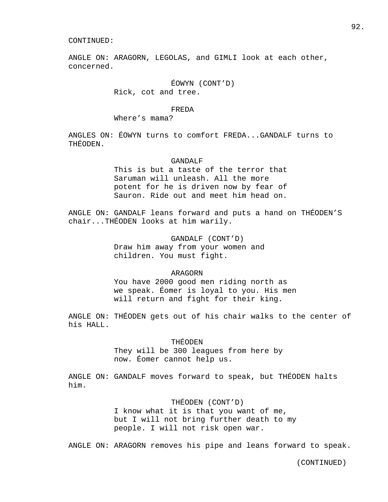ANGLE ON: ARAGORN, LEGOLAS, and GIMLI look at each other, concerned.

## ÉOWYN (CONT'D) Rick, cot and tree.

#### FREDA

Where's mama?

ANGLES ON: ÉOWYN turns to comfort FREDA...GANDALF turns to THÉODEN.

#### GANDALF

 This is but a taste of the terror that Saruman will unleash. All the more potent for he is driven now by fear of Sauron. Ride out and meet him head on.

ANGLE ON: GANDALF leans forward and puts a hand on THÉODEN'S chair...THÉODEN looks at him warily.

> GANDALF (CONT'D) Draw him away from your women and children. You must fight.

### ARAGORN

 You have 2000 good men riding north as we speak. Éomer is loyal to you. His men will return and fight for their king.

ANGLE ON: THÉODEN gets out of his chair walks to the center of his HALL.

## THÉODEN

 They will be 300 leagues from here by now. Éomer cannot help us.

ANGLE ON: GANDALF moves forward to speak, but THÉODEN halts him.

## THÉODEN (CONT'D)

 I know what it is that you want of me, but I will not bring further death to my people. I will not risk open war.

ANGLE ON: ARAGORN removes his pipe and leans forward to speak.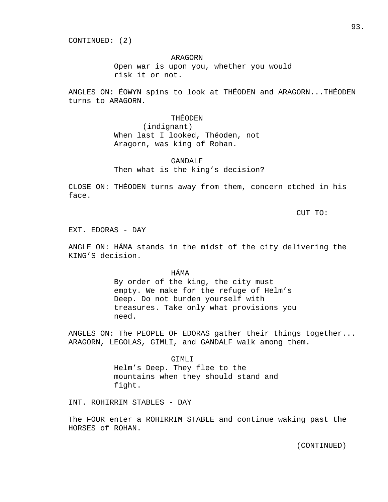CONTINUED: (2)

## ARAGORN

 Open war is upon you, whether you would risk it or not.

ANGLES ON: ÉOWYN spins to look at THÉODEN and ARAGORN...THÉODEN turns to ARAGORN.

> THÉODEN (indignant) When last I looked, Théoden, not Aragorn, was king of Rohan.

## GANDALF Then what is the king's decision?

CLOSE ON: THÉODEN turns away from them, concern etched in his face.

CUT TO:

EXT. EDORAS - DAY

ANGLE ON: HÁMA stands in the midst of the city delivering the KING'S decision.

HÁMA

 By order of the king, the city must empty. We make for the refuge of Helm's Deep. Do not burden yourself with treasures. Take only what provisions you need.

ANGLES ON: The PEOPLE OF EDORAS gather their things together... ARAGORN, LEGOLAS, GIMLI, and GANDALF walk among them.

> GIMLI Helm's Deep. They flee to the mountains when they should stand and fight.

INT. ROHIRRIM STABLES - DAY

The FOUR enter a ROHIRRIM STABLE and continue waking past the HORSES of ROHAN.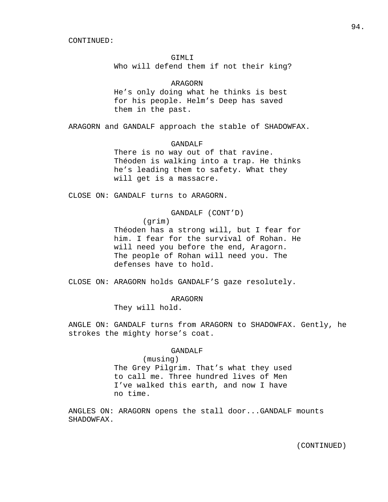GIMLI

Who will defend them if not their king?

### ARAGORN

 He's only doing what he thinks is best for his people. Helm's Deep has saved them in the past.

ARAGORN and GANDALF approach the stable of SHADOWFAX.

#### GANDALF

 There is no way out of that ravine. Théoden is walking into a trap. He thinks he's leading them to safety. What they will get is a massacre.

CLOSE ON: GANDALF turns to ARAGORN.

GANDALF (CONT'D)

(grim)

 Théoden has a strong will, but I fear for him. I fear for the survival of Rohan. He will need you before the end, Aragorn. The people of Rohan will need you. The defenses have to hold.

CLOSE ON: ARAGORN holds GANDALF'S gaze resolutely.

ARAGORN

They will hold.

ANGLE ON: GANDALF turns from ARAGORN to SHADOWFAX. Gently, he strokes the mighty horse's coat.

#### GANDALF

 (musing) The Grey Pilgrim. That's what they used to call me. Three hundred lives of Men I've walked this earth, and now I have no time.

ANGLES ON: ARAGORN opens the stall door...GANDALF mounts SHADOWFAX.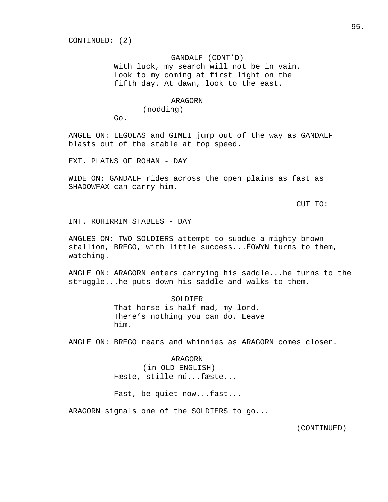### GANDALF (CONT'D)

 With luck, my search will not be in vain. Look to my coming at first light on the fifth day. At dawn, look to the east.

### ARAGORN

(nodding)

Go.

ANGLE ON: LEGOLAS and GIMLI jump out of the way as GANDALF blasts out of the stable at top speed.

EXT. PLAINS OF ROHAN - DAY

WIDE ON: GANDALF rides across the open plains as fast as SHADOWFAX can carry him.

CUT TO:

INT. ROHIRRIM STABLES - DAY

ANGLES ON: TWO SOLDIERS attempt to subdue a mighty brown stallion, BREGO, with little success...ÉOWYN turns to them, watching.

ANGLE ON: ARAGORN enters carrying his saddle...he turns to the struggle...he puts down his saddle and walks to them.

> SOLDIER That horse is half mad, my lord. There's nothing you can do. Leave him.

ANGLE ON: BREGO rears and whinnies as ARAGORN comes closer.

### ARAGORN

 (in OLD ENGLISH) Fæste, stille nú...fæste...

Fast, be quiet now...fast...

ARAGORN signals one of the SOLDIERS to go...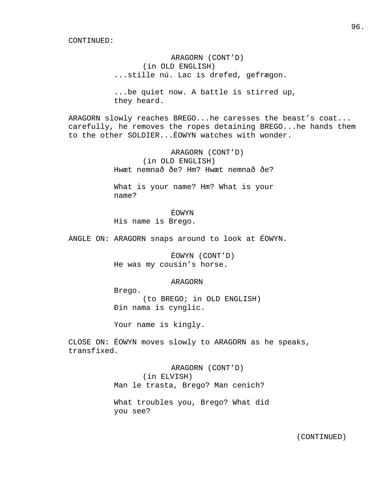ARAGORN (CONT'D) (in OLD ENGLISH) ...stille nú. Lac is drefed, gefrægon.

 ...be quiet now. A battle is stirred up, they heard.

ARAGORN slowly reaches BREGO...he caresses the beast's coat... carefully, he removes the ropes detaining BREGO...he hands them to the other SOLDIER...ÉOWYN watches with wonder.

> ARAGORN (CONT'D) (in OLD ENGLISH) Hwæt nemnað ðe? Hm? Hwæt nemnað ðe?

> What is your name? Hm? What is your name?

 ÉOWYN His name is Brego.

ANGLE ON: ARAGORN snaps around to look at ÉOWYN.

 ÉOWYN (CONT'D) He was my cousin's horse.

### ARAGORN

 Brego. (to BREGO; in OLD ENGLISH) Ðin nama is cynglic.

Your name is kingly.

CLOSE ON: ÉOWYN moves slowly to ARAGORN as he speaks, transfixed.

> ARAGORN (CONT'D) (in ELVISH) Man le trasta, Brego? Man cenich?

 What troubles you, Brego? What did you see?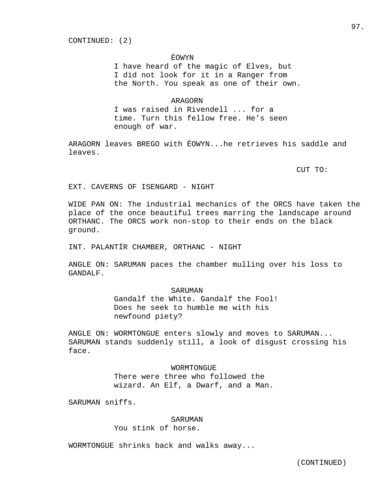## ÉOWYN

 I have heard of the magic of Elves, but I did not look for it in a Ranger from the North. You speak as one of their own.

## ARAGORN

 I was raised in Rivendell ... for a time. Turn this fellow free. He's seen enough of war.

ARAGORN leaves BREGO with ÉOWYN...he retrieves his saddle and leaves.

CUT TO:

EXT. CAVERNS OF ISENGARD - NIGHT

WIDE PAN ON: The industrial mechanics of the ORCS have taken the place of the once beautiful trees marring the landscape around ORTHANC. The ORCS work non-stop to their ends on the black ground.

INT. PALANTÍR CHAMBER, ORTHANC - NIGHT

ANGLE ON: SARUMAN paces the chamber mulling over his loss to GANDALF.

#### SARUMAN

 Gandalf the White. Gandalf the Fool! Does he seek to humble me with his newfound piety?

ANGLE ON: WORMTONGUE enters slowly and moves to SARUMAN... SARUMAN stands suddenly still, a look of disgust crossing his face.

> WORMTONGUE There were three who followed the wizard. An Elf, a Dwarf, and a Man.

SARUMAN sniffs.

## SARUMAN

You stink of horse.

WORMTONGUE shrinks back and walks away...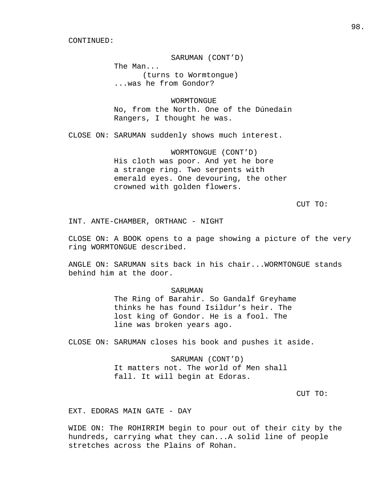SARUMAN (CONT'D)

 The Man... (turns to Wormtongue) ...was he from Gondor?

**WORMTONGUE**  No, from the North. One of the Dúnedain Rangers, I thought he was.

CLOSE ON: SARUMAN suddenly shows much interest.

 WORMTONGUE (CONT'D) His cloth was poor. And yet he bore a strange ring. Two serpents with emerald eyes. One devouring, the other crowned with golden flowers.

CUT TO:

INT. ANTE-CHAMBER, ORTHANC - NIGHT

CLOSE ON: A BOOK opens to a page showing a picture of the very ring WORMTONGUE described.

ANGLE ON: SARUMAN sits back in his chair...WORMTONGUE stands behind him at the door.

#### SARUMAN

 The Ring of Barahir. So Gandalf Greyhame thinks he has found Isildur's heir. The lost king of Gondor. He is a fool. The line was broken years ago.

CLOSE ON: SARUMAN closes his book and pushes it aside.

 SARUMAN (CONT'D) It matters not. The world of Men shall fall. It will begin at Edoras.

CUT TO:

EXT. EDORAS MAIN GATE - DAY

WIDE ON: The ROHIRRIM begin to pour out of their city by the hundreds, carrying what they can...A solid line of people stretches across the Plains of Rohan.

98.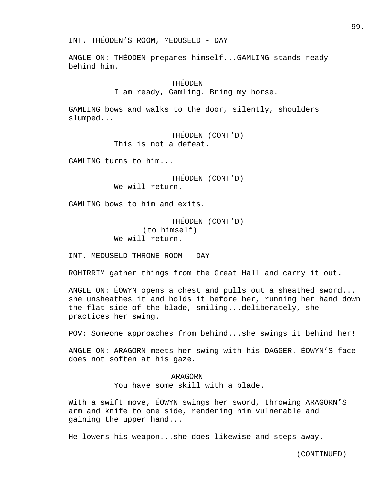INT. THÉODEN'S ROOM, MEDUSELD - DAY

ANGLE ON: THÉODEN prepares himself...GAMLING stands ready behind him.

## THÉODEN

I am ready, Gamling. Bring my horse.

GAMLING bows and walks to the door, silently, shoulders slumped...

> THÉODEN (CONT'D) This is not a defeat.

GAMLING turns to him...

 THÉODEN (CONT'D) We will return.

GAMLING bows to him and exits.

 THÉODEN (CONT'D) (to himself) We will return.

INT. MEDUSELD THRONE ROOM - DAY

ROHIRRIM gather things from the Great Hall and carry it out.

ANGLE ON: ÉOWYN opens a chest and pulls out a sheathed sword... she unsheathes it and holds it before her, running her hand down the flat side of the blade, smiling...deliberately, she practices her swing.

POV: Someone approaches from behind...she swings it behind her!

ANGLE ON: ARAGORN meets her swing with his DAGGER. ÉOWYN'S face does not soften at his gaze.

> ARAGORN You have some skill with a blade.

With a swift move, ÉOWYN swings her sword, throwing ARAGORN'S arm and knife to one side, rendering him vulnerable and gaining the upper hand...

He lowers his weapon...she does likewise and steps away.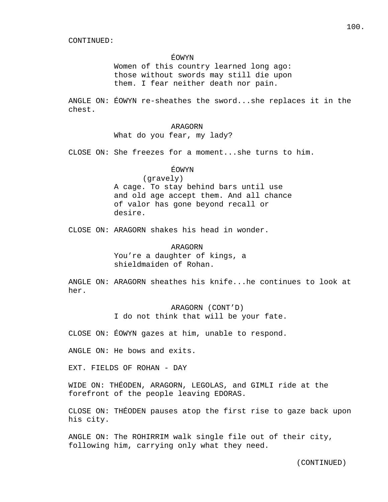### ÉOWYN

 Women of this country learned long ago: those without swords may still die upon them. I fear neither death nor pain.

ANGLE ON: ÉOWYN re-sheathes the sword...she replaces it in the chest.

## ARAGORN

What do you fear, my lady?

CLOSE ON: She freezes for a moment...she turns to him.

## ÉOWYN

 (gravely) A cage. To stay behind bars until use and old age accept them. And all chance of valor has gone beyond recall or desire.

CLOSE ON: ARAGORN shakes his head in wonder.

## ARAGORN

 You're a daughter of kings, a shieldmaiden of Rohan.

ANGLE ON: ARAGORN sheathes his knife...he continues to look at her.

> ARAGORN (CONT'D) I do not think that will be your fate.

CLOSE ON: ÉOWYN gazes at him, unable to respond.

ANGLE ON: He bows and exits.

EXT. FIELDS OF ROHAN - DAY

WIDE ON: THÉODEN, ARAGORN, LEGOLAS, and GIMLI ride at the forefront of the people leaving EDORAS.

CLOSE ON: THÉODEN pauses atop the first rise to gaze back upon his city.

ANGLE ON: The ROHIRRIM walk single file out of their city, following him, carrying only what they need.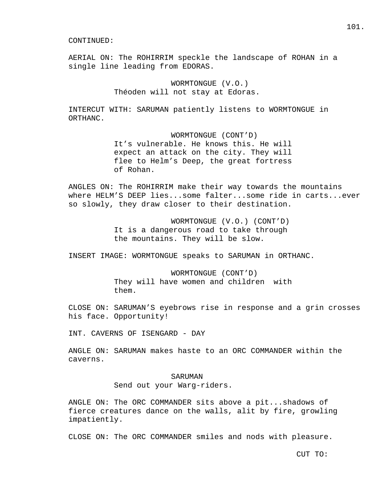AERIAL ON: The ROHIRRIM speckle the landscape of ROHAN in a single line leading from EDORAS.

> WORMTONGUE (V.O.) Théoden will not stay at Edoras.

INTERCUT WITH: SARUMAN patiently listens to WORMTONGUE in ORTHANC.

> WORMTONGUE (CONT'D) It's vulnerable. He knows this. He will expect an attack on the city. They will flee to Helm's Deep, the great fortress of Rohan.

ANGLES ON: The ROHIRRIM make their way towards the mountains where HELM'S DEEP lies...some falter...some ride in carts...ever so slowly, they draw closer to their destination.

> WORMTONGUE (V.O.) (CONT'D) It is a dangerous road to take through the mountains. They will be slow.

INSERT IMAGE: WORMTONGUE speaks to SARUMAN in ORTHANC.

 WORMTONGUE (CONT'D) They will have women and children with them.

CLOSE ON: SARUMAN'S eyebrows rise in response and a grin crosses his face. Opportunity!

INT. CAVERNS OF ISENGARD - DAY

ANGLE ON: SARUMAN makes haste to an ORC COMMANDER within the caverns.

## SARUMAN

Send out your Warg-riders.

ANGLE ON: The ORC COMMANDER sits above a pit...shadows of fierce creatures dance on the walls, alit by fire, growling impatiently.

CLOSE ON: The ORC COMMANDER smiles and nods with pleasure.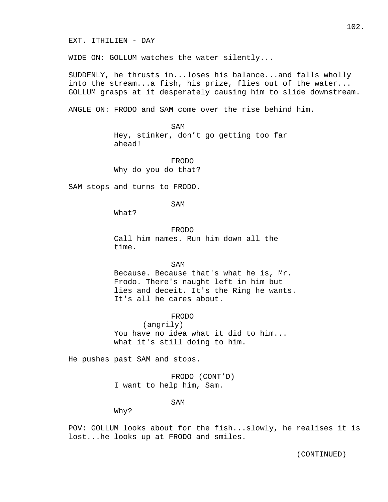WIDE ON: GOLLUM watches the water silently...

SUDDENLY, he thrusts in...loses his balance...and falls wholly into the stream...a fish, his prize, flies out of the water... GOLLUM grasps at it desperately causing him to slide downstream.

ANGLE ON: FRODO and SAM come over the rise behind him.

SAM Hey, stinker, don't go getting too far ahead!

> FRODO Why do you do that?

SAM stops and turns to FRODO.

SAM

What?

 FRODO Call him names. Run him down all the time.

SAM Because. Because that's what he is, Mr. Frodo. There's naught left in him but lies and deceit. It's the Ring he wants. It's all he cares about.

FRODO

 (angrily) You have no idea what it did to him... what it's still doing to him.

He pushes past SAM and stops.

 FRODO (CONT'D) I want to help him, Sam.

SAM

Why?

POV: GOLLUM looks about for the fish...slowly, he realises it is lost...he looks up at FRODO and smiles.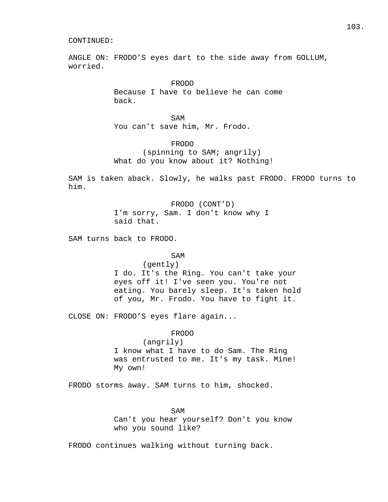ANGLE ON: FRODO'S eyes dart to the side away from GOLLUM, worried.

> FRODO Because I have to believe he can come back.

SAM You can't save him, Mr. Frodo.

> FRODO (spinning to SAM; angrily) What do you know about it? Nothing!

SAM is taken aback. Slowly, he walks past FRODO. FRODO turns to him.

> FRODO (CONT'D) I'm sorry, Sam. I don't know why I said that.

SAM turns back to FRODO.

## SAM

 (gently) I do. It's the Ring. You can't take your eyes off it! I've seen you. You're not eating. You barely sleep. It's taken hold of you, Mr. Frodo. You have to fight it.

CLOSE ON: FRODO'S eyes flare again...

#### FRODO

 (angrily) I know what I have to do Sam. The Ring was entrusted to me. It's my task. Mine! My own!

FRODO storms away. SAM turns to him, shocked.

## SAM

 Can't you hear yourself? Don't you know who you sound like?

FRODO continues walking without turning back.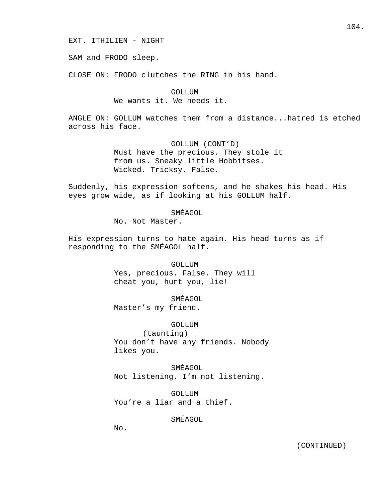SAM and FRODO sleep.

CLOSE ON: FRODO clutches the RING in his hand.

GOLLUM We wants it. We needs it.

ANGLE ON: GOLLUM watches them from a distance...hatred is etched across his face.

> GOLLUM (CONT'D) Must have the precious. They stole it from us. Sneaky little Hobbitses. Wicked. Tricksy. False.

Suddenly, his expression softens, and he shakes his head. His eyes grow wide, as if looking at his GOLLUM half.

## SMÉAGOL

No. Not Master.

His expression turns to hate again. His head turns as if responding to the SMÉAGOL half.

> GOLLUM Yes, precious. False. They will cheat you, hurt you, lie!

> > SMÉAGOL

Master's my friend.

## GOLLUM

 (taunting) You don't have any friends. Nobody likes you.

 SMÉAGOL Not listening. I'm not listening.

 GOLLUM You're a liar and a thief.

SMÉAGOL

No.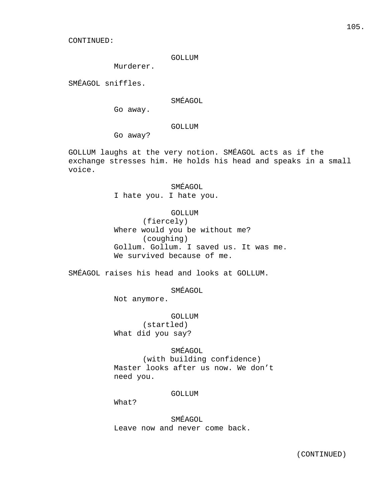### GOLLUM

Murderer.

SMÉAGOL sniffles.

## SMÉAGOL

Go away.

### GOLLUM

Go away?

GOLLUM laughs at the very notion. SMÉAGOL acts as if the exchange stresses him. He holds his head and speaks in a small voice.

## SMÉAGOL

I hate you. I hate you.

## GOLLUM

 (fiercely) Where would you be without me? (coughing) Gollum. Gollum. I saved us. It was me. We survived because of me.

SMÉAGOL raises his head and looks at GOLLUM.

## SMÉAGOL

Not anymore.

# GOLLUM

 (startled) What did you say?

## SMÉAGOL

 (with building confidence) Master looks after us now. We don't need you.

## GOLLUM

What?

 SMÉAGOL Leave now and never come back.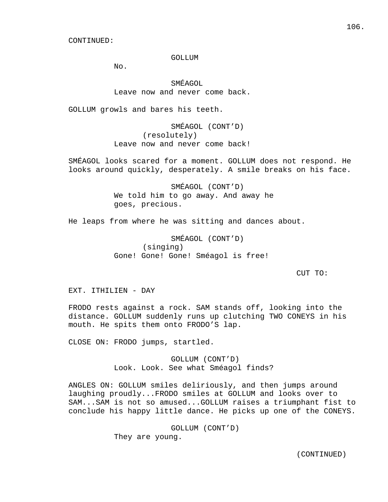#### GOLLUM

No.

 SMÉAGOL Leave now and never come back.

GOLLUM growls and bares his teeth.

 SMÉAGOL (CONT'D) (resolutely) Leave now and never come back!

SMÉAGOL looks scared for a moment. GOLLUM does not respond. He looks around quickly, desperately. A smile breaks on his face.

> SMÉAGOL (CONT'D) We told him to go away. And away he goes, precious.

He leaps from where he was sitting and dances about.

 SMÉAGOL (CONT'D) (singing) Gone! Gone! Gone! Sméagol is free!

CUT TO:

EXT. ITHILIEN - DAY

FRODO rests against a rock. SAM stands off, looking into the distance. GOLLUM suddenly runs up clutching TWO CONEYS in his mouth. He spits them onto FRODO'S lap.

CLOSE ON: FRODO jumps, startled.

 GOLLUM (CONT'D) Look. Look. See what Sméagol finds?

ANGLES ON: GOLLUM smiles deliriously, and then jumps around laughing proudly...FRODO smiles at GOLLUM and looks over to SAM...SAM is not so amused...GOLLUM raises a triumphant fist to conclude his happy little dance. He picks up one of the CONEYS.

> GOLLUM (CONT'D) They are young.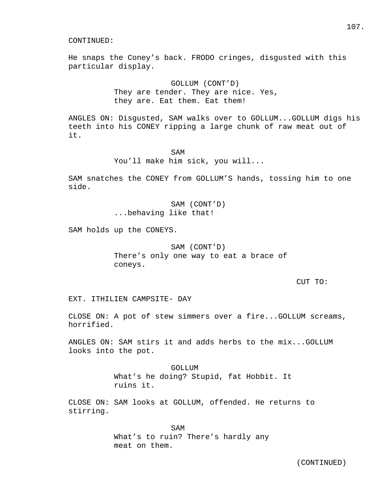He snaps the Coney's back. FRODO cringes, disgusted with this particular display.

> GOLLUM (CONT'D) They are tender. They are nice. Yes, they are. Eat them. Eat them!

ANGLES ON: Disgusted, SAM walks over to GOLLUM...GOLLUM digs his teeth into his CONEY ripping a large chunk of raw meat out of it.

SAM You'll make him sick, you will...

SAM snatches the CONEY from GOLLUM'S hands, tossing him to one side.

> SAM (CONT'D) ...behaving like that!

SAM holds up the CONEYS.

 SAM (CONT'D) There's only one way to eat a brace of coneys.

## CUT TO:

EXT. ITHILIEN CAMPSITE- DAY

CLOSE ON: A pot of stew simmers over a fire...GOLLUM screams, horrified.

ANGLES ON: SAM stirs it and adds herbs to the mix...GOLLUM looks into the pot.

> GOLLUM What's he doing? Stupid, fat Hobbit. It ruins it.

CLOSE ON: SAM looks at GOLLUM, offended. He returns to stirring.

SAM What's to ruin? There's hardly any meat on them.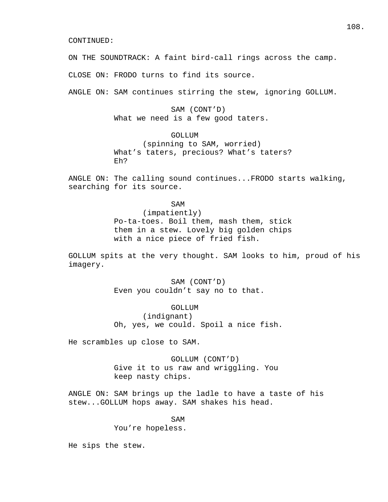ON THE SOUNDTRACK: A faint bird-call rings across the camp.

CLOSE ON: FRODO turns to find its source.

ANGLE ON: SAM continues stirring the stew, ignoring GOLLUM.

# SAM (CONT'D) What we need is a few good taters.

# GOLLUM

 (spinning to SAM, worried) What's taters, precious? What's taters? Eh?

ANGLE ON: The calling sound continues...FRODO starts walking, searching for its source.

SAM

 (impatiently) Po-ta-toes. Boil them, mash them, stick them in a stew. Lovely big golden chips with a nice piece of fried fish.

GOLLUM spits at the very thought. SAM looks to him, proud of his imagery.

> SAM (CONT'D) Even you couldn't say no to that.

 GOLLUM (indignant) Oh, yes, we could. Spoil a nice fish.

He scrambles up close to SAM.

 GOLLUM (CONT'D) Give it to us raw and wriggling. You keep nasty chips.

ANGLE ON: SAM brings up the ladle to have a taste of his stew...GOLLUM hops away. SAM shakes his head.

SAM You're hopeless.

He sips the stew.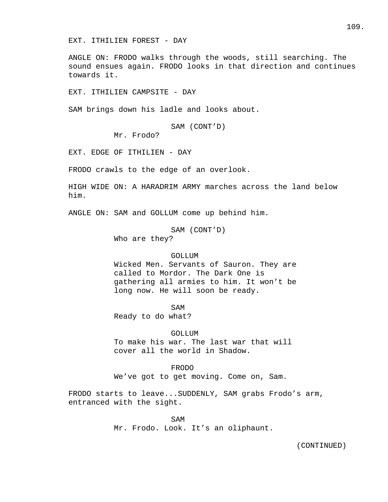EXT. ITHILIEN FOREST - DAY

ANGLE ON: FRODO walks through the woods, still searching. The sound ensues again. FRODO looks in that direction and continues towards it.

EXT. ITHILIEN CAMPSITE - DAY

SAM brings down his ladle and looks about.

SAM (CONT'D)

Mr. Frodo?

EXT. EDGE OF ITHILIEN - DAY

FRODO crawls to the edge of an overlook.

HIGH WIDE ON: A HARADRIM ARMY marches across the land below him.

ANGLE ON: SAM and GOLLUM come up behind him.

SAM (CONT'D)

Who are they?

#### GOLLUM

 Wicked Men. Servants of Sauron. They are called to Mordor. The Dark One is gathering all armies to him. It won't be long now. He will soon be ready.

SAM

Ready to do what?

GOLLUM

 To make his war. The last war that will cover all the world in Shadow.

 FRODO We've got to get moving. Come on, Sam.

FRODO starts to leave...SUDDENLY, SAM grabs Frodo's arm, entranced with the sight.

SAM Mr. Frodo. Look. It's an oliphaunt.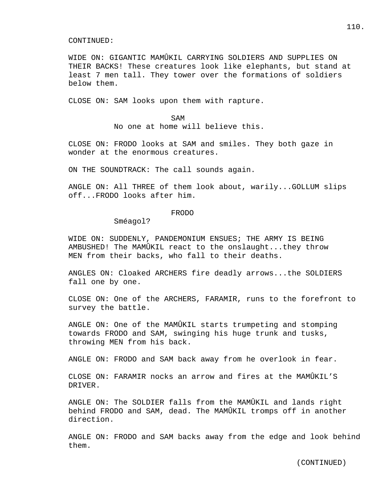WIDE ON: GIGANTIC MAMÛKIL CARRYING SOLDIERS AND SUPPLIES ON THEIR BACKS! These creatures look like elephants, but stand at least 7 men tall. They tower over the formations of soldiers below them.

CLOSE ON: SAM looks upon them with rapture.

SAM No one at home will believe this.

CLOSE ON: FRODO looks at SAM and smiles. They both gaze in wonder at the enormous creatures.

ON THE SOUNDTRACK: The call sounds again.

ANGLE ON: All THREE of them look about, warily...GOLLUM slips off...FRODO looks after him.

# FRODO

Sméagol?

WIDE ON: SUDDENLY, PANDEMONIUM ENSUES; THE ARMY IS BEING AMBUSHED! The MAMÛKIL react to the onslaught...they throw MEN from their backs, who fall to their deaths.

ANGLES ON: Cloaked ARCHERS fire deadly arrows...the SOLDIERS fall one by one.

CLOSE ON: One of the ARCHERS, FARAMIR, runs to the forefront to survey the battle.

ANGLE ON: One of the MAMÛKIL starts trumpeting and stomping towards FRODO and SAM, swinging his huge trunk and tusks, throwing MEN from his back.

ANGLE ON: FRODO and SAM back away from he overlook in fear.

CLOSE ON: FARAMIR nocks an arrow and fires at the MAMÛKIL'S DRIVER.

ANGLE ON: The SOLDIER falls from the MAMÛKIL and lands right behind FRODO and SAM, dead. The MAMÛKIL tromps off in another direction.

ANGLE ON: FRODO and SAM backs away from the edge and look behind them.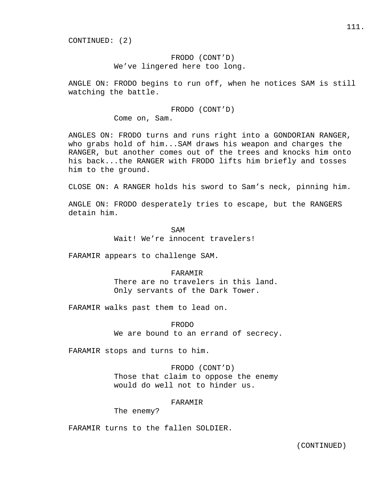CONTINUED: (2)

# FRODO (CONT'D) We've lingered here too long.

ANGLE ON: FRODO begins to run off, when he notices SAM is still watching the battle.

> FRODO (CONT'D) Come on, Sam.

ANGLES ON: FRODO turns and runs right into a GONDORIAN RANGER, who grabs hold of him...SAM draws his weapon and charges the RANGER, but another comes out of the trees and knocks him onto his back...the RANGER with FRODO lifts him briefly and tosses him to the ground.

CLOSE ON: A RANGER holds his sword to Sam's neck, pinning him.

ANGLE ON: FRODO desperately tries to escape, but the RANGERS detain him.

SAM Wait! We're innocent travelers!

FARAMIR appears to challenge SAM.

FARAMIR

 There are no travelers in this land. Only servants of the Dark Tower.

FARAMIR walks past them to lead on.

 FRODO We are bound to an errand of secrecy.

FARAMIR stops and turns to him.

 FRODO (CONT'D) Those that claim to oppose the enemy would do well not to hinder us.

#### FARAMIR

The enemy?

FARAMIR turns to the fallen SOLDIER.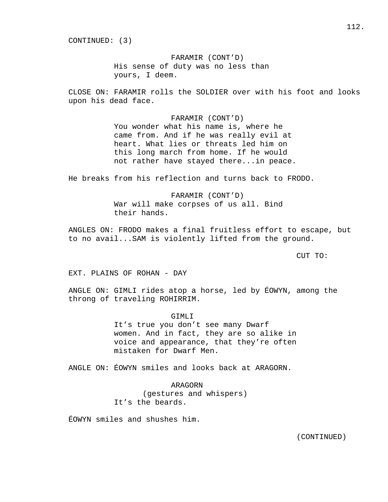CONTINUED: (3)

 FARAMIR (CONT'D) His sense of duty was no less than yours, I deem.

CLOSE ON: FARAMIR rolls the SOLDIER over with his foot and looks upon his dead face.

> FARAMIR (CONT'D) You wonder what his name is, where he came from. And if he was really evil at heart. What lies or threats led him on this long march from home. If he would not rather have stayed there...in peace.

He breaks from his reflection and turns back to FRODO.

 FARAMIR (CONT'D) War will make corpses of us all. Bind their hands.

ANGLES ON: FRODO makes a final fruitless effort to escape, but to no avail...SAM is violently lifted from the ground.

CUT TO:

EXT. PLAINS OF ROHAN - DAY

ANGLE ON: GIMLI rides atop a horse, led by ÉOWYN, among the throng of traveling ROHIRRIM.

> GIMLI It's true you don't see many Dwarf women. And in fact, they are so alike in voice and appearance, that they're often mistaken for Dwarf Men.

ANGLE ON: ÉOWYN smiles and looks back at ARAGORN.

 ARAGORN (gestures and whispers) It's the beards.

ÉOWYN smiles and shushes him.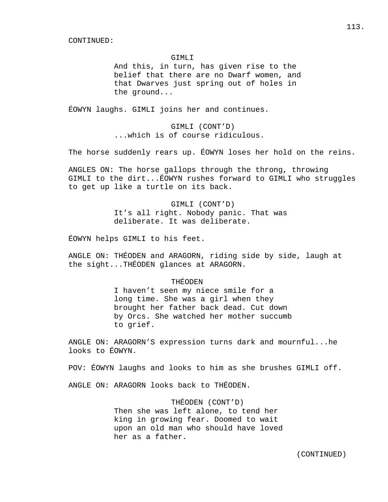#### GIMLI

 And this, in turn, has given rise to the belief that there are no Dwarf women, and that Dwarves just spring out of holes in the ground...

ÉOWYN laughs. GIMLI joins her and continues.

 GIMLI (CONT'D) ...which is of course ridiculous.

The horse suddenly rears up. ÉOWYN loses her hold on the reins.

ANGLES ON: The horse gallops through the throng, throwing GIMLI to the dirt...ÉOWYN rushes forward to GIMLI who struggles to get up like a turtle on its back.

> GIMLI (CONT'D) It's all right. Nobody panic. That was deliberate. It was deliberate.

ÉOWYN helps GIMLI to his feet.

ANGLE ON: THÉODEN and ARAGORN, riding side by side, laugh at the sight...THÉODEN glances at ARAGORN.

# THÉODEN

 I haven't seen my niece smile for a long time. She was a girl when they brought her father back dead. Cut down by Orcs. She watched her mother succumb to grief.

ANGLE ON: ARAGORN'S expression turns dark and mournful...he looks to ÉOWYN.

POV: ÉOWYN laughs and looks to him as she brushes GIMLI off.

ANGLE ON: ARAGORN looks back to THÉODEN.

 THÉODEN (CONT'D) Then she was left alone, to tend her king in growing fear. Doomed to wait upon an old man who should have loved her as a father.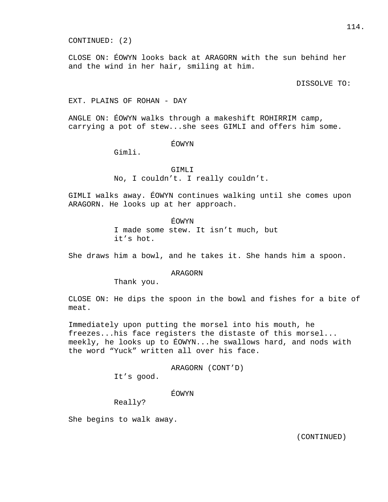CLOSE ON: ÉOWYN looks back at ARAGORN with the sun behind her and the wind in her hair, smiling at him.

DISSOLVE TO:

# EXT. PLAINS OF ROHAN - DAY

ANGLE ON: ÉOWYN walks through a makeshift ROHIRRIM camp, carrying a pot of stew...she sees GIMLI and offers him some.

ÉOWYN

Gimli.

#### GIMLI

No, I couldn't. I really couldn't.

GIMLI walks away. ÉOWYN continues walking until she comes upon ARAGORN. He looks up at her approach.

> ÉOWYN I made some stew. It isn't much, but it's hot.

She draws him a bowl, and he takes it. She hands him a spoon.

# ARAGORN

Thank you.

CLOSE ON: He dips the spoon in the bowl and fishes for a bite of meat.

Immediately upon putting the morsel into his mouth, he freezes...his face registers the distaste of this morsel... meekly, he looks up to ÉOWYN...he swallows hard, and nods with the word "Yuck" written all over his face.

ARAGORN (CONT'D)

It's good.

# ÉOWYN

Really?

She begins to walk away.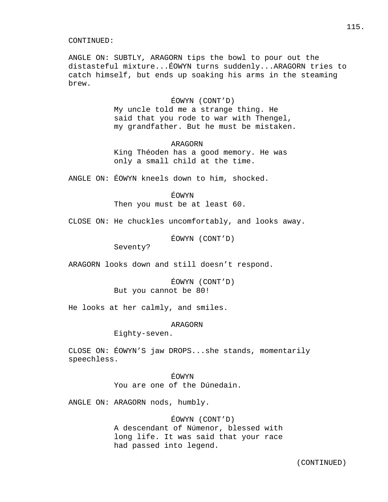ANGLE ON: SUBTLY, ARAGORN tips the bowl to pour out the distasteful mixture...ÉOWYN turns suddenly...ARAGORN tries to catch himself, but ends up soaking his arms in the steaming brew.

# ÉOWYN (CONT'D)

 My uncle told me a strange thing. He said that you rode to war with Thengel, my grandfather. But he must be mistaken.

### ARAGORN

 King Théoden has a good memory. He was only a small child at the time.

ANGLE ON: ÉOWYN kneels down to him, shocked.

## ÉOWYN

Then you must be at least 60.

CLOSE ON: He chuckles uncomfortably, and looks away.

ÉOWYN (CONT'D)

Seventy?

ARAGORN looks down and still doesn't respond.

 ÉOWYN (CONT'D) But you cannot be 80!

He looks at her calmly, and smiles.

## ARAGORN

Eighty-seven.

CLOSE ON: ÉOWYN'S jaw DROPS...she stands, momentarily speechless.

> ÉOWYN You are one of the Dúnedain.

ANGLE ON: ARAGORN nods, humbly.

# ÉOWYN (CONT'D)

 A descendant of Númenor, blessed with long life. It was said that your race had passed into legend.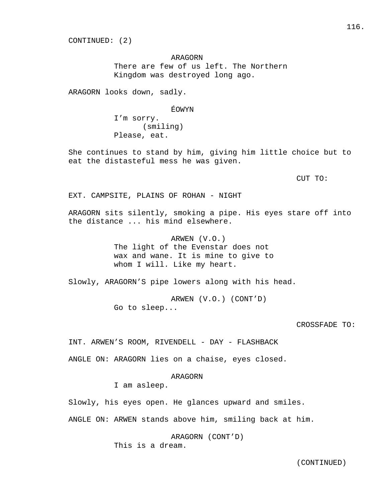CONTINUED: (2)

 ARAGORN There are few of us left. The Northern Kingdom was destroyed long ago.

ARAGORN looks down, sadly.

### ÉOWYN

 I'm sorry. (smiling) Please, eat.

She continues to stand by him, giving him little choice but to eat the distasteful mess he was given.

CUT TO:

EXT. CAMPSITE, PLAINS OF ROHAN - NIGHT

ARAGORN sits silently, smoking a pipe. His eyes stare off into the distance ... his mind elsewhere.

ARWEN (V.O.)

 The light of the Evenstar does not wax and wane. It is mine to give to whom I will. Like my heart.

Slowly, ARAGORN'S pipe lowers along with his head.

 ARWEN (V.O.) (CONT'D) Go to sleep...

## CROSSFADE TO:

INT. ARWEN'S ROOM, RIVENDELL - DAY - FLASHBACK

ANGLE ON: ARAGORN lies on a chaise, eyes closed.

#### ARAGORN

I am asleep.

Slowly, his eyes open. He glances upward and smiles.

ANGLE ON: ARWEN stands above him, smiling back at him.

 ARAGORN (CONT'D) This is a dream.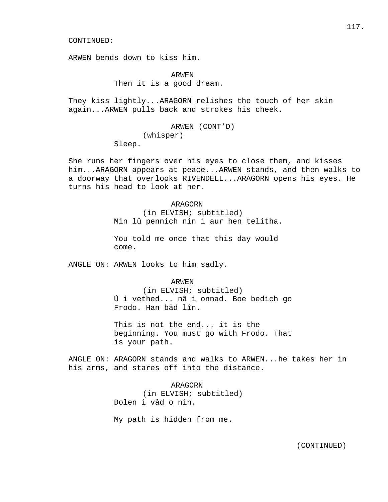ARWEN bends down to kiss him.

 ARWEN Then it is a good dream.

They kiss lightly...ARAGORN relishes the touch of her skin again...ARWEN pulls back and strokes his cheek.

> ARWEN (CONT'D) (whisper) Sleep.

She runs her fingers over his eyes to close them, and kisses him...ARAGORN appears at peace...ARWEN stands, and then walks to a doorway that overlooks RIVENDELL...ARAGORN opens his eyes. He turns his head to look at her.

# ARAGORN

 (in ELVISH; subtitled) Min lû pennich nin i aur hen telitha.

 You told me once that this day would come.

ANGLE ON: ARWEN looks to him sadly.

### ARWEN

 (in ELVISH; subtitled) Ú i vethed... nâ i onnad. Boe bedich go Frodo. Han bâd lîn.

 This is not the end... it is the beginning. You must go with Frodo. That is your path.

ANGLE ON: ARAGORN stands and walks to ARWEN...he takes her in his arms, and stares off into the distance.

> ARAGORN (in ELVISH; subtitled) Dolen i vâd o nin.

My path is hidden from me.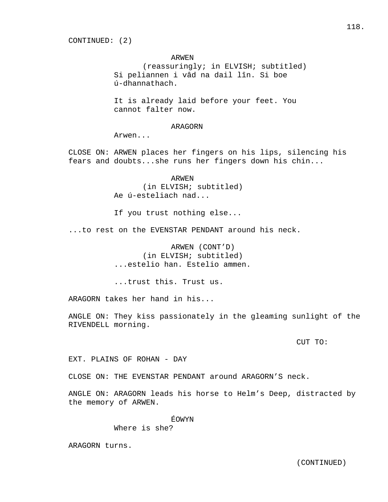CONTINUED: (2)

### ARWEN

 (reassuringly; in ELVISH; subtitled) Si peliannen i vâd na dail lîn. Si boe ú-dhannathach.

 It is already laid before your feet. You cannot falter now.

# ARAGORN

Arwen...

CLOSE ON: ARWEN places her fingers on his lips, silencing his fears and doubts...she runs her fingers down his chin...

> ARWEN (in ELVISH; subtitled) Ae ú-esteliach nad...

If you trust nothing else...

...to rest on the EVENSTAR PENDANT around his neck.

 ARWEN (CONT'D) (in ELVISH; subtitled) ...estelio han. Estelio ammen.

...trust this. Trust us.

ARAGORN takes her hand in his...

ANGLE ON: They kiss passionately in the gleaming sunlight of the RIVENDELL morning.

CUT TO:

EXT. PLAINS OF ROHAN - DAY

CLOSE ON: THE EVENSTAR PENDANT around ARAGORN'S neck.

ANGLE ON: ARAGORN leads his horse to Helm's Deep, distracted by the memory of ARWEN.

ÉOWYN

Where is she?

ARAGORN turns.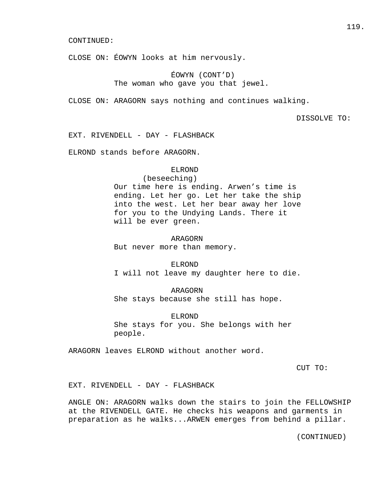CLOSE ON: ÉOWYN looks at him nervously.

# ÉOWYN (CONT'D) The woman who gave you that jewel.

CLOSE ON: ARAGORN says nothing and continues walking.

DISSOLVE TO:

EXT. RIVENDELL - DAY - FLASHBACK

ELROND stands before ARAGORN.

# ELROND

 (beseeching) Our time here is ending. Arwen's time is ending. Let her go. Let her take the ship into the west. Let her bear away her love for you to the Undying Lands. There it will be ever green.

 ARAGORN But never more than memory.

 ELROND I will not leave my daughter here to die.

 ARAGORN She stays because she still has hope.

 ELROND She stays for you. She belongs with her people.

ARAGORN leaves ELROND without another word.

CUT TO:

EXT. RIVENDELL - DAY - FLASHBACK

ANGLE ON: ARAGORN walks down the stairs to join the FELLOWSHIP at the RIVENDELL GATE. He checks his weapons and garments in preparation as he walks...ARWEN emerges from behind a pillar.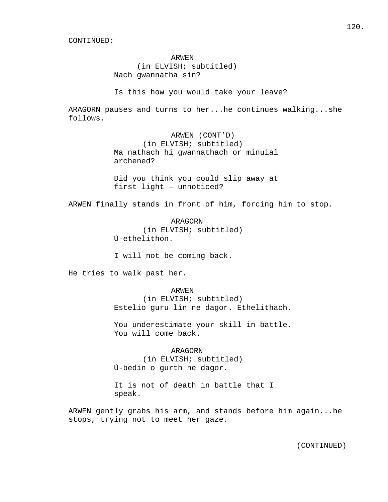#### ARWEN

 (in ELVISH; subtitled) Nach gwannatha sin?

Is this how you would take your leave?

ARAGORN pauses and turns to her...he continues walking...she follows.

> ARWEN (CONT'D) (in ELVISH; subtitled) Ma nathach hi gwannathach or minuial archened?

> Did you think you could slip away at first light – unnoticed?

ARWEN finally stands in front of him, forcing him to stop.

 ARAGORN (in ELVISH; subtitled) Ú-ethelithon.

I will not be coming back.

He tries to walk past her.

#### ARWEN

 (in ELVISH; subtitled) Estelio guru lîn ne dagor. Ethelithach.

 You underestimate your skill in battle. You will come back.

## ARAGORN

 (in ELVISH; subtitled) Ú-bedin o gurth ne dagor.

 It is not of death in battle that I speak.

ARWEN gently grabs his arm, and stands before him again...he stops, trying not to meet her gaze.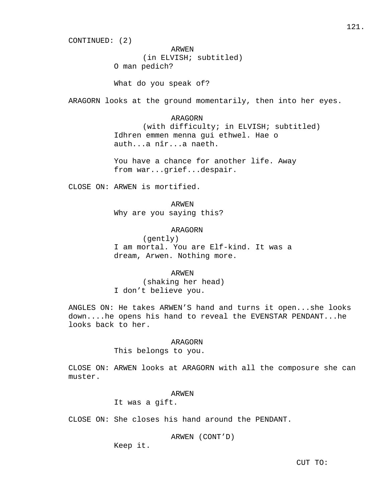CONTINUED: (2)

 ARWEN (in ELVISH; subtitled) O man pedich?

What do you speak of?

ARAGORN looks at the ground momentarily, then into her eyes.

 ARAGORN (with difficulty; in ELVISH; subtitled) Idhren emmen menna gui ethwel. Hae o auth...a nîr...a naeth.

 You have a chance for another life. Away from war...grief...despair.

CLOSE ON: ARWEN is mortified.

ARWEN

Why are you saying this?

# ARAGORN

 (gently) I am mortal. You are Elf-kind. It was a dream, Arwen. Nothing more.

 ARWEN (shaking her head) I don't believe you.

ANGLES ON: He takes ARWEN'S hand and turns it open...she looks down....he opens his hand to reveal the EVENSTAR PENDANT...he looks back to her.

### ARAGORN

This belongs to you.

CLOSE ON: ARWEN looks at ARAGORN with all the composure she can muster.

### ARWEN

It was a gift.

CLOSE ON: She closes his hand around the PENDANT.

ARWEN (CONT'D)

Keep it.

CUT TO: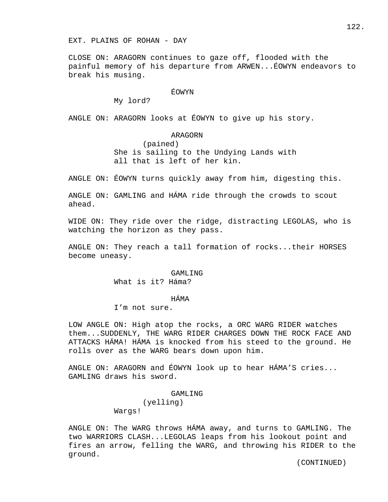CLOSE ON: ARAGORN continues to gaze off, flooded with the painful memory of his departure from ARWEN...ÉOWYN endeavors to break his musing.

# ÉOWYN

My lord?

ANGLE ON: ARAGORN looks at ÉOWYN to give up his story.

# ARAGORN

 (pained) She is sailing to the Undying Lands with all that is left of her kin.

ANGLE ON: ÉOWYN turns quickly away from him, digesting this.

ANGLE ON: GAMLING and HÁMA ride through the crowds to scout ahead.

WIDE ON: They ride over the ridge, distracting LEGOLAS, who is watching the horizon as they pass.

ANGLE ON: They reach a tall formation of rocks...their HORSES become uneasy.

# GAMLING

What is it? Háma?

### HÁMA

I'm not sure.

LOW ANGLE ON: High atop the rocks, a ORC WARG RIDER watches them...SUDDENLY, THE WARG RIDER CHARGES DOWN THE ROCK FACE AND ATTACKS HÁMA! HÁMA is knocked from his steed to the ground. He rolls over as the WARG bears down upon him.

ANGLE ON: ARAGORN and ÉOWYN look up to hear HÁMA'S cries... GAMLING draws his sword.

### GAMLING

(yelling)

Wargs!

ANGLE ON: The WARG throws HÁMA away, and turns to GAMLING. The two WARRIORS CLASH...LEGOLAS leaps from his lookout point and fires an arrow, felling the WARG, and throwing his RIDER to the ground.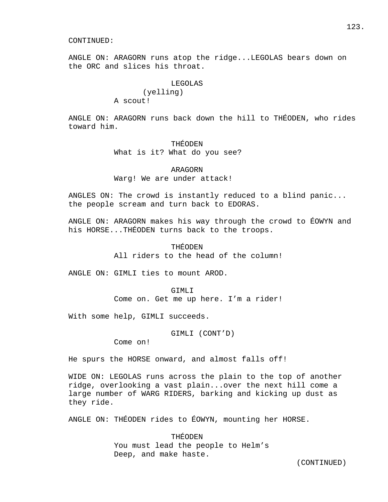ANGLE ON: ARAGORN runs atop the ridge...LEGOLAS bears down on the ORC and slices his throat.

### LEGOLAS

 (yelling) A scout!

ANGLE ON: ARAGORN runs back down the hill to THÉODEN, who rides toward him.

#### THÉODEN

What is it? What do you see?

# ARAGORN Warg! We are under attack!

ANGLES ON: The crowd is instantly reduced to a blind panic... the people scream and turn back to EDORAS.

ANGLE ON: ARAGORN makes his way through the crowd to ÉOWYN and his HORSE...THÉODEN turns back to the troops.

# THÉODEN All riders to the head of the column!

ANGLE ON: GIMLI ties to mount AROD.

#### GTMLT<sub>I</sub>

Come on. Get me up here. I'm a rider!

With some help, GIMLI succeeds.

GIMLI (CONT'D)

Come on!

He spurs the HORSE onward, and almost falls off!

WIDE ON: LEGOLAS runs across the plain to the top of another ridge, overlooking a vast plain...over the next hill come a large number of WARG RIDERS, barking and kicking up dust as they ride.

ANGLE ON: THÉODEN rides to ÉOWYN, mounting her HORSE.

 THÉODEN You must lead the people to Helm's Deep, and make haste.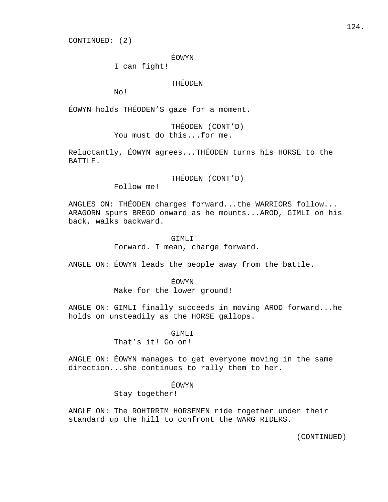CONTINUED: (2)

ÉOWYN

I can fight!

THÉODEN

No!

ÉOWYN holds THÉODEN'S gaze for a moment.

 THÉODEN (CONT'D) You must do this...for me.

Reluctantly, ÉOWYN agrees...THÉODEN turns his HORSE to the BATTLE.

THÉODEN (CONT'D)

Follow me!

ANGLES ON: THÉODEN charges forward...the WARRIORS follow... ARAGORN spurs BREGO onward as he mounts...AROD, GIMLI on his back, walks backward.

GIMLI

Forward. I mean, charge forward.

ANGLE ON: ÉOWYN leads the people away from the battle.

ÉOWYN

Make for the lower ground!

ANGLE ON: GIMLI finally succeeds in moving AROD forward...he holds on unsteadily as the HORSE gallops.

GIMLI

That's it! Go on!

ANGLE ON: ÉOWYN manages to get everyone moving in the same direction...she continues to rally them to her.

ÉOWYN

Stay together!

ANGLE ON: The ROHIRRIM HORSEMEN ride together under their standard up the hill to confront the WARG RIDERS.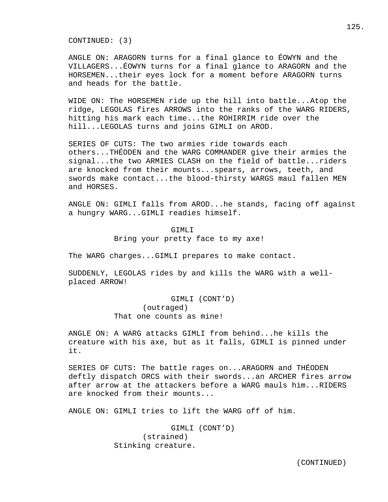CONTINUED: (3)

ANGLE ON: ARAGORN turns for a final glance to ÉOWYN and the VILLAGERS...ÉOWYN turns for a final glance to ARAGORN and the HORSEMEN...their eyes lock for a moment before ARAGORN turns and heads for the battle.

WIDE ON: The HORSEMEN ride up the hill into battle...Atop the ridge, LEGOLAS fires ARROWS into the ranks of the WARG RIDERS, hitting his mark each time...the ROHIRRIM ride over the hill...LEGOLAS turns and joins GIMLI on AROD.

SERIES OF CUTS: The two armies ride towards each others...THÉODEN and the WARG COMMANDER give their armies the signal...the two ARMIES CLASH on the field of battle...riders are knocked from their mounts...spears, arrows, teeth, and swords make contact...the blood-thirsty WARGS maul fallen MEN and HORSES.

ANGLE ON: GIMLI falls from AROD...he stands, facing off against a hungry WARG...GIMLI readies himself.

> GTMLT<sub>I</sub> Bring your pretty face to my axe!

The WARG charges...GIMLI prepares to make contact.

SUDDENLY, LEGOLAS rides by and kills the WARG with a wellplaced ARROW!

> GIMLI (CONT'D) (outraged) That one counts as mine!

ANGLE ON: A WARG attacks GIMLI from behind...he kills the creature with his axe, but as it falls, GIMLI is pinned under it.

SERIES OF CUTS: The battle rages on...ARAGORN and THÉODEN deftly dispatch ORCS with their swords...an ARCHER fires arrow after arrow at the attackers before a WARG mauls him...RIDERS are knocked from their mounts...

ANGLE ON: GIMLI tries to lift the WARG off of him.

 GIMLI (CONT'D) (strained) Stinking creature.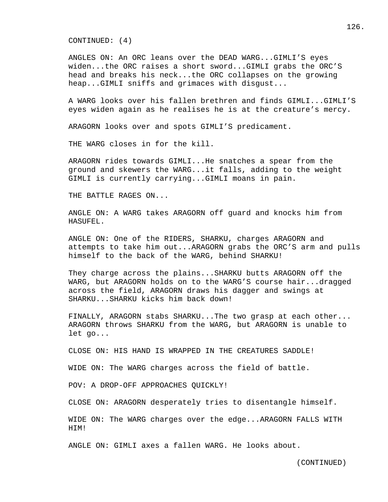CONTINUED: (4)

ANGLES ON: An ORC leans over the DEAD WARG...GIMLI'S eyes widen...the ORC raises a short sword...GIMLI grabs the ORC'S head and breaks his neck...the ORC collapses on the growing heap...GIMLI sniffs and grimaces with disgust...

A WARG looks over his fallen brethren and finds GIMLI...GIMLI'S eyes widen again as he realises he is at the creature's mercy.

ARAGORN looks over and spots GIMLI'S predicament.

THE WARG closes in for the kill.

ARAGORN rides towards GIMLI...He snatches a spear from the ground and skewers the WARG...it falls, adding to the weight GIMLI is currently carrying...GIMLI moans in pain.

THE BATTLE RAGES ON...

ANGLE ON: A WARG takes ARAGORN off guard and knocks him from HASUFEL.

ANGLE ON: One of the RIDERS, SHARKU, charges ARAGORN and attempts to take him out...ARAGORN grabs the ORC'S arm and pulls himself to the back of the WARG, behind SHARKU!

They charge across the plains...SHARKU butts ARAGORN off the WARG, but ARAGORN holds on to the WARG'S course hair...dragged across the field, ARAGORN draws his dagger and swings at SHARKU...SHARKU kicks him back down!

FINALLY, ARAGORN stabs SHARKU...The two grasp at each other... ARAGORN throws SHARKU from the WARG, but ARAGORN is unable to let go...

CLOSE ON: HIS HAND IS WRAPPED IN THE CREATURES SADDLE!

WIDE ON: The WARG charges across the field of battle.

POV: A DROP-OFF APPROACHES QUICKLY!

CLOSE ON: ARAGORN desperately tries to disentangle himself.

WIDE ON: The WARG charges over the edge...ARAGORN FALLS WITH HIM!

ANGLE ON: GIMLI axes a fallen WARG. He looks about.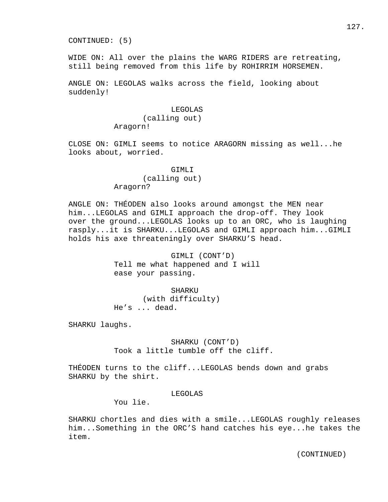CONTINUED: (5)

WIDE ON: All over the plains the WARG RIDERS are retreating, still being removed from this life by ROHIRRIM HORSEMEN.

ANGLE ON: LEGOLAS walks across the field, looking about suddenly!

### LEGOLAS

 (calling out) Aragorn!

CLOSE ON: GIMLI seems to notice ARAGORN missing as well...he looks about, worried.

#### GIMLI

 (calling out) Aragorn?

ANGLE ON: THÉODEN also looks around amongst the MEN near him...LEGOLAS and GIMLI approach the drop-off. They look over the ground...LEGOLAS looks up to an ORC, who is laughing rasply...it is SHARKU...LEGOLAS and GIMLI approach him...GIMLI holds his axe threateningly over SHARKU'S head.

> GIMLI (CONT'D) Tell me what happened and I will ease your passing.

 SHARKU (with difficulty) He's ... dead.

SHARKU laughs.

 SHARKU (CONT'D) Took a little tumble off the cliff.

THÉODEN turns to the cliff...LEGOLAS bends down and grabs SHARKU by the shirt.

# LEGOLAS

You lie.

SHARKU chortles and dies with a smile...LEGOLAS roughly releases him...Something in the ORC'S hand catches his eye...he takes the item.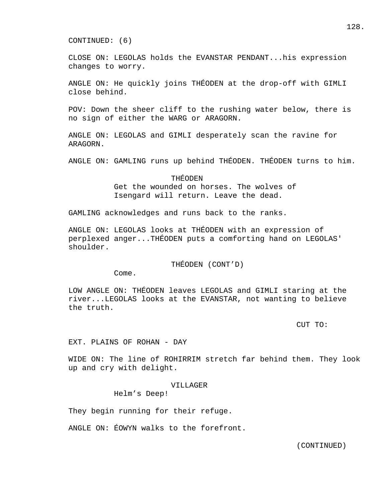CONTINUED: (6)

CLOSE ON: LEGOLAS holds the EVANSTAR PENDANT...his expression changes to worry.

ANGLE ON: He quickly joins THÉODEN at the drop-off with GIMLI close behind.

POV: Down the sheer cliff to the rushing water below, there is no sign of either the WARG or ARAGORN.

ANGLE ON: LEGOLAS and GIMLI desperately scan the ravine for ARAGORN.

ANGLE ON: GAMLING runs up behind THÉODEN. THÉODEN turns to him.

 THÉODEN Get the wounded on horses. The wolves of Isengard will return. Leave the dead.

GAMLING acknowledges and runs back to the ranks.

ANGLE ON: LEGOLAS looks at THÉODEN with an expression of perplexed anger...THÉODEN puts a comforting hand on LEGOLAS' shoulder.

THÉODEN (CONT'D)

Come.

LOW ANGLE ON: THÉODEN leaves LEGOLAS and GIMLI staring at the river...LEGOLAS looks at the EVANSTAR, not wanting to believe the truth.

CUT TO:

EXT. PLAINS OF ROHAN - DAY

WIDE ON: The line of ROHIRRIM stretch far behind them. They look up and cry with delight.

#### VILLAGER

Helm's Deep!

They begin running for their refuge.

ANGLE ON: ÉOWYN walks to the forefront.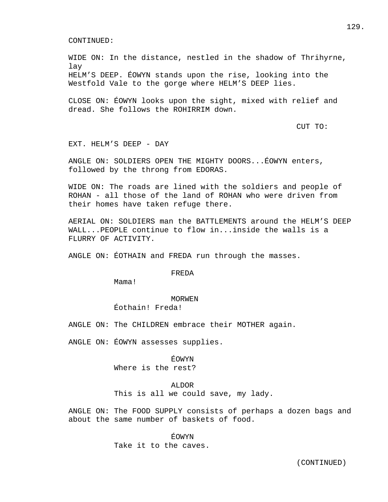WIDE ON: In the distance, nestled in the shadow of Thrihyrne, lay HELM'S DEEP. ÉOWYN stands upon the rise, looking into the Westfold Vale to the gorge where HELM'S DEEP lies.

CLOSE ON: ÉOWYN looks upon the sight, mixed with relief and dread. She follows the ROHIRRIM down.

# CUT TO:

EXT. HELM'S DEEP - DAY

ANGLE ON: SOLDIERS OPEN THE MIGHTY DOORS...ÉOWYN enters, followed by the throng from EDORAS.

WIDE ON: The roads are lined with the soldiers and people of ROHAN - all those of the land of ROHAN who were driven from their homes have taken refuge there.

AERIAL ON: SOLDIERS man the BATTLEMENTS around the HELM'S DEEP WALL...PEOPLE continue to flow in...inside the walls is a FLURRY OF ACTIVITY.

ANGLE ON: ÉOTHAIN and FREDA run through the masses.

# FREDA

Mama!

#### MORWEN

Éothain! Freda!

ANGLE ON: The CHILDREN embrace their MOTHER again.

ANGLE ON: ÉOWYN assesses supplies.

# ÉOWYN Where is the rest?

#### ALDOR

This is all we could save, my lady.

ANGLE ON: The FOOD SUPPLY consists of perhaps a dozen bags and about the same number of baskets of food.

> ÉOWYN Take it to the caves.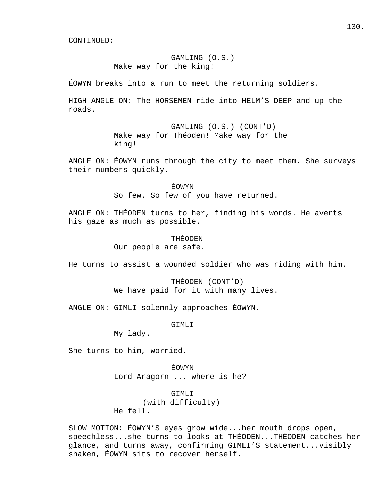# GAMLING (O.S.) Make way for the king!

ÉOWYN breaks into a run to meet the returning soldiers.

HIGH ANGLE ON: The HORSEMEN ride into HELM'S DEEP and up the roads.

> GAMLING (O.S.) (CONT'D) Make way for Théoden! Make way for the king!

ANGLE ON: ÉOWYN runs through the city to meet them. She surveys their numbers quickly.

> ÉOWYN So few. So few of you have returned.

ANGLE ON: THÉODEN turns to her, finding his words. He averts his gaze as much as possible.

THÉODEN

Our people are safe.

He turns to assist a wounded soldier who was riding with him.

 THÉODEN (CONT'D) We have paid for it with many lives.

ANGLE ON: GIMLI solemnly approaches ÉOWYN.

GIMLI

My lady.

She turns to him, worried.

 ÉOWYN Lord Aragorn ... where is he?

 GIMLI (with difficulty) He fell.

SLOW MOTION: ÉOWYN'S eyes grow wide...her mouth drops open, speechless...she turns to looks at THÉODEN...THÉODEN catches her glance, and turns away, confirming GIMLI'S statement...visibly shaken, ÉOWYN sits to recover herself.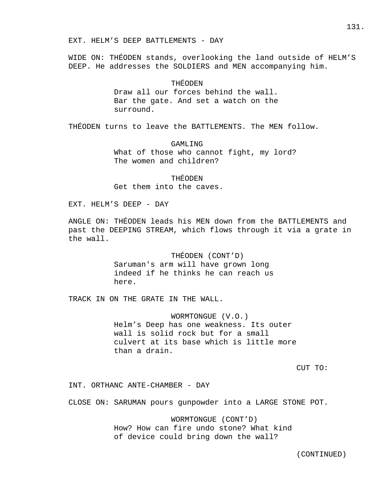WIDE ON: THÉODEN stands, overlooking the land outside of HELM'S DEEP. He addresses the SOLDIERS and MEN accompanying him.

# THÉODEN

 Draw all our forces behind the wall. Bar the gate. And set a watch on the surround.

THÉODEN turns to leave the BATTLEMENTS. The MEN follow.

 GAMLING What of those who cannot fight, my lord? The women and children?

 THÉODEN Get them into the caves.

EXT. HELM'S DEEP - DAY

ANGLE ON: THÉODEN leads his MEN down from the BATTLEMENTS and past the DEEPING STREAM, which flows through it via a grate in the wall.

> THÉODEN (CONT'D) Saruman's arm will have grown long indeed if he thinks he can reach us here.

TRACK IN ON THE GRATE IN THE WALL.

 WORMTONGUE (V.O.) Helm's Deep has one weakness. Its outer wall is solid rock but for a small culvert at its base which is little more than a drain.

CUT TO:

INT. ORTHANC ANTE-CHAMBER - DAY

CLOSE ON: SARUMAN pours gunpowder into a LARGE STONE POT.

 WORMTONGUE (CONT'D) How? How can fire undo stone? What kind of device could bring down the wall?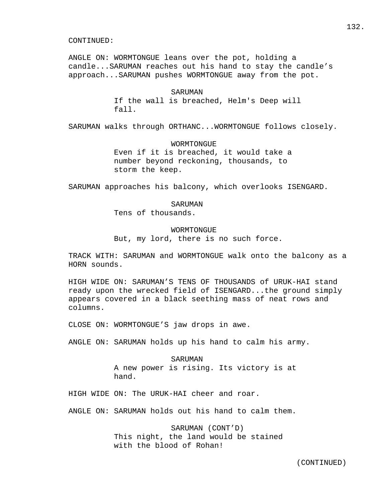ANGLE ON: WORMTONGUE leans over the pot, holding a candle...SARUMAN reaches out his hand to stay the candle's approach...SARUMAN pushes WORMTONGUE away from the pot.

> SARUMAN If the wall is breached, Helm's Deep will fall.

SARUMAN walks through ORTHANC...WORMTONGUE follows closely.

 WORMTONGUE Even if it is breached, it would take a number beyond reckoning, thousands, to storm the keep.

SARUMAN approaches his balcony, which overlooks ISENGARD.

SARUMAN

Tens of thousands.

# WORMTONGUE

But, my lord, there is no such force.

TRACK WITH: SARUMAN and WORMTONGUE walk onto the balcony as a HORN sounds.

HIGH WIDE ON: SARUMAN'S TENS OF THOUSANDS of URUK-HAI stand ready upon the wrecked field of ISENGARD...the ground simply appears covered in a black seething mass of neat rows and columns.

CLOSE ON: WORMTONGUE'S jaw drops in awe.

ANGLE ON: SARUMAN holds up his hand to calm his army.

 SARUMAN A new power is rising. Its victory is at hand.

HIGH WIDE ON: The URUK-HAI cheer and roar.

ANGLE ON: SARUMAN holds out his hand to calm them.

 SARUMAN (CONT'D) This night, the land would be stained with the blood of Rohan!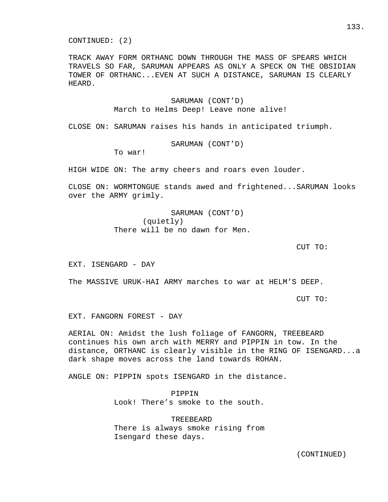CONTINUED: (2)

TRACK AWAY FORM ORTHANC DOWN THROUGH THE MASS OF SPEARS WHICH TRAVELS SO FAR, SARUMAN APPEARS AS ONLY A SPECK ON THE OBSIDIAN TOWER OF ORTHANC...EVEN AT SUCH A DISTANCE, SARUMAN IS CLEARLY HEARD.

> SARUMAN (CONT'D) March to Helms Deep! Leave none alive!

CLOSE ON: SARUMAN raises his hands in anticipated triumph.

SARUMAN (CONT'D)

To war!

HIGH WIDE ON: The army cheers and roars even louder.

CLOSE ON: WORMTONGUE stands awed and frightened...SARUMAN looks over the ARMY grimly.

> SARUMAN (CONT'D) (quietly) There will be no dawn for Men.

CUT TO:

EXT. ISENGARD - DAY

The MASSIVE URUK-HAI ARMY marches to war at HELM'S DEEP.

CUT TO:

EXT. FANGORN FOREST - DAY

AERIAL ON: Amidst the lush foliage of FANGORN, TREEBEARD continues his own arch with MERRY and PIPPIN in tow. In the distance, ORTHANC is clearly visible in the RING OF ISENGARD...a dark shape moves across the land towards ROHAN.

ANGLE ON: PIPPIN spots ISENGARD in the distance.

 PIPPIN Look! There's smoke to the south.

 TREEBEARD There is always smoke rising from Isengard these days.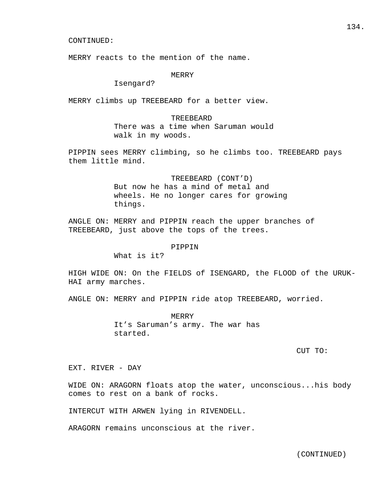MERRY reacts to the mention of the name.

# MERRY

Isengard?

MERRY climbs up TREEBEARD for a better view.

## TREEBEARD

 There was a time when Saruman would walk in my woods.

PIPPIN sees MERRY climbing, so he climbs too. TREEBEARD pays them little mind.

> TREEBEARD (CONT'D) But now he has a mind of metal and wheels. He no longer cares for growing things.

ANGLE ON: MERRY and PIPPIN reach the upper branches of TREEBEARD, just above the tops of the trees.

#### PIPPIN

What is it?

HIGH WIDE ON: On the FIELDS of ISENGARD, the FLOOD of the URUK-HAI army marches.

ANGLE ON: MERRY and PIPPIN ride atop TREEBEARD, worried.

 MERRY It's Saruman's army. The war has started.

CUT TO:

EXT. RIVER - DAY

WIDE ON: ARAGORN floats atop the water, unconscious...his body comes to rest on a bank of rocks.

INTERCUT WITH ARWEN lying in RIVENDELL.

ARAGORN remains unconscious at the river.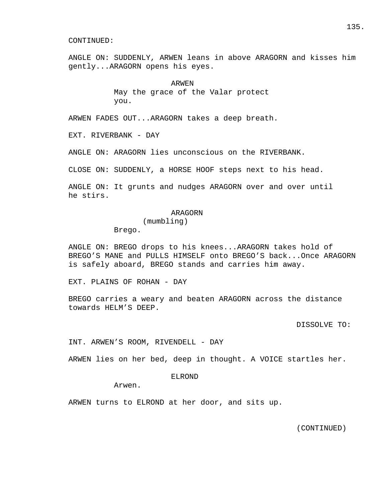ANGLE ON: SUDDENLY, ARWEN leans in above ARAGORN and kisses him gently...ARAGORN opens his eyes.

> ARWEN May the grace of the Valar protect you.

ARWEN FADES OUT...ARAGORN takes a deep breath.

EXT. RIVERBANK - DAY

ANGLE ON: ARAGORN lies unconscious on the RIVERBANK.

CLOSE ON: SUDDENLY, a HORSE HOOF steps next to his head.

ANGLE ON: It grunts and nudges ARAGORN over and over until he stirs.

### ARAGORN

(mumbling)

Brego.

ANGLE ON: BREGO drops to his knees...ARAGORN takes hold of BREGO'S MANE and PULLS HIMSELF onto BREGO'S back...Once ARAGORN is safely aboard, BREGO stands and carries him away.

EXT. PLAINS OF ROHAN - DAY

BREGO carries a weary and beaten ARAGORN across the distance towards HELM'S DEEP.

DISSOLVE TO:

INT. ARWEN'S ROOM, RIVENDELL - DAY

ARWEN lies on her bed, deep in thought. A VOICE startles her.

# ELROND

Arwen.

ARWEN turns to ELROND at her door, and sits up.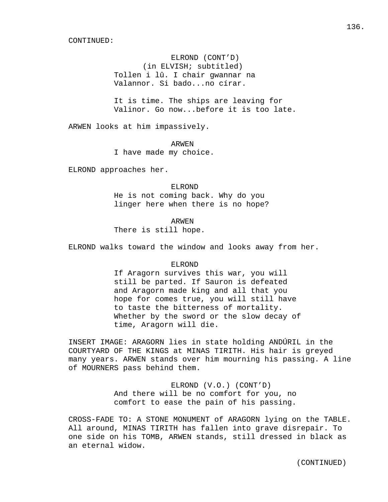ELROND (CONT'D) (in ELVISH; subtitled) Tollen i lû. I chair gwannar na Valannor. Si bado...no círar.

 It is time. The ships are leaving for Valinor. Go now...before it is too late.

ARWEN looks at him impassively.

ARWEN

I have made my choice.

ELROND approaches her.

 ELROND He is not coming back. Why do you linger here when there is no hope?

 ARWEN There is still hope.

ELROND walks toward the window and looks away from her.

### ELROND

 If Aragorn survives this war, you will still be parted. If Sauron is defeated and Aragorn made king and all that you hope for comes true, you will still have to taste the bitterness of mortality. Whether by the sword or the slow decay of time, Aragorn will die.

INSERT IMAGE: ARAGORN lies in state holding ANDÚRIL in the COURTYARD OF THE KINGS at MINAS TIRITH. His hair is greyed many years. ARWEN stands over him mourning his passing. A line of MOURNERS pass behind them.

> ELROND (V.O.) (CONT'D) And there will be no comfort for you, no comfort to ease the pain of his passing.

CROSS-FADE TO: A STONE MONUMENT of ARAGORN lying on the TABLE. All around, MINAS TIRITH has fallen into grave disrepair. To one side on his TOMB, ARWEN stands, still dressed in black as an eternal widow.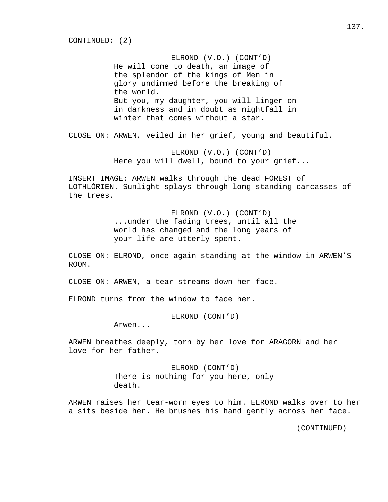ELROND (V.O.) (CONT'D) He will come to death, an image of the splendor of the kings of Men in glory undimmed before the breaking of the world. But you, my daughter, you will linger on in darkness and in doubt as nightfall in winter that comes without a star.

CLOSE ON: ARWEN, veiled in her grief, young and beautiful.

 ELROND (V.O.) (CONT'D) Here you will dwell, bound to your grief...

INSERT IMAGE: ARWEN walks through the dead FOREST of LOTHLÓRIEN. Sunlight splays through long standing carcasses of the trees.

> ELROND (V.O.) (CONT'D) ...under the fading trees, until all the world has changed and the long years of your life are utterly spent.

CLOSE ON: ELROND, once again standing at the window in ARWEN'S ROOM.

CLOSE ON: ARWEN, a tear streams down her face.

ELROND turns from the window to face her.

ELROND (CONT'D)

Arwen...

ARWEN breathes deeply, torn by her love for ARAGORN and her love for her father.

> ELROND (CONT'D) There is nothing for you here, only death.

ARWEN raises her tear-worn eyes to him. ELROND walks over to her a sits beside her. He brushes his hand gently across her face.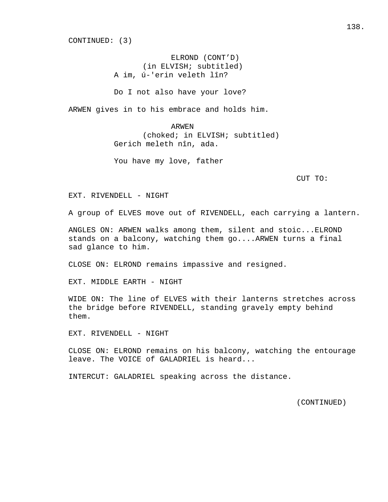CONTINUED: (3)

 ELROND (CONT'D) (in ELVISH; subtitled) A im, ú-'erin veleth lîn?

Do I not also have your love?

ARWEN gives in to his embrace and holds him.

 ARWEN (choked; in ELVISH; subtitled) Gerich meleth nîn, ada.

You have my love, father

CUT TO:

EXT. RIVENDELL - NIGHT

A group of ELVES move out of RIVENDELL, each carrying a lantern.

ANGLES ON: ARWEN walks among them, silent and stoic...ELROND stands on a balcony, watching them go....ARWEN turns a final sad glance to him.

CLOSE ON: ELROND remains impassive and resigned.

EXT. MIDDLE EARTH - NIGHT

WIDE ON: The line of ELVES with their lanterns stretches across the bridge before RIVENDELL, standing gravely empty behind them.

EXT. RIVENDELL - NIGHT

CLOSE ON: ELROND remains on his balcony, watching the entourage leave. The VOICE of GALADRIEL is heard...

INTERCUT: GALADRIEL speaking across the distance.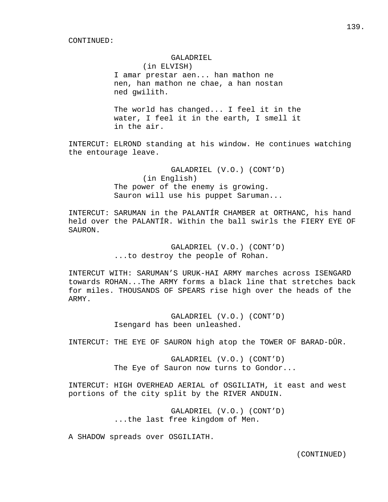#### GALADRIEL

 (in ELVISH) I amar prestar aen... han mathon ne nen, han mathon ne chae, a han nostan ned gwilith.

 The world has changed... I feel it in the water, I feel it in the earth, I smell it in the air.

INTERCUT: ELROND standing at his window. He continues watching the entourage leave.

> GALADRIEL (V.O.) (CONT'D) (in English) The power of the enemy is growing. Sauron will use his puppet Saruman...

INTERCUT: SARUMAN in the PALANTÍR CHAMBER at ORTHANC, his hand held over the PALANTÍR. Within the ball swirls the FIERY EYE OF SAURON.

> GALADRIEL (V.O.) (CONT'D) ...to destroy the people of Rohan.

INTERCUT WITH: SARUMAN'S URUK-HAI ARMY marches across ISENGARD towards ROHAN...The ARMY forms a black line that stretches back for miles. THOUSANDS OF SPEARS rise high over the heads of the ARMY.

> GALADRIEL (V.O.) (CONT'D) Isengard has been unleashed.

INTERCUT: THE EYE OF SAURON high atop the TOWER OF BARAD-DÛR.

 GALADRIEL (V.O.) (CONT'D) The Eye of Sauron now turns to Gondor...

INTERCUT: HIGH OVERHEAD AERIAL of OSGILIATH, it east and west portions of the city split by the RIVER ANDUIN.

> GALADRIEL (V.O.) (CONT'D) ...the last free kingdom of Men.

A SHADOW spreads over OSGILIATH.

139.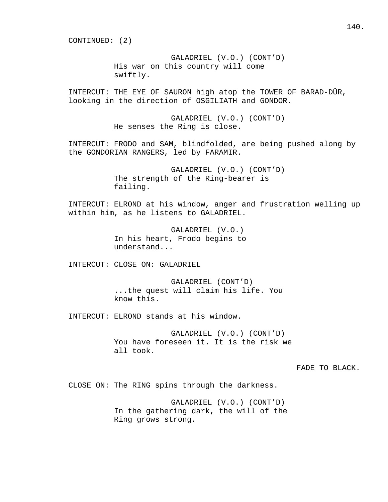CONTINUED: (2)

 GALADRIEL (V.O.) (CONT'D) His war on this country will come swiftly.

INTERCUT: THE EYE OF SAURON high atop the TOWER OF BARAD-DÛR, looking in the direction of OSGILIATH and GONDOR.

> GALADRIEL (V.O.) (CONT'D) He senses the Ring is close.

INTERCUT: FRODO and SAM, blindfolded, are being pushed along by the GONDORIAN RANGERS, led by FARAMIR.

> GALADRIEL (V.O.) (CONT'D) The strength of the Ring-bearer is failing.

INTERCUT: ELROND at his window, anger and frustration welling up within him, as he listens to GALADRIEL.

> GALADRIEL (V.O.) In his heart, Frodo begins to understand...

INTERCUT: CLOSE ON: GALADRIEL

 GALADRIEL (CONT'D) ...the quest will claim his life. You know this.

INTERCUT: ELROND stands at his window.

 GALADRIEL (V.O.) (CONT'D) You have foreseen it. It is the risk we all took.

FADE TO BLACK.

CLOSE ON: The RING spins through the darkness.

 GALADRIEL (V.O.) (CONT'D) In the gathering dark, the will of the Ring grows strong.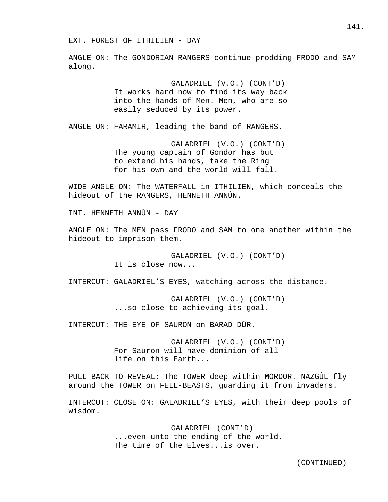ANGLE ON: The GONDORIAN RANGERS continue prodding FRODO and SAM along.

> GALADRIEL (V.O.) (CONT'D) It works hard now to find its way back into the hands of Men. Men, who are so easily seduced by its power.

ANGLE ON: FARAMIR, leading the band of RANGERS.

 GALADRIEL (V.O.) (CONT'D) The young captain of Gondor has but to extend his hands, take the Ring for his own and the world will fall.

WIDE ANGLE ON: The WATERFALL in ITHILIEN, which conceals the hideout of the RANGERS, HENNETH ANNÛN.

INT. HENNETH ANNÛN - DAY

ANGLE ON: The MEN pass FRODO and SAM to one another within the hideout to imprison them.

> GALADRIEL (V.O.) (CONT'D) It is close now...

INTERCUT: GALADRIEL'S EYES, watching across the distance.

 GALADRIEL (V.O.) (CONT'D) ...so close to achieving its goal.

INTERCUT: THE EYE OF SAURON on BARAD-DÛR.

 GALADRIEL (V.O.) (CONT'D) For Sauron will have dominion of all life on this Earth...

PULL BACK TO REVEAL: The TOWER deep within MORDOR. NAZGÛL fly around the TOWER on FELL-BEASTS, guarding it from invaders.

INTERCUT: CLOSE ON: GALADRIEL'S EYES, with their deep pools of wisdom.

> GALADRIEL (CONT'D) ...even unto the ending of the world. The time of the Elves...is over.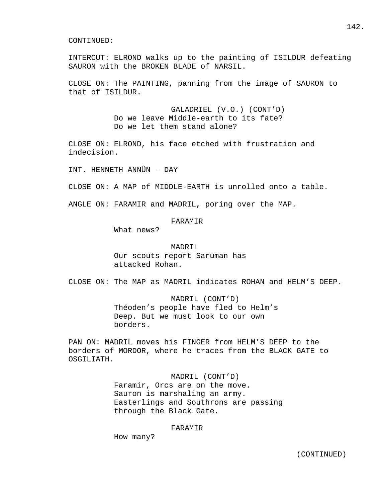INTERCUT: ELROND walks up to the painting of ISILDUR defeating SAURON with the BROKEN BLADE of NARSIL.

CLOSE ON: The PAINTING, panning from the image of SAURON to that of ISILDUR.

> GALADRIEL (V.O.) (CONT'D) Do we leave Middle-earth to its fate? Do we let them stand alone?

CLOSE ON: ELROND, his face etched with frustration and indecision.

INT. HENNETH ANNÛN - DAY

CLOSE ON: A MAP of MIDDLE-EARTH is unrolled onto a table.

ANGLE ON: FARAMIR and MADRIL, poring over the MAP.

# FARAMIR

What news?

#### MADRIL

 Our scouts report Saruman has attacked Rohan.

CLOSE ON: The MAP as MADRIL indicates ROHAN and HELM'S DEEP.

 MADRIL (CONT'D) Théoden's people have fled to Helm's Deep. But we must look to our own borders.

PAN ON: MADRIL moves his FINGER from HELM'S DEEP to the borders of MORDOR, where he traces from the BLACK GATE to OSGILIATH.

> MADRIL (CONT'D) Faramir, Orcs are on the move. Sauron is marshaling an army. Easterlings and Southrons are passing through the Black Gate.

## FARAMIR

How many?

142.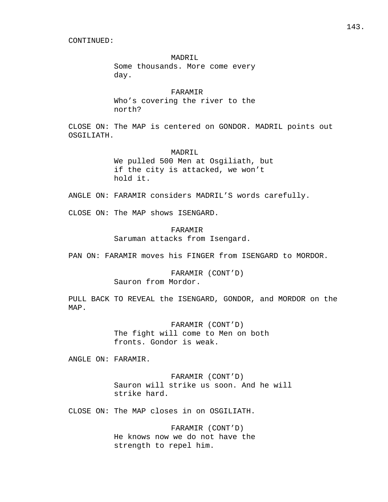## MADRIL

 Some thousands. More come every day.

#### FARAMIR

 Who's covering the river to the north?

CLOSE ON: The MAP is centered on GONDOR. MADRIL points out OSGILIATH.

#### MADRIL

 We pulled 500 Men at Osgiliath, but if the city is attacked, we won't hold it.

ANGLE ON: FARAMIR considers MADRIL'S words carefully.

CLOSE ON: The MAP shows ISENGARD.

# FARAMIR

Saruman attacks from Isengard.

PAN ON: FARAMIR moves his FINGER from ISENGARD to MORDOR.

# FARAMIR (CONT'D) Sauron from Mordor.

PULL BACK TO REVEAL the ISENGARD, GONDOR, and MORDOR on the MAP.

> FARAMIR (CONT'D) The fight will come to Men on both fronts. Gondor is weak.

ANGLE ON: FARAMIR.

 FARAMIR (CONT'D) Sauron will strike us soon. And he will strike hard.

CLOSE ON: The MAP closes in on OSGILIATH.

 FARAMIR (CONT'D) He knows now we do not have the strength to repel him.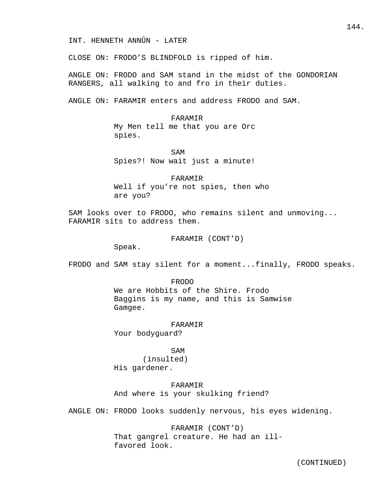CLOSE ON: FRODO'S BLINDFOLD is ripped of him.

ANGLE ON: FRODO and SAM stand in the midst of the GONDORIAN RANGERS, all walking to and fro in their duties.

ANGLE ON: FARAMIR enters and address FRODO and SAM.

### FARAMIR

 My Men tell me that you are Orc spies.

SAM Spies?! Now wait just a minute!

> FARAMIR Well if you're not spies, then who are you?

SAM looks over to FRODO, who remains silent and unmoving... FARAMIR sits to address them.

FARAMIR (CONT'D)

Speak.

FRODO and SAM stay silent for a moment...finally, FRODO speaks.

#### FRODO

 We are Hobbits of the Shire. Frodo Baggins is my name, and this is Samwise Gamgee.

# FARAMIR

Your bodyguard?

# SAM

 (insulted) His gardener.

### FARAMIR

And where is your skulking friend?

ANGLE ON: FRODO looks suddenly nervous, his eyes widening.

 FARAMIR (CONT'D) That gangrel creature. He had an ill favored look.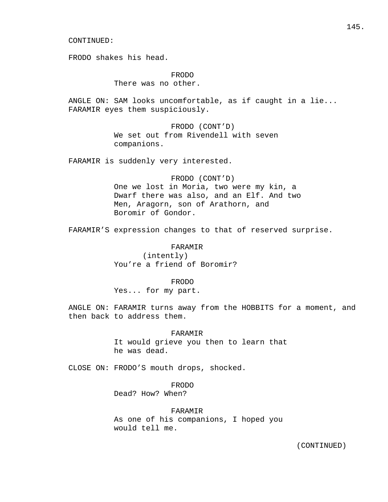FRODO shakes his head.

 FRODO There was no other.

ANGLE ON: SAM looks uncomfortable, as if caught in a lie... FARAMIR eyes them suspiciously.

> FRODO (CONT'D) We set out from Rivendell with seven companions.

FARAMIR is suddenly very interested.

 FRODO (CONT'D) One we lost in Moria, two were my kin, a Dwarf there was also, and an Elf. And two Men, Aragorn, son of Arathorn, and Boromir of Gondor.

FARAMIR'S expression changes to that of reserved surprise.

#### FARAMIR

 (intently) You're a friend of Boromir?

FRODO

Yes... for my part.

ANGLE ON: FARAMIR turns away from the HOBBITS for a moment, and then back to address them.

> FARAMIR It would grieve you then to learn that he was dead.

CLOSE ON: FRODO'S mouth drops, shocked.

FRODO

Dead? How? When?

FARAMIR

 As one of his companions, I hoped you would tell me.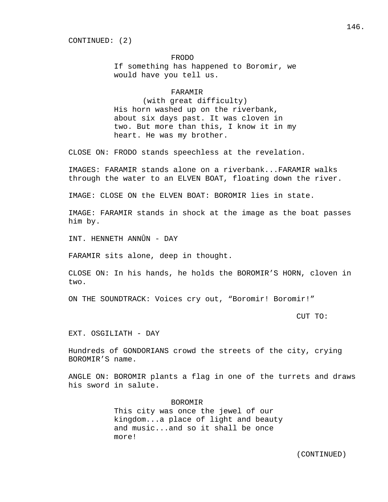### FRODO

 If something has happened to Boromir, we would have you tell us.

### FARAMIR

 (with great difficulty) His horn washed up on the riverbank, about six days past. It was cloven in two. But more than this, I know it in my heart. He was my brother.

CLOSE ON: FRODO stands speechless at the revelation.

IMAGES: FARAMIR stands alone on a riverbank...FARAMIR walks through the water to an ELVEN BOAT, floating down the river.

IMAGE: CLOSE ON the ELVEN BOAT: BOROMIR lies in state.

IMAGE: FARAMIR stands in shock at the image as the boat passes him by.

INT. HENNETH ANNÛN - DAY

FARAMIR sits alone, deep in thought.

CLOSE ON: In his hands, he holds the BOROMIR'S HORN, cloven in two.

ON THE SOUNDTRACK: Voices cry out, "Boromir! Boromir!"

CUT TO:

EXT. OSGILIATH - DAY

Hundreds of GONDORIANS crowd the streets of the city, crying BOROMIR'S name.

ANGLE ON: BOROMIR plants a flag in one of the turrets and draws his sword in salute.

> BOROMIR This city was once the jewel of our kingdom...a place of light and beauty and music...and so it shall be once more!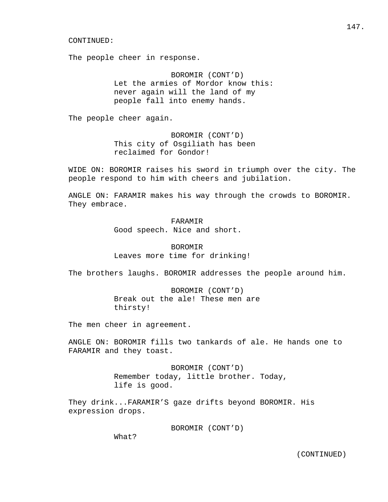The people cheer in response.

 BOROMIR (CONT'D) Let the armies of Mordor know this: never again will the land of my people fall into enemy hands.

The people cheer again.

 BOROMIR (CONT'D) This city of Osgiliath has been reclaimed for Gondor!

WIDE ON: BOROMIR raises his sword in triumph over the city. The people respond to him with cheers and jubilation.

ANGLE ON: FARAMIR makes his way through the crowds to BOROMIR. They embrace.

> FARAMIR Good speech. Nice and short.

 BOROMIR Leaves more time for drinking!

The brothers laughs. BOROMIR addresses the people around him.

 BOROMIR (CONT'D) Break out the ale! These men are thirsty!

The men cheer in agreement.

ANGLE ON: BOROMIR fills two tankards of ale. He hands one to FARAMIR and they toast.

> BOROMIR (CONT'D) Remember today, little brother. Today, life is good.

They drink...FARAMIR'S gaze drifts beyond BOROMIR. His expression drops.

BOROMIR (CONT'D)

What?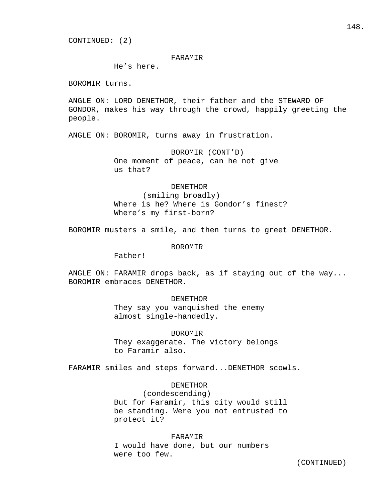# FARAMIR

He's here.

BOROMIR turns.

ANGLE ON: LORD DENETHOR, their father and the STEWARD OF GONDOR, makes his way through the crowd, happily greeting the people.

ANGLE ON: BOROMIR, turns away in frustration.

 BOROMIR (CONT'D) One moment of peace, can he not give us that?

#### DENETHOR

 (smiling broadly) Where is he? Where is Gondor's finest? Where's my first-born?

BOROMIR musters a smile, and then turns to greet DENETHOR.

### BOROMIR

Father!

ANGLE ON: FARAMIR drops back, as if staying out of the way... BOROMIR embraces DENETHOR.

#### DENETHOR

 They say you vanquished the enemy almost single-handedly.

 BOROMIR They exaggerate. The victory belongs to Faramir also.

FARAMIR smiles and steps forward...DENETHOR scowls.

### DENETHOR

 (condescending) But for Faramir, this city would still be standing. Were you not entrusted to protect it?

#### FARAMIR

 I would have done, but our numbers were too few.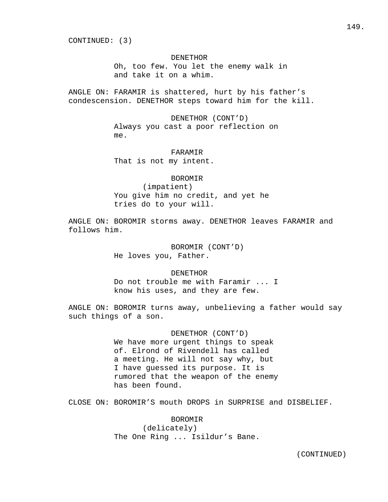CONTINUED: (3)

### DENETHOR

 Oh, too few. You let the enemy walk in and take it on a whim.

ANGLE ON: FARAMIR is shattered, hurt by his father's condescension. DENETHOR steps toward him for the kill.

> DENETHOR (CONT'D) Always you cast a poor reflection on me.

 FARAMIR That is not my intent.

# BOROMIR

 (impatient) You give him no credit, and yet he tries do to your will.

ANGLE ON: BOROMIR storms away. DENETHOR leaves FARAMIR and follows him.

> BOROMIR (CONT'D) He loves you, Father.

### DENETHOR

 Do not trouble me with Faramir ... I know his uses, and they are few.

ANGLE ON: BOROMIR turns away, unbelieving a father would say such things of a son.

# DENETHOR (CONT'D)

 We have more urgent things to speak of. Elrond of Rivendell has called a meeting. He will not say why, but I have guessed its purpose. It is rumored that the weapon of the enemy has been found.

CLOSE ON: BOROMIR'S mouth DROPS in SURPRISE and DISBELIEF.

 BOROMIR (delicately) The One Ring ... Isildur's Bane.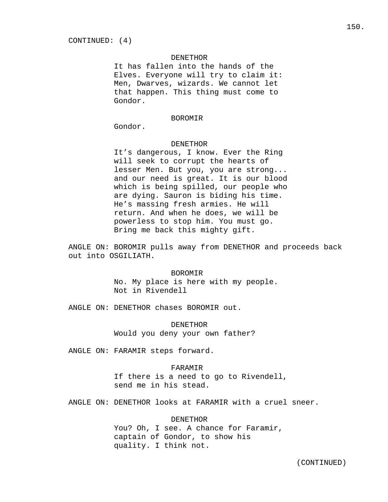#### DENETHOR

 It has fallen into the hands of the Elves. Everyone will try to claim it: Men, Dwarves, wizards. We cannot let that happen. This thing must come to Gondor.

### BOROMIR

Gondor.

### DENETHOR

 It's dangerous, I know. Ever the Ring will seek to corrupt the hearts of lesser Men. But you, you are strong... and our need is great. It is our blood which is being spilled, our people who are dying. Sauron is biding his time. He's massing fresh armies. He will return. And when he does, we will be powerless to stop him. You must go. Bring me back this mighty gift.

ANGLE ON: BOROMIR pulls away from DENETHOR and proceeds back out into OSGILIATH.

### BOROMIR

 No. My place is here with my people. Not in Rivendell

ANGLE ON: DENETHOR chases BOROMIR out.

### DENETHOR

Would you deny your own father?

ANGLE ON: FARAMIR steps forward.

### FARAMIR

 If there is a need to go to Rivendell, send me in his stead.

ANGLE ON: DENETHOR looks at FARAMIR with a cruel sneer.

### DENETHOR

You? Oh, I see. A chance for Faramir, captain of Gondor, to show his quality. I think not.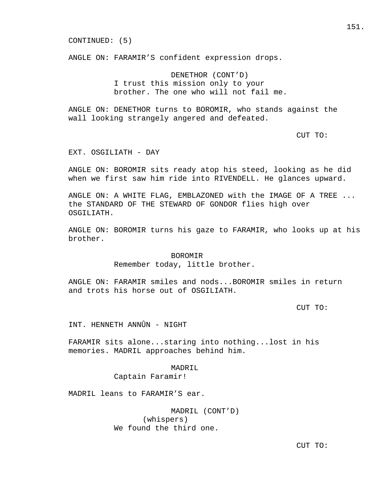CONTINUED: (5)

ANGLE ON: FARAMIR'S confident expression drops.

 DENETHOR (CONT'D) I trust this mission only to your brother. The one who will not fail me.

ANGLE ON: DENETHOR turns to BOROMIR, who stands against the wall looking strangely angered and defeated.

CUT TO:

EXT. OSGILIATH - DAY

ANGLE ON: BOROMIR sits ready atop his steed, looking as he did when we first saw him ride into RIVENDELL. He glances upward.

ANGLE ON: A WHITE FLAG, EMBLAZONED with the IMAGE OF A TREE ... the STANDARD OF THE STEWARD OF GONDOR flies high over OSGILIATH.

ANGLE ON: BOROMIR turns his gaze to FARAMIR, who looks up at his brother.

### BOROMIR

Remember today, little brother.

ANGLE ON: FARAMIR smiles and nods...BOROMIR smiles in return and trots his horse out of OSGILIATH.

CUT TO:

INT. HENNETH ANNÛN - NIGHT

FARAMIR sits alone...staring into nothing...lost in his memories. MADRIL approaches behind him.

MADRIL

Captain Faramir!

MADRIL leans to FARAMIR'S ear.

 MADRIL (CONT'D) (whispers) We found the third one.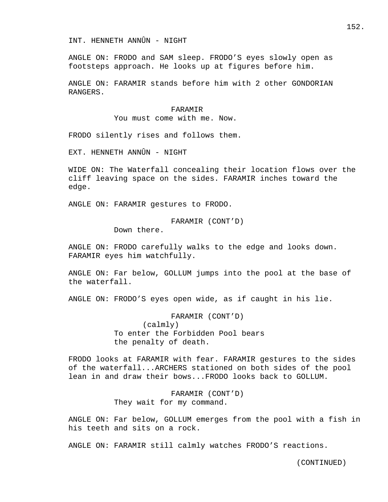INT. HENNETH ANNÛN - NIGHT

ANGLE ON: FRODO and SAM sleep. FRODO'S eyes slowly open as footsteps approach. He looks up at figures before him.

ANGLE ON: FARAMIR stands before him with 2 other GONDORIAN RANGERS.

#### FARAMIR

You must come with me. Now.

FRODO silently rises and follows them.

EXT. HENNETH ANNÛN - NIGHT

WIDE ON: The Waterfall concealing their location flows over the cliff leaving space on the sides. FARAMIR inches toward the edge.

ANGLE ON: FARAMIR gestures to FRODO.

FARAMIR (CONT'D)

Down there.

ANGLE ON: FRODO carefully walks to the edge and looks down. FARAMIR eyes him watchfully.

ANGLE ON: Far below, GOLLUM jumps into the pool at the base of the waterfall.

ANGLE ON: FRODO'S eyes open wide, as if caught in his lie.

 FARAMIR (CONT'D) (calmly) To enter the Forbidden Pool bears the penalty of death.

FRODO looks at FARAMIR with fear. FARAMIR gestures to the sides of the waterfall...ARCHERS stationed on both sides of the pool lean in and draw their bows...FRODO looks back to GOLLUM.

> FARAMIR (CONT'D) They wait for my command.

ANGLE ON: Far below, GOLLUM emerges from the pool with a fish in his teeth and sits on a rock.

ANGLE ON: FARAMIR still calmly watches FRODO'S reactions.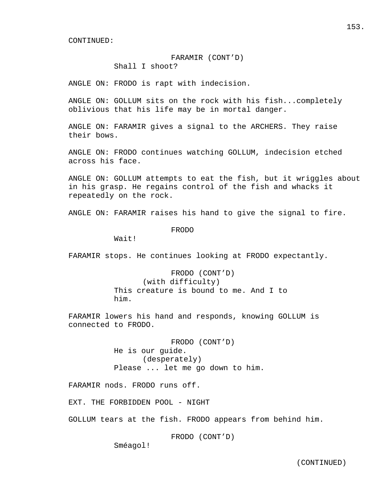## FARAMIR (CONT'D)

Shall I shoot?

ANGLE ON: FRODO is rapt with indecision.

ANGLE ON: GOLLUM sits on the rock with his fish...completely oblivious that his life may be in mortal danger.

ANGLE ON: FARAMIR gives a signal to the ARCHERS. They raise their bows.

ANGLE ON: FRODO continues watching GOLLUM, indecision etched across his face.

ANGLE ON: GOLLUM attempts to eat the fish, but it wriggles about in his grasp. He regains control of the fish and whacks it repeatedly on the rock.

ANGLE ON: FARAMIR raises his hand to give the signal to fire.

FRODO

Wait!

FARAMIR stops. He continues looking at FRODO expectantly.

 FRODO (CONT'D) (with difficulty) This creature is bound to me. And I to him.

FARAMIR lowers his hand and responds, knowing GOLLUM is connected to FRODO.

> FRODO (CONT'D) He is our guide. (desperately) Please ... let me go down to him.

FARAMIR nods. FRODO runs off.

EXT. THE FORBIDDEN POOL - NIGHT

GOLLUM tears at the fish. FRODO appears from behind him.

FRODO (CONT'D)

Sméagol!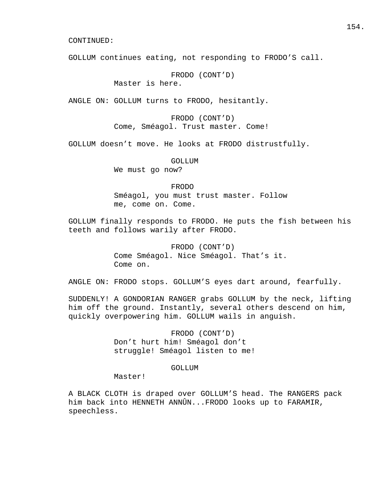GOLLUM continues eating, not responding to FRODO'S call.

FRODO (CONT'D)

Master is here.

ANGLE ON: GOLLUM turns to FRODO, hesitantly.

 FRODO (CONT'D) Come, Sméagol. Trust master. Come!

GOLLUM doesn't move. He looks at FRODO distrustfully.

GOLLUM

We must go now?

 FRODO Sméagol, you must trust master. Follow me, come on. Come.

GOLLUM finally responds to FRODO. He puts the fish between his teeth and follows warily after FRODO.

> FRODO (CONT'D) Come Sméagol. Nice Sméagol. That's it. Come on.

ANGLE ON: FRODO stops. GOLLUM'S eyes dart around, fearfully.

SUDDENLY! A GONDORIAN RANGER grabs GOLLUM by the neck, lifting him off the ground. Instantly, several others descend on him, quickly overpowering him. GOLLUM wails in anguish.

> FRODO (CONT'D) Don't hurt him! Sméagol don't struggle! Sméagol listen to me!

### GOLLUM

Master!

A BLACK CLOTH is draped over GOLLUM'S head. The RANGERS pack him back into HENNETH ANNÛN...FRODO looks up to FARAMIR, speechless.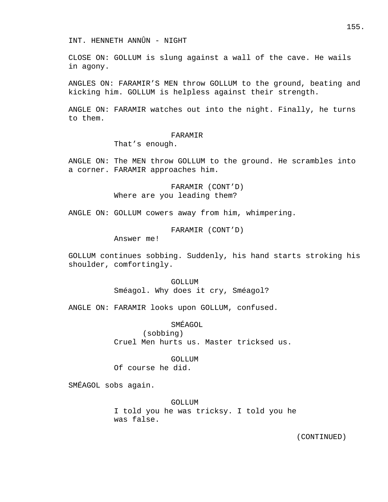CLOSE ON: GOLLUM is slung against a wall of the cave. He wails in agony.

ANGLES ON: FARAMIR'S MEN throw GOLLUM to the ground, beating and kicking him. GOLLUM is helpless against their strength.

ANGLE ON: FARAMIR watches out into the night. Finally, he turns to them.

### FARAMIR

That's enough.

ANGLE ON: The MEN throw GOLLUM to the ground. He scrambles into a corner. FARAMIR approaches him.

> FARAMIR (CONT'D) Where are you leading them?

ANGLE ON: GOLLUM cowers away from him, whimpering.

FARAMIR (CONT'D)

Answer me!

GOLLUM continues sobbing. Suddenly, his hand starts stroking his shoulder, comfortingly.

> GOLLUM Sméagol. Why does it cry, Sméagol?

ANGLE ON: FARAMIR looks upon GOLLUM, confused.

# SMÉAGOL

 (sobbing) Cruel Men hurts us. Master tricksed us.

### GOLLUM

Of course he did.

SMÉAGOL sobs again.

### GOLLUM

 I told you he was tricksy. I told you he was false.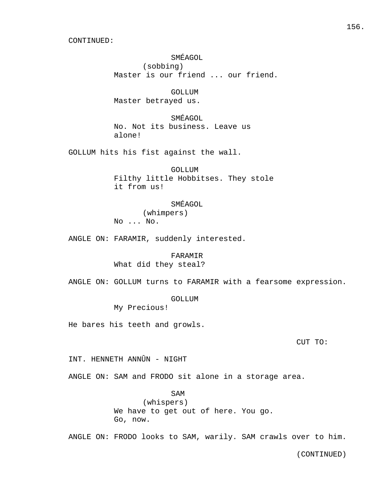SMÉAGOL (sobbing) Master is our friend ... our friend.

 GOLLUM Master betrayed us.

 SMÉAGOL No. Not its business. Leave us alone!

GOLLUM hits his fist against the wall.

 GOLLUM Filthy little Hobbitses. They stole it from us!

SMÉAGOL

 (whimpers) No ... No.

ANGLE ON: FARAMIR, suddenly interested.

 FARAMIR What did they steal?

ANGLE ON: GOLLUM turns to FARAMIR with a fearsome expression.

GOLLUM

My Precious!

He bares his teeth and growls.

CUT TO:

INT. HENNETH ANNÛN - NIGHT

ANGLE ON: SAM and FRODO sit alone in a storage area.

SAM

 (whispers) We have to get out of here. You go. Go, now.

ANGLE ON: FRODO looks to SAM, warily. SAM crawls over to him.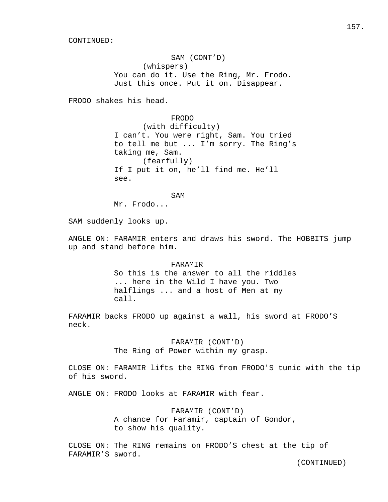SAM (CONT'D) (whispers) You can do it. Use the Ring, Mr. Frodo. Just this once. Put it on. Disappear.

FRODO shakes his head.

 FRODO (with difficulty) I can't. You were right, Sam. You tried to tell me but ... I'm sorry. The Ring's taking me, Sam. (fearfully) If I put it on, he'll find me. He'll see.

SAM Mr. Frodo...

SAM suddenly looks up.

ANGLE ON: FARAMIR enters and draws his sword. The HOBBITS jump up and stand before him.

> FARAMIR So this is the answer to all the riddles ... here in the Wild I have you. Two halflings ... and a host of Men at my call.

FARAMIR backs FRODO up against a wall, his sword at FRODO'S neck.

> FARAMIR (CONT'D) The Ring of Power within my grasp.

CLOSE ON: FARAMIR lifts the RING from FRODO'S tunic with the tip of his sword.

ANGLE ON: FRODO looks at FARAMIR with fear.

 FARAMIR (CONT'D) A chance for Faramir, captain of Gondor, to show his quality.

CLOSE ON: The RING remains on FRODO'S chest at the tip of FARAMIR'S sword.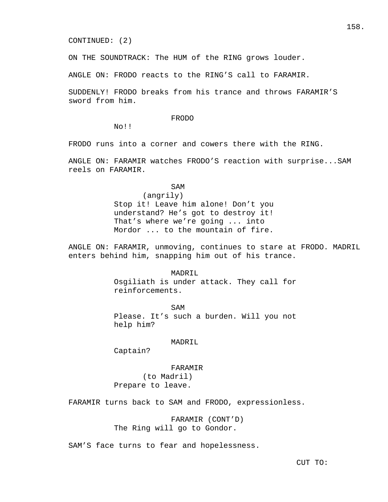CONTINUED: (2)

ON THE SOUNDTRACK: The HUM of the RING grows louder.

ANGLE ON: FRODO reacts to the RING'S call to FARAMIR.

SUDDENLY! FRODO breaks from his trance and throws FARAMIR'S sword from him.

### FRODO

No!!

FRODO runs into a corner and cowers there with the RING.

ANGLE ON: FARAMIR watches FRODO'S reaction with surprise...SAM reels on FARAMIR.

SAM

### (angrily)

 Stop it! Leave him alone! Don't you understand? He's got to destroy it! That's where we're going ... into Mordor ... to the mountain of fire.

ANGLE ON: FARAMIR, unmoving, continues to stare at FRODO. MADRIL enters behind him, snapping him out of his trance.

### MADRIL

 Osgiliath is under attack. They call for reinforcements.

SAM Please. It's such a burden. Will you not help him?

### MADRIL

Captain?

### FARAMIR

 (to Madril) Prepare to leave.

FARAMIR turns back to SAM and FRODO, expressionless.

 FARAMIR (CONT'D) The Ring will go to Gondor.

SAM'S face turns to fear and hopelessness.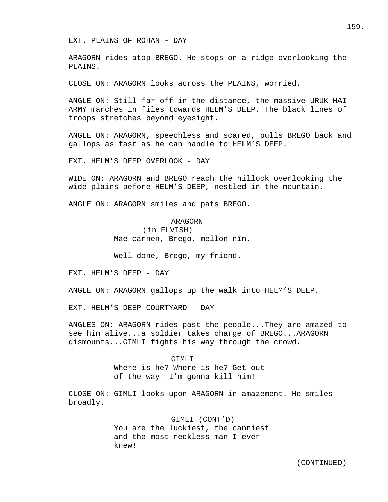EXT. PLAINS OF ROHAN - DAY

ARAGORN rides atop BREGO. He stops on a ridge overlooking the PLAINS.

CLOSE ON: ARAGORN looks across the PLAINS, worried.

ANGLE ON: Still far off in the distance, the massive URUK-HAI ARMY marches in files towards HELM'S DEEP. The black lines of troops stretches beyond eyesight.

ANGLE ON: ARAGORN, speechless and scared, pulls BREGO back and gallops as fast as he can handle to HELM'S DEEP.

EXT. HELM'S DEEP OVERLOOK - DAY

WIDE ON: ARAGORN and BREGO reach the hillock overlooking the wide plains before HELM'S DEEP, nestled in the mountain.

ANGLE ON: ARAGORN smiles and pats BREGO.

# ARAGORN

 (in ELVISH) Mae carnen, Brego, mellon nîn.

Well done, Brego, my friend.

EXT. HELM'S DEEP - DAY

ANGLE ON: ARAGORN gallops up the walk into HELM'S DEEP.

EXT. HELM'S DEEP COURTYARD - DAY

ANGLES ON: ARAGORN rides past the people...They are amazed to see him alive...a soldier takes charge of BREGO...ARAGORN dismounts...GIMLI fights his way through the crowd.

> GTMT.T Where is he? Where is he? Get out of the way! I'm gonna kill him!

CLOSE ON: GIMLI looks upon ARAGORN in amazement. He smiles broadly.

> GIMLI (CONT'D) You are the luckiest, the canniest and the most reckless man I ever knew!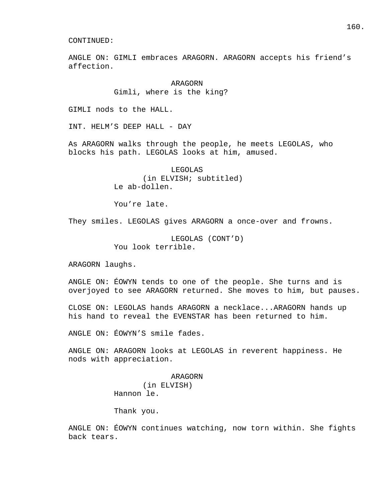ANGLE ON: GIMLI embraces ARAGORN. ARAGORN accepts his friend's affection.

> ARAGORN Gimli, where is the king?

GIMLI nods to the HALL.

INT. HELM'S DEEP HALL - DAY

As ARAGORN walks through the people, he meets LEGOLAS, who blocks his path. LEGOLAS looks at him, amused.

> LEGOLAS (in ELVISH; subtitled) Le ab-dollen.

You're late.

They smiles. LEGOLAS gives ARAGORN a once-over and frowns.

 LEGOLAS (CONT'D) You look terrible.

ARAGORN laughs.

ANGLE ON: ÉOWYN tends to one of the people. She turns and is overjoyed to see ARAGORN returned. She moves to him, but pauses.

CLOSE ON: LEGOLAS hands ARAGORN a necklace...ARAGORN hands up his hand to reveal the EVENSTAR has been returned to him.

ANGLE ON: ÉOWYN'S smile fades.

ANGLE ON: ARAGORN looks at LEGOLAS in reverent happiness. He nods with appreciation.

> ARAGORN (in ELVISH) Hannon le.

Thank you.

ANGLE ON: ÉOWYN continues watching, now torn within. She fights back tears.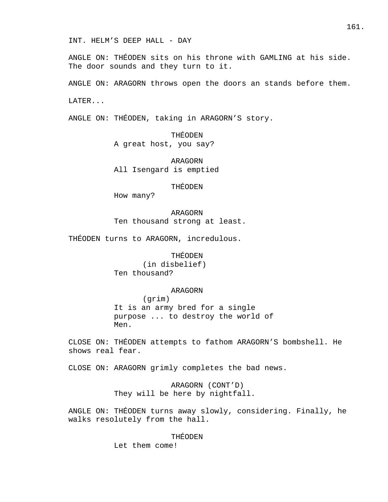ANGLE ON: THÉODEN sits on his throne with GAMLING at his side. The door sounds and they turn to it.

ANGLE ON: ARAGORN throws open the doors an stands before them.

LATER...

ANGLE ON: THÉODEN, taking in ARAGORN'S story.

 THÉODEN A great host, you say?

 ARAGORN All Isengard is emptied

THÉODEN

How many?

 ARAGORN Ten thousand strong at least.

THÉODEN turns to ARAGORN, incredulous.

# THÉODEN

 (in disbelief) Ten thousand?

### ARAGORN

 (grim) It is an army bred for a single purpose ... to destroy the world of Men.

CLOSE ON: THÉODEN attempts to fathom ARAGORN'S bombshell. He shows real fear.

CLOSE ON: ARAGORN grimly completes the bad news.

 ARAGORN (CONT'D) They will be here by nightfall.

ANGLE ON: THÉODEN turns away slowly, considering. Finally, he walks resolutely from the hall.

### THÉODEN

Let them come!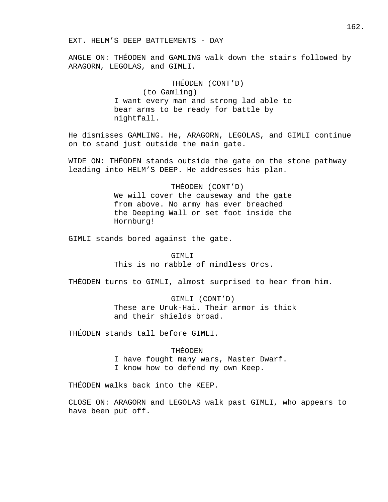ANGLE ON: THÉODEN and GAMLING walk down the stairs followed by ARAGORN, LEGOLAS, and GIMLI.

# THÉODEN (CONT'D)

 (to Gamling) I want every man and strong lad able to bear arms to be ready for battle by nightfall.

He dismisses GAMLING. He, ARAGORN, LEGOLAS, and GIMLI continue on to stand just outside the main gate.

WIDE ON: THÉODEN stands outside the gate on the stone pathway leading into HELM'S DEEP. He addresses his plan.

### THÉODEN (CONT'D)

 We will cover the causeway and the gate from above. No army has ever breached the Deeping Wall or set foot inside the Hornburg!

GIMLI stands bored against the gate.

### GTMLT<sub>J</sub>

This is no rabble of mindless Orcs.

THÉODEN turns to GIMLI, almost surprised to hear from him.

 GIMLI (CONT'D) These are Uruk-Hai. Their armor is thick and their shields broad.

THÉODEN stands tall before GIMLI.

# THÉODEN

 I have fought many wars, Master Dwarf. I know how to defend my own Keep.

THÉODEN walks back into the KEEP.

CLOSE ON: ARAGORN and LEGOLAS walk past GIMLI, who appears to have been put off.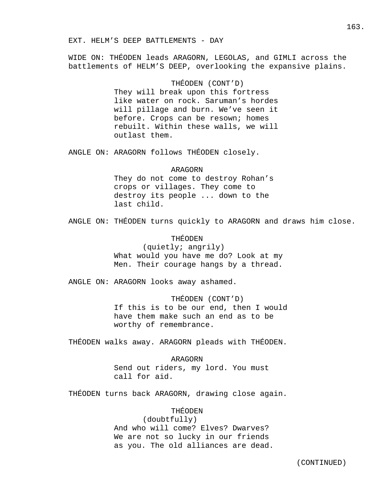WIDE ON: THÉODEN leads ARAGORN, LEGOLAS, and GIMLI across the battlements of HELM'S DEEP, overlooking the expansive plains.

# THÉODEN (CONT'D)

 They will break upon this fortress like water on rock. Saruman's hordes will pillage and burn. We've seen it before. Crops can be resown; homes rebuilt. Within these walls, we will outlast them.

ANGLE ON: ARAGORN follows THÉODEN closely.

### ARAGORN

 They do not come to destroy Rohan's crops or villages. They come to destroy its people ... down to the last child.

ANGLE ON: THÉODEN turns quickly to ARAGORN and draws him close.

# THÉODEN

 (quietly; angrily) What would you have me do? Look at my Men. Their courage hangs by a thread.

ANGLE ON: ARAGORN looks away ashamed.

 THÉODEN (CONT'D) If this is to be our end, then I would have them make such an end as to be worthy of remembrance.

THÉODEN walks away. ARAGORN pleads with THÉODEN.

# ARAGORN Send out riders, my lord. You must call for aid.

THÉODEN turns back ARAGORN, drawing close again.

# THÉODEN

 (doubtfully) And who will come? Elves? Dwarves? We are not so lucky in our friends as you. The old alliances are dead.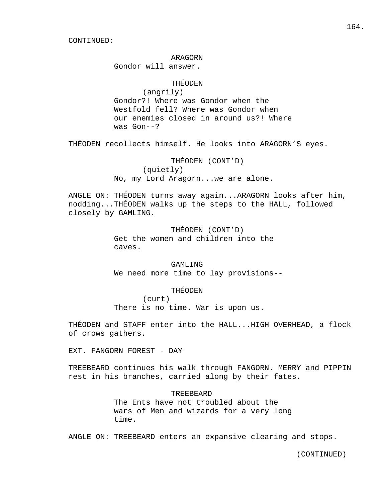# ARAGORN

Gondor will answer.

# THÉODEN

 (angrily) Gondor?! Where was Gondor when the Westfold fell? Where was Gondor when our enemies closed in around us?! Where was Gon--?

THÉODEN recollects himself. He looks into ARAGORN'S eyes.

# THÉODEN (CONT'D)

 (quietly) No, my Lord Aragorn...we are alone.

ANGLE ON: THÉODEN turns away again...ARAGORN looks after him, nodding...THÉODEN walks up the steps to the HALL, followed closely by GAMLING.

> THÉODEN (CONT'D) Get the women and children into the caves.

 GAMLING We need more time to lay provisions--

# THÉODEN

 (curt) There is no time. War is upon us.

THÉODEN and STAFF enter into the HALL...HIGH OVERHEAD, a flock of crows gathers.

EXT. FANGORN FOREST - DAY

TREEBEARD continues his walk through FANGORN. MERRY and PIPPIN rest in his branches, carried along by their fates.

# TREEBEARD

 The Ents have not troubled about the wars of Men and wizards for a very long time.

ANGLE ON: TREEBEARD enters an expansive clearing and stops.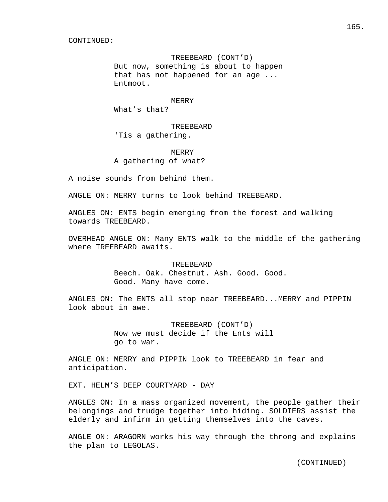# TREEBEARD (CONT'D)

 But now, something is about to happen that has not happened for an age ... Entmoot.

# MERRY

What's that?

# TREEBEARD 'Tis a gathering.

# **MERRY** A gathering of what?

A noise sounds from behind them.

ANGLE ON: MERRY turns to look behind TREEBEARD.

ANGLES ON: ENTS begin emerging from the forest and walking towards TREEBEARD.

OVERHEAD ANGLE ON: Many ENTS walk to the middle of the gathering where TREEBEARD awaits.

### TREEBEARD

 Beech. Oak. Chestnut. Ash. Good. Good. Good. Many have come.

ANGLES ON: The ENTS all stop near TREEBEARD...MERRY and PIPPIN look about in awe.

> TREEBEARD (CONT'D) Now we must decide if the Ents will go to war.

ANGLE ON: MERRY and PIPPIN look to TREEBEARD in fear and anticipation.

EXT. HELM'S DEEP COURTYARD - DAY

ANGLES ON: In a mass organized movement, the people gather their belongings and trudge together into hiding. SOLDIERS assist the elderly and infirm in getting themselves into the caves.

ANGLE ON: ARAGORN works his way through the throng and explains the plan to LEGOLAS.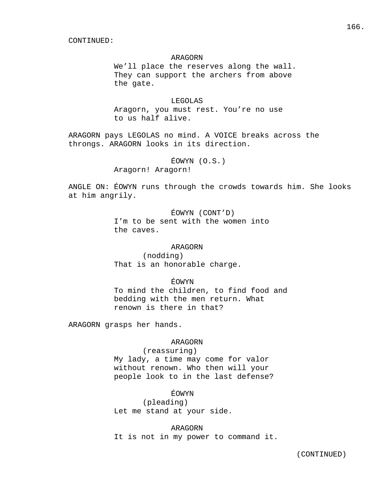# ARAGORN

 We'll place the reserves along the wall. They can support the archers from above the gate.

# LEGOLAS

 Aragorn, you must rest. You're no use to us half alive.

ARAGORN pays LEGOLAS no mind. A VOICE breaks across the throngs. ARAGORN looks in its direction.

ÉOWYN (O.S.)

Aragorn! Aragorn!

ANGLE ON: ÉOWYN runs through the crowds towards him. She looks at him angrily.

> ÉOWYN (CONT'D) I'm to be sent with the women into the caves.

### ARAGORN

 (nodding) That is an honorable charge.

# ÉOWYN

 To mind the children, to find food and bedding with the men return. What renown is there in that?

ARAGORN grasps her hands.

# ARAGORN

 (reassuring) My lady, a time may come for valor without renown. Who then will your people look to in the last defense?

# ÉOWYN

 (pleading) Let me stand at your side.

ARAGORN

It is not in my power to command it.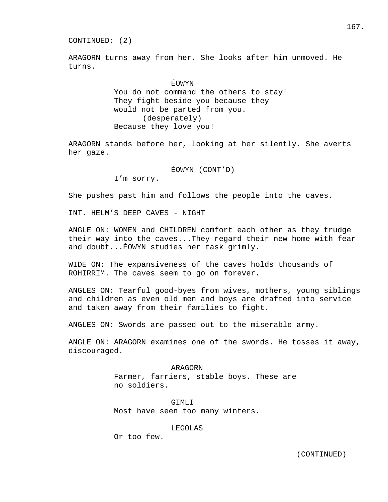ARAGORN turns away from her. She looks after him unmoved. He turns.

# ÉOWYN

 You do not command the others to stay! They fight beside you because they would not be parted from you. (desperately) Because they love you!

ARAGORN stands before her, looking at her silently. She averts her gaze.

ÉOWYN (CONT'D)

I'm sorry.

She pushes past him and follows the people into the caves.

INT. HELM'S DEEP CAVES - NIGHT

ANGLE ON: WOMEN and CHILDREN comfort each other as they trudge their way into the caves...They regard their new home with fear and doubt...ÉOWYN studies her task grimly.

WIDE ON: The expansiveness of the caves holds thousands of ROHIRRIM. The caves seem to go on forever.

ANGLES ON: Tearful good-byes from wives, mothers, young siblings and children as even old men and boys are drafted into service and taken away from their families to fight.

ANGLES ON: Swords are passed out to the miserable army.

ANGLE ON: ARAGORN examines one of the swords. He tosses it away, discouraged.

> ARAGORN Farmer, farriers, stable boys. These are no soldiers.

 GIMLI Most have seen too many winters.

### LEGOLAS

Or too few.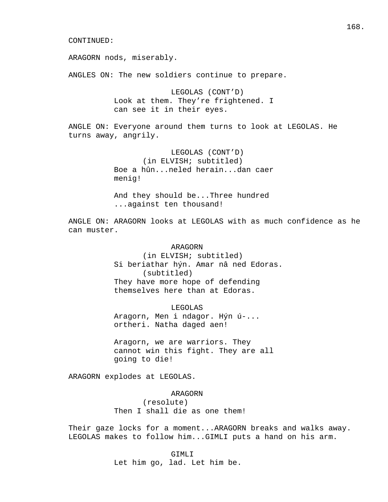ARAGORN nods, miserably.

ANGLES ON: The new soldiers continue to prepare.

 LEGOLAS (CONT'D) Look at them. They're frightened. I can see it in their eyes.

ANGLE ON: Everyone around them turns to look at LEGOLAS. He turns away, angrily.

> LEGOLAS (CONT'D) (in ELVISH; subtitled) Boe a hûn...neled herain...dan caer menig!

 And they should be...Three hundred ...against ten thousand!

ANGLE ON: ARAGORN looks at LEGOLAS with as much confidence as he can muster.

### ARAGORN

 (in ELVISH; subtitled) Si beriathar hýn. Amar nâ ned Edoras. (subtitled) They have more hope of defending themselves here than at Edoras.

 LEGOLAS Aragorn, Men i ndagor. Hýn ú-... ortheri. Natha daged aen!

 Aragorn, we are warriors. They cannot win this fight. They are all going to die!

ARAGORN explodes at LEGOLAS.

ARAGORN

 (resolute) Then I shall die as one them!

Their gaze locks for a moment...ARAGORN breaks and walks away. LEGOLAS makes to follow him...GIMLI puts a hand on his arm.

> GIMLI Let him go, lad. Let him be.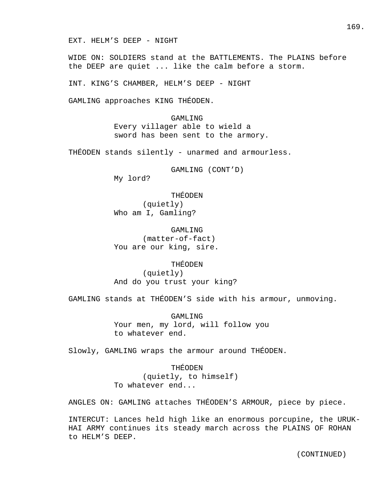EXT. HELM'S DEEP - NIGHT

WIDE ON: SOLDIERS stand at the BATTLEMENTS. The PLAINS before the DEEP are quiet ... like the calm before a storm.

INT. KING'S CHAMBER, HELM'S DEEP - NIGHT

GAMLING approaches KING THÉODEN.

 GAMLING Every villager able to wield a sword has been sent to the armory.

THÉODEN stands silently - unarmed and armourless.

 GAMLING (CONT'D) My lord?

 THÉODEN (quietly) Who am I, Gamling?

 GAMLING (matter-of-fact) You are our king, sire.

# THÉODEN

 (quietly) And do you trust your king?

GAMLING stands at THÉODEN'S side with his armour, unmoving.

 GAMLING Your men, my lord, will follow you to whatever end.

Slowly, GAMLING wraps the armour around THÉODEN.

 THÉODEN (quietly, to himself) To whatever end...

ANGLES ON: GAMLING attaches THÉODEN'S ARMOUR, piece by piece.

INTERCUT: Lances held high like an enormous porcupine, the URUK-HAI ARMY continues its steady march across the PLAINS OF ROHAN to HELM'S DEEP.

169.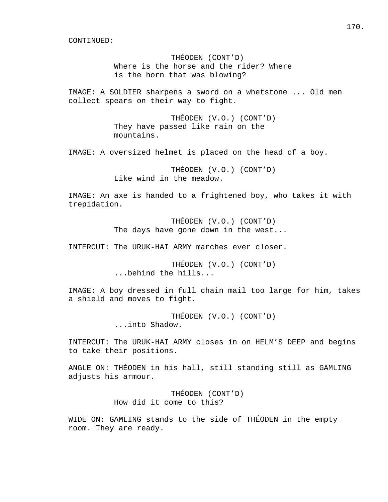THÉODEN (CONT'D) Where is the horse and the rider? Where is the horn that was blowing?

IMAGE: A SOLDIER sharpens a sword on a whetstone ... Old men collect spears on their way to fight.

> THÉODEN (V.O.) (CONT'D) They have passed like rain on the mountains.

IMAGE: A oversized helmet is placed on the head of a boy.

 THÉODEN (V.O.) (CONT'D) Like wind in the meadow.

IMAGE: An axe is handed to a frightened boy, who takes it with trepidation.

> THÉODEN (V.O.) (CONT'D) The days have gone down in the west...

INTERCUT: The URUK-HAI ARMY marches ever closer.

 THÉODEN (V.O.) (CONT'D) ...behind the hills...

IMAGE: A boy dressed in full chain mail too large for him, takes a shield and moves to fight.

> THÉODEN (V.O.) (CONT'D) ...into Shadow.

INTERCUT: The URUK-HAI ARMY closes in on HELM'S DEEP and begins to take their positions.

ANGLE ON: THÉODEN in his hall, still standing still as GAMLING adjusts his armour.

> THÉODEN (CONT'D) How did it come to this?

WIDE ON: GAMLING stands to the side of THÉODEN in the empty room. They are ready.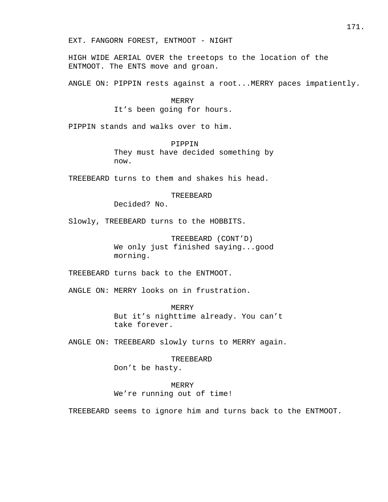EXT. FANGORN FOREST, ENTMOOT - NIGHT

HIGH WIDE AERIAL OVER the treetops to the location of the ENTMOOT. The ENTS move and groan.

ANGLE ON: PIPPIN rests against a root...MERRY paces impatiently.

 MERRY It's been going for hours.

PIPPIN stands and walks over to him.

 PIPPIN They must have decided something by now.

TREEBEARD turns to them and shakes his head.

### TREEBEARD

Decided? No.

Slowly, TREEBEARD turns to the HOBBITS.

 TREEBEARD (CONT'D) We only just finished saying...good morning.

TREEBEARD turns back to the ENTMOOT.

ANGLE ON: MERRY looks on in frustration.

 MERRY But it's nighttime already. You can't take forever.

ANGLE ON: TREEBEARD slowly turns to MERRY again.

 TREEBEARD Don't be hasty.

 MERRY We're running out of time!

TREEBEARD seems to ignore him and turns back to the ENTMOOT.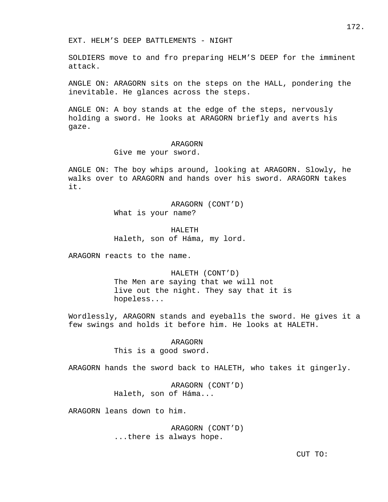EXT. HELM'S DEEP BATTLEMENTS - NIGHT

SOLDIERS move to and fro preparing HELM'S DEEP for the imminent attack.

ANGLE ON: ARAGORN sits on the steps on the HALL, pondering the inevitable. He glances across the steps.

ANGLE ON: A boy stands at the edge of the steps, nervously holding a sword. He looks at ARAGORN briefly and averts his gaze.

#### ARAGORN

Give me your sword.

ANGLE ON: The boy whips around, looking at ARAGORN. Slowly, he walks over to ARAGORN and hands over his sword. ARAGORN takes it.

> ARAGORN (CONT'D) What is your name?

 HALETH Haleth, son of Háma, my lord.

ARAGORN reacts to the name.

 HALETH (CONT'D) The Men are saying that we will not live out the night. They say that it is hopeless...

Wordlessly, ARAGORN stands and eyeballs the sword. He gives it a few swings and holds it before him. He looks at HALETH.

> ARAGORN This is a good sword.

ARAGORN hands the sword back to HALETH, who takes it gingerly.

 ARAGORN (CONT'D) Haleth, son of Háma...

ARAGORN leans down to him.

 ARAGORN (CONT'D) ...there is always hope.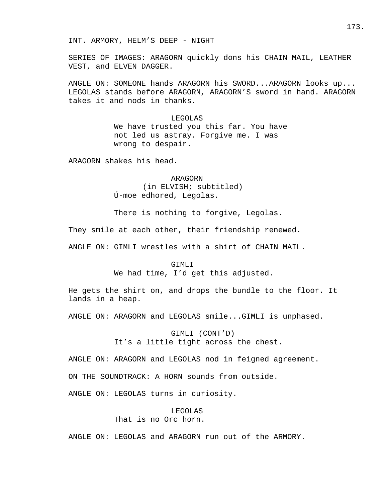INT. ARMORY, HELM'S DEEP - NIGHT

SERIES OF IMAGES: ARAGORN quickly dons his CHAIN MAIL, LEATHER VEST, and ELVEN DAGGER.

ANGLE ON: SOMEONE hands ARAGORN his SWORD...ARAGORN looks up... LEGOLAS stands before ARAGORN, ARAGORN'S sword in hand. ARAGORN takes it and nods in thanks.

> LEGOLAS We have trusted you this far. You have not led us astray. Forgive me. I was wrong to despair.

ARAGORN shakes his head.

 ARAGORN (in ELVISH; subtitled) Ú-moe edhored, Legolas.

There is nothing to forgive, Legolas.

They smile at each other, their friendship renewed.

ANGLE ON: GIMLI wrestles with a shirt of CHAIN MAIL.

### GIMLI

We had time, I'd get this adjusted.

He gets the shirt on, and drops the bundle to the floor. It lands in a heap.

ANGLE ON: ARAGORN and LEGOLAS smile...GIMLI is unphased.

 GIMLI (CONT'D) It's a little tight across the chest.

ANGLE ON: ARAGORN and LEGOLAS nod in feigned agreement.

ON THE SOUNDTRACK: A HORN sounds from outside.

ANGLE ON: LEGOLAS turns in curiosity.

# LEGOLAS That is no Orc horn.

ANGLE ON: LEGOLAS and ARAGORN run out of the ARMORY.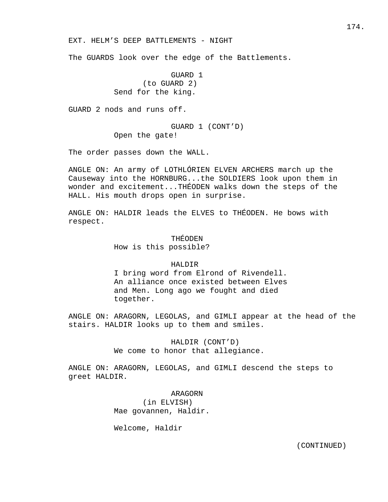EXT. HELM'S DEEP BATTLEMENTS - NIGHT

The GUARDS look over the edge of the Battlements.

 GUARD 1 (to GUARD 2) Send for the king.

GUARD 2 nods and runs off.

 GUARD 1 (CONT'D) Open the gate!

The order passes down the WALL.

ANGLE ON: An army of LOTHLÓRIEN ELVEN ARCHERS march up the Causeway into the HORNBURG...the SOLDIERS look upon them in wonder and excitement...THÉODEN walks down the steps of the HALL. His mouth drops open in surprise.

ANGLE ON: HALDIR leads the ELVES to THÉODEN. He bows with respect.

> THÉODEN How is this possible?

### HALDIR

 I bring word from Elrond of Rivendell. An alliance once existed between Elves and Men. Long ago we fought and died together.

ANGLE ON: ARAGORN, LEGOLAS, and GIMLI appear at the head of the stairs. HALDIR looks up to them and smiles.

> HALDIR (CONT'D) We come to honor that allegiance.

ANGLE ON: ARAGORN, LEGOLAS, and GIMLI descend the steps to greet HALDIR.

> ARAGORN (in ELVISH) Mae govannen, Haldir.

Welcome, Haldir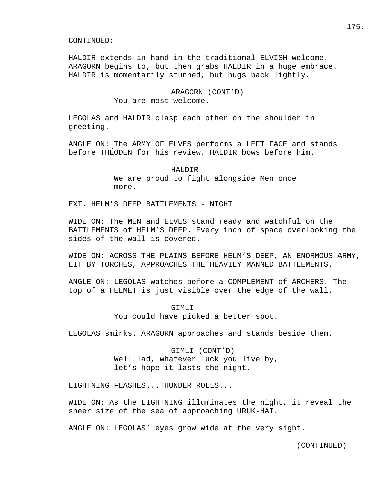HALDIR extends in hand in the traditional ELVISH welcome. ARAGORN begins to, but then grabs HALDIR in a huge embrace. HALDIR is momentarily stunned, but hugs back lightly.

# ARAGORN (CONT'D) You are most welcome.

LEGOLAS and HALDIR clasp each other on the shoulder in greeting.

ANGLE ON: The ARMY OF ELVES performs a LEFT FACE and stands before THÉODEN for his review. HALDIR bows before him.

> HALDIR We are proud to fight alongside Men once more.

EXT. HELM'S DEEP BATTLEMENTS - NIGHT

WIDE ON: The MEN and ELVES stand ready and watchful on the BATTLEMENTS of HELM'S DEEP. Every inch of space overlooking the sides of the wall is covered.

WIDE ON: ACROSS THE PLAINS BEFORE HELM'S DEEP, AN ENORMOUS ARMY, LIT BY TORCHES, APPROACHES THE HEAVILY MANNED BATTLEMENTS.

ANGLE ON: LEGOLAS watches before a COMPLEMENT of ARCHERS. The top of a HELMET is just visible over the edge of the wall.

> GIMLI You could have picked a better spot.

LEGOLAS smirks. ARAGORN approaches and stands beside them.

 GIMLI (CONT'D) Well lad, whatever luck you live by, let's hope it lasts the night.

LIGHTNING FLASHES...THUNDER ROLLS...

WIDE ON: As the LIGHTNING illuminates the night, it reveal the sheer size of the sea of approaching URUK-HAI.

ANGLE ON: LEGOLAS' eyes grow wide at the very sight.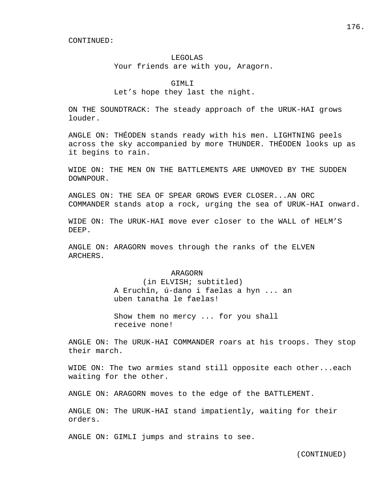### LEGOLAS

Your friends are with you, Aragorn.

GIMLI

# Let's hope they last the night.

ON THE SOUNDTRACK: The steady approach of the URUK-HAI grows louder.

ANGLE ON: THÉODEN stands ready with his men. LIGHTNING peels across the sky accompanied by more THUNDER. THÉODEN looks up as it begins to rain.

WIDE ON: THE MEN ON THE BATTLEMENTS ARE UNMOVED BY THE SUDDEN DOWNPOUR.

ANGLES ON: THE SEA OF SPEAR GROWS EVER CLOSER...AN ORC COMMANDER stands atop a rock, urging the sea of URUK-HAI onward.

WIDE ON: The URUK-HAI move ever closer to the WALL of HELM'S DEEP.

ANGLE ON: ARAGORN moves through the ranks of the ELVEN ARCHERS.

### ARAGORN

 (in ELVISH; subtitled) A Eruchîn, ú-dano i faelas a hyn ... an uben tanatha le faelas!

 Show them no mercy ... for you shall receive none!

ANGLE ON: The URUK-HAI COMMANDER roars at his troops. They stop their march.

WIDE ON: The two armies stand still opposite each other...each waiting for the other.

ANGLE ON: ARAGORN moves to the edge of the BATTLEMENT.

ANGLE ON: The URUK-HAI stand impatiently, waiting for their orders.

ANGLE ON: GIMLI jumps and strains to see.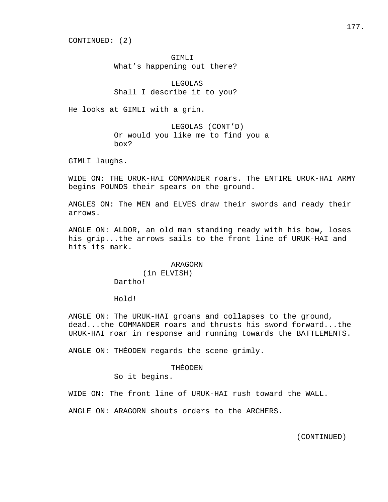CONTINUED: (2)

GTMLT What's happening out there?

 LEGOLAS Shall I describe it to you?

He looks at GIMLI with a grin.

 LEGOLAS (CONT'D) Or would you like me to find you a box?

GIMLI laughs.

WIDE ON: THE URUK-HAI COMMANDER roars. The ENTIRE URUK-HAI ARMY begins POUNDS their spears on the ground.

ANGLES ON: The MEN and ELVES draw their swords and ready their arrows.

ANGLE ON: ALDOR, an old man standing ready with his bow, loses his grip...the arrows sails to the front line of URUK-HAI and hits its mark.

# ARAGORN (in ELVISH) Dartho!

Hold!

ANGLE ON: The URUK-HAI groans and collapses to the ground, dead...the COMMANDER roars and thrusts his sword forward...the URUK-HAI roar in response and running towards the BATTLEMENTS.

ANGLE ON: THÉODEN regards the scene grimly.

# THÉODEN

So it begins.

WIDE ON: The front line of URUK-HAI rush toward the WALL.

ANGLE ON: ARAGORN shouts orders to the ARCHERS.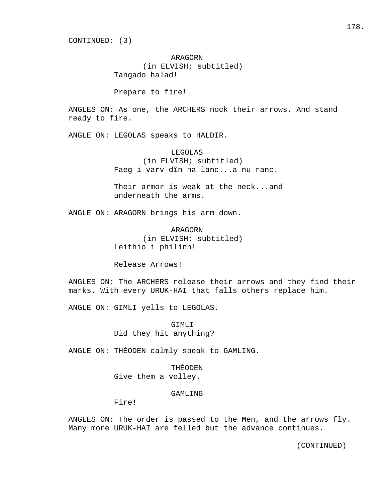ARAGORN (in ELVISH; subtitled) Tangado halad!

Prepare to fire!

ANGLES ON: As one, the ARCHERS nock their arrows. And stand ready to fire.

ANGLE ON: LEGOLAS speaks to HALDIR.

 LEGOLAS (in ELVISH; subtitled) Faeg i-varv dîn na lanc...a nu ranc.

 Their armor is weak at the neck...and underneath the arms.

ANGLE ON: ARAGORN brings his arm down.

 ARAGORN (in ELVISH; subtitled) Leithio i philinn!

Release Arrows!

ANGLES ON: The ARCHERS release their arrows and they find their marks. With every URUK-HAI that falls others replace him.

ANGLE ON: GIMLI yells to LEGOLAS.

 GIMLI Did they hit anything?

ANGLE ON: THÉODEN calmly speak to GAMLING.

 THÉODEN Give them a volley.

# GAMLING

Fire!

ANGLES ON: The order is passed to the Men, and the arrows fly. Many more URUK-HAI are felled but the advance continues.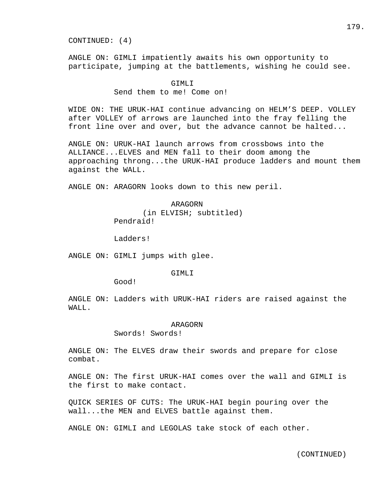CONTINUED: (4)

ANGLE ON: GIMLI impatiently awaits his own opportunity to participate, jumping at the battlements, wishing he could see.

#### GIMLI

# Send them to me! Come on!

WIDE ON: THE URUK-HAI continue advancing on HELM'S DEEP. VOLLEY after VOLLEY of arrows are launched into the fray felling the front line over and over, but the advance cannot be halted...

ANGLE ON: URUK-HAI launch arrows from crossbows into the ALLIANCE...ELVES and MEN fall to their doom among the approaching throng...the URUK-HAI produce ladders and mount them against the WALL.

ANGLE ON: ARAGORN looks down to this new peril.

# ARAGORN (in ELVISH; subtitled) Pendraid!

Ladders!

ANGLE ON: GIMLI jumps with glee.

# GIMLI

Good!

ANGLE ON: Ladders with URUK-HAI riders are raised against the WALL.

#### ARAGORN

Swords! Swords!

ANGLE ON: The ELVES draw their swords and prepare for close combat.

ANGLE ON: The first URUK-HAI comes over the wall and GIMLI is the first to make contact.

QUICK SERIES OF CUTS: The URUK-HAI begin pouring over the wall...the MEN and ELVES battle against them.

ANGLE ON: GIMLI and LEGOLAS take stock of each other.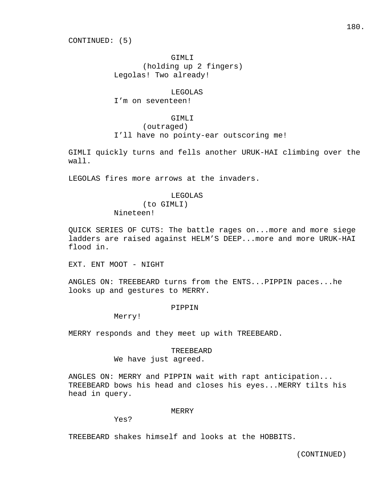GIMLI (holding up 2 fingers) Legolas! Two already!

## LEGOLAS

I'm on seventeen!

#### GIMLI

(outraged)

I'll have no pointy-ear outscoring me!

GIMLI quickly turns and fells another URUK-HAI climbing over the wall.

LEGOLAS fires more arrows at the invaders.

#### LEGOLAS

 (to GIMLI) Nineteen!

QUICK SERIES OF CUTS: The battle rages on...more and more siege ladders are raised against HELM'S DEEP...more and more URUK-HAI flood in.

EXT. ENT MOOT - NIGHT

ANGLES ON: TREEBEARD turns from the ENTS...PIPPIN paces...he looks up and gestures to MERRY.

#### PIPPIN

Merry!

MERRY responds and they meet up with TREEBEARD.

## TREEBEARD

We have just agreed.

ANGLES ON: MERRY and PIPPIN wait with rapt anticipation... TREEBEARD bows his head and closes his eyes...MERRY tilts his head in query.

## MERRY

Yes?

TREEBEARD shakes himself and looks at the HOBBITS.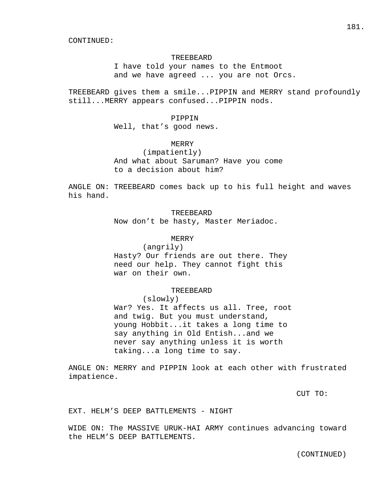#### TREEBEARD

 I have told your names to the Entmoot and we have agreed ... you are not Orcs.

TREEBEARD gives them a smile...PIPPIN and MERRY stand profoundly still...MERRY appears confused...PIPPIN nods.

#### PIPPIN

Well, that's good news.

# MERRY

 (impatiently) And what about Saruman? Have you come to a decision about him?

ANGLE ON: TREEBEARD comes back up to his full height and waves his hand.

# TREEBEARD

Now don't be hasty, Master Meriadoc.

# MERRY

 (angrily) Hasty? Our friends are out there. They need our help. They cannot fight this war on their own.

#### TREEBEARD

(slowly)

 War? Yes. It affects us all. Tree, root and twig. But you must understand, young Hobbit...it takes a long time to say anything in Old Entish...and we never say anything unless it is worth taking...a long time to say.

ANGLE ON: MERRY and PIPPIN look at each other with frustrated impatience.

CUT TO:

EXT. HELM'S DEEP BATTLEMENTS - NIGHT

WIDE ON: The MASSIVE URUK-HAI ARMY continues advancing toward the HELM'S DEEP BATTLEMENTS.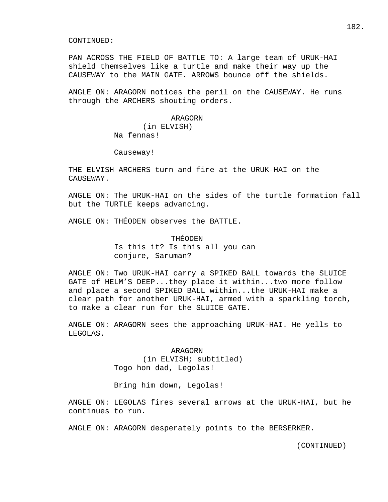PAN ACROSS THE FIELD OF BATTLE TO: A large team of URUK-HAI shield themselves like a turtle and make their way up the CAUSEWAY to the MAIN GATE. ARROWS bounce off the shields.

ANGLE ON: ARAGORN notices the peril on the CAUSEWAY. He runs through the ARCHERS shouting orders.

#### ARAGORN

 (in ELVISH) Na fennas!

Causeway!

THE ELVISH ARCHERS turn and fire at the URUK-HAI on the CAUSEWAY.

ANGLE ON: The URUK-HAI on the sides of the turtle formation fall but the TURTLE keeps advancing.

ANGLE ON: THÉODEN observes the BATTLE.

 THÉODEN Is this it? Is this all you can conjure, Saruman?

ANGLE ON: Two URUK-HAI carry a SPIKED BALL towards the SLUICE GATE of HELM'S DEEP...they place it within...two more follow and place a second SPIKED BALL within...the URUK-HAI make a clear path for another URUK-HAI, armed with a sparkling torch, to make a clear run for the SLUICE GATE.

ANGLE ON: ARAGORN sees the approaching URUK-HAI. He yells to LEGOLAS.

#### ARAGORN

 (in ELVISH; subtitled) Togo hon dad, Legolas!

Bring him down, Legolas!

ANGLE ON: LEGOLAS fires several arrows at the URUK-HAI, but he continues to run.

ANGLE ON: ARAGORN desperately points to the BERSERKER.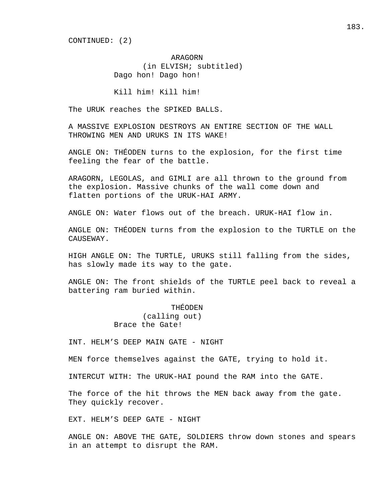CONTINUED: (2)

# ARAGORN (in ELVISH; subtitled) Dago hon! Dago hon!

Kill him! Kill him!

The URUK reaches the SPIKED BALLS.

A MASSIVE EXPLOSION DESTROYS AN ENTIRE SECTION OF THE WALL THROWING MEN AND URUKS IN ITS WAKE!

ANGLE ON: THÉODEN turns to the explosion, for the first time feeling the fear of the battle.

ARAGORN, LEGOLAS, and GIMLI are all thrown to the ground from the explosion. Massive chunks of the wall come down and flatten portions of the URUK-HAI ARMY.

ANGLE ON: Water flows out of the breach. URUK-HAI flow in.

ANGLE ON: THÉODEN turns from the explosion to the TURTLE on the CAUSEWAY.

HIGH ANGLE ON: The TURTLE, URUKS still falling from the sides, has slowly made its way to the gate.

ANGLE ON: The front shields of the TURTLE peel back to reveal a battering ram buried within.

# THÉODEN (calling out) Brace the Gate!

INT. HELM'S DEEP MAIN GATE - NIGHT

MEN force themselves against the GATE, trying to hold it.

INTERCUT WITH: The URUK-HAI pound the RAM into the GATE.

The force of the hit throws the MEN back away from the gate. They quickly recover.

EXT. HELM'S DEEP GATE - NIGHT

ANGLE ON: ABOVE THE GATE, SOLDIERS throw down stones and spears in an attempt to disrupt the RAM.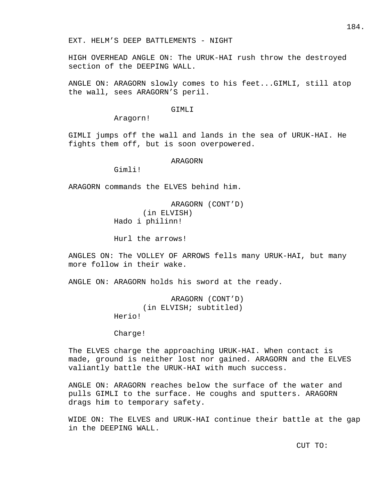HIGH OVERHEAD ANGLE ON: The URUK-HAI rush throw the destroyed section of the DEEPING WALL.

ANGLE ON: ARAGORN slowly comes to his feet...GIMLI, still atop the wall, sees ARAGORN'S peril.

#### GTMLT

Aragorn!

GIMLI jumps off the wall and lands in the sea of URUK-HAI. He fights them off, but is soon overpowered.

#### ARAGORN

Gimli!

ARAGORN commands the ELVES behind him.

 ARAGORN (CONT'D) (in ELVISH) Hado i philinn!

Hurl the arrows!

ANGLES ON: The VOLLEY OF ARROWS fells many URUK-HAI, but many more follow in their wake.

ANGLE ON: ARAGORN holds his sword at the ready.

 ARAGORN (CONT'D) (in ELVISH; subtitled) Herio!

Charge!

The ELVES charge the approaching URUK-HAI. When contact is made, ground is neither lost nor gained. ARAGORN and the ELVES valiantly battle the URUK-HAI with much success.

ANGLE ON: ARAGORN reaches below the surface of the water and pulls GIMLI to the surface. He coughs and sputters. ARAGORN drags him to temporary safety.

WIDE ON: The ELVES and URUK-HAI continue their battle at the gap in the DEEPING WALL.

CUT TO: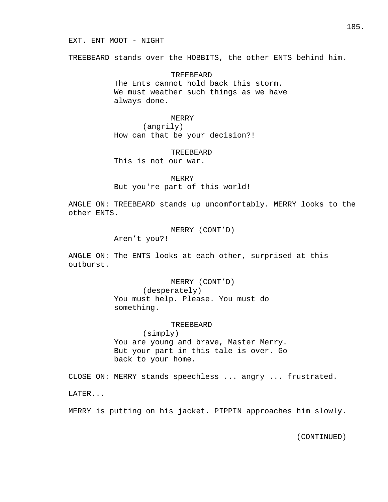TREEBEARD stands over the HOBBITS, the other ENTS behind him.

 TREEBEARD The Ents cannot hold back this storm. We must weather such things as we have always done.

#### MERRY

 (angrily) How can that be your decision?!

TREEBEARD

This is not our war.

 MERRY But you're part of this world!

ANGLE ON: TREEBEARD stands up uncomfortably. MERRY looks to the other ENTS.

MERRY (CONT'D)

Aren't you?!

ANGLE ON: The ENTS looks at each other, surprised at this outburst.

MERRY (CONT'D)

 (desperately) You must help. Please. You must do something.

#### TREEBEARD

 (simply) You are young and brave, Master Merry. But your part in this tale is over. Go back to your home.

CLOSE ON: MERRY stands speechless ... angry ... frustrated.

LATER...

MERRY is putting on his jacket. PIPPIN approaches him slowly.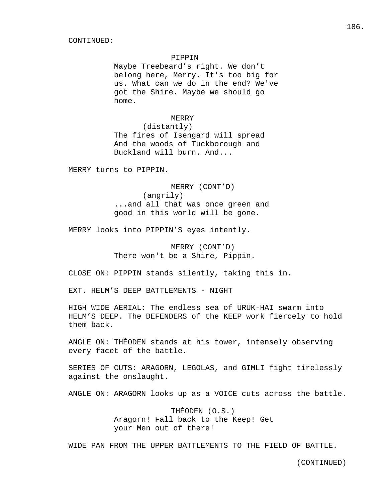## PIPPIN

 Maybe Treebeard's right. We don't belong here, Merry. It's too big for us. What can we do in the end? We've got the Shire. Maybe we should go home.

#### MERRY

 (distantly) The fires of Isengard will spread And the woods of Tuckborough and Buckland will burn. And...

MERRY turns to PIPPIN.

 MERRY (CONT'D) (angrily) ...and all that was once green and good in this world will be gone.

MERRY looks into PIPPIN'S eyes intently.

 MERRY (CONT'D) There won't be a Shire, Pippin.

CLOSE ON: PIPPIN stands silently, taking this in.

EXT. HELM'S DEEP BATTLEMENTS - NIGHT

HIGH WIDE AERIAL: The endless sea of URUK-HAI swarm into HELM'S DEEP. The DEFENDERS of the KEEP work fiercely to hold them back.

ANGLE ON: THÉODEN stands at his tower, intensely observing every facet of the battle.

SERIES OF CUTS: ARAGORN, LEGOLAS, and GIMLI fight tirelessly against the onslaught.

ANGLE ON: ARAGORN looks up as a VOICE cuts across the battle.

 THÉODEN (O.S.) Aragorn! Fall back to the Keep! Get your Men out of there!

WIDE PAN FROM THE UPPER BATTLEMENTS TO THE FIELD OF BATTLE.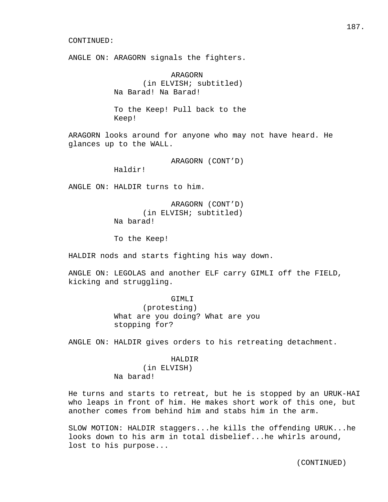ANGLE ON: ARAGORN signals the fighters.

 ARAGORN (in ELVISH; subtitled) Na Barad! Na Barad!

 To the Keep! Pull back to the Keep!

ARAGORN looks around for anyone who may not have heard. He glances up to the WALL.

ARAGORN (CONT'D)

Haldir!

ANGLE ON: HALDIR turns to him.

 ARAGORN (CONT'D) (in ELVISH; subtitled) Na barad!

To the Keep!

HALDIR nods and starts fighting his way down.

ANGLE ON: LEGOLAS and another ELF carry GIMLI off the FIELD, kicking and struggling.

> GIMLI (protesting) What are you doing? What are you stopping for?

ANGLE ON: HALDIR gives orders to his retreating detachment.

# HALDIR

 (in ELVISH) Na barad!

He turns and starts to retreat, but he is stopped by an URUK-HAI who leaps in front of him. He makes short work of this one, but another comes from behind him and stabs him in the arm.

SLOW MOTION: HALDIR staggers...he kills the offending URUK...he looks down to his arm in total disbelief...he whirls around, lost to his purpose...

187.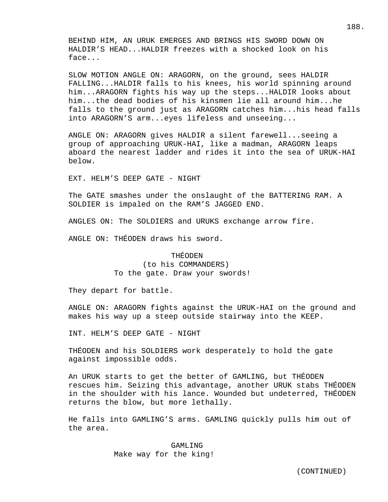BEHIND HIM, AN URUK EMERGES AND BRINGS HIS SWORD DOWN ON HALDIR'S HEAD...HALDIR freezes with a shocked look on his face...

SLOW MOTION ANGLE ON: ARAGORN, on the ground, sees HALDIR FALLING...HALDIR falls to his knees, his world spinning around him...ARAGORN fights his way up the steps...HALDIR looks about him...the dead bodies of his kinsmen lie all around him...he falls to the ground just as ARAGORN catches him...his head falls into ARAGORN'S arm...eyes lifeless and unseeing...

ANGLE ON: ARAGORN gives HALDIR a silent farewell...seeing a group of approaching URUK-HAI, like a madman, ARAGORN leaps aboard the nearest ladder and rides it into the sea of URUK-HAI below.

EXT. HELM'S DEEP GATE - NIGHT

The GATE smashes under the onslaught of the BATTERING RAM. A SOLDIER is impaled on the RAM'S JAGGED END.

ANGLES ON: The SOLDIERS and URUKS exchange arrow fire.

ANGLE ON: THÉODEN draws his sword.

# THÉODEN

 (to his COMMANDERS) To the gate. Draw your swords!

They depart for battle.

ANGLE ON: ARAGORN fights against the URUK-HAI on the ground and makes his way up a steep outside stairway into the KEEP.

INT. HELM'S DEEP GATE - NIGHT

THÉODEN and his SOLDIERS work desperately to hold the gate against impossible odds.

An URUK starts to get the better of GAMLING, but THÉODEN rescues him. Seizing this advantage, another URUK stabs THÉODEN in the shoulder with his lance. Wounded but undeterred, THÉODEN returns the blow, but more lethally.

He falls into GAMLING'S arms. GAMLING quickly pulls him out of the area.

> GAMLING Make way for the king!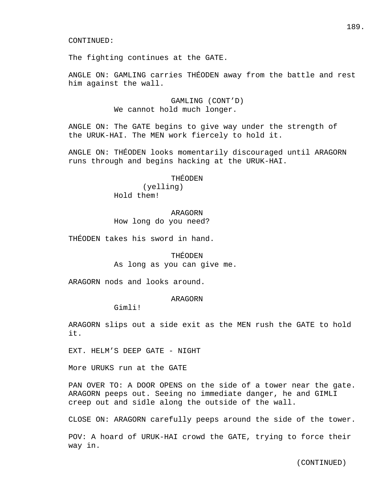The fighting continues at the GATE.

ANGLE ON: GAMLING carries THÉODEN away from the battle and rest him against the wall.

> GAMLING (CONT'D) We cannot hold much longer.

ANGLE ON: The GATE begins to give way under the strength of the URUK-HAI. The MEN work fiercely to hold it.

ANGLE ON: THÉODEN looks momentarily discouraged until ARAGORN runs through and begins hacking at the URUK-HAI.

> THÉODEN (yelling) Hold them!

# ARAGORN How long do you need?

THÉODEN takes his sword in hand.

## THÉODEN

As long as you can give me.

ARAGORN nods and looks around.

# ARAGORN

Gimli!

ARAGORN slips out a side exit as the MEN rush the GATE to hold it.

EXT. HELM'S DEEP GATE - NIGHT

More URUKS run at the GATE

PAN OVER TO: A DOOR OPENS on the side of a tower near the gate. ARAGORN peeps out. Seeing no immediate danger, he and GIMLI creep out and sidle along the outside of the wall.

CLOSE ON: ARAGORN carefully peeps around the side of the tower.

POV: A hoard of URUK-HAI crowd the GATE, trying to force their way in.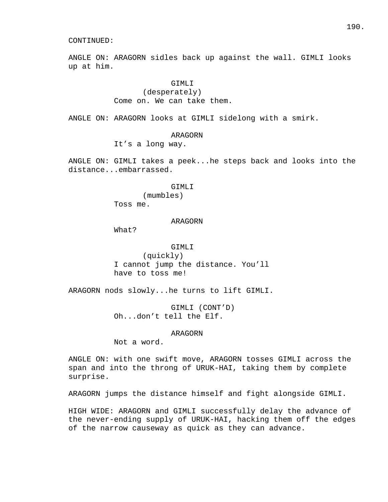ANGLE ON: ARAGORN sidles back up against the wall. GIMLI looks up at him.

# GIMLI (desperately) Come on. We can take them.

ANGLE ON: ARAGORN looks at GIMLI sidelong with a smirk.

# ARAGORN It's a long way.

ANGLE ON: GIMLI takes a peek...he steps back and looks into the distance...embarrassed.

#### GIMLI

 (mumbles) Toss me.

#### ARAGORN

What?

# GIMLI

 (quickly) I cannot jump the distance. You'll have to toss me!

ARAGORN nods slowly...he turns to lift GIMLI.

 GIMLI (CONT'D) Oh...don't tell the Elf.

# ARAGORN

Not a word.

ANGLE ON: with one swift move, ARAGORN tosses GIMLI across the span and into the throng of URUK-HAI, taking them by complete surprise.

ARAGORN jumps the distance himself and fight alongside GIMLI.

HIGH WIDE: ARAGORN and GIMLI successfully delay the advance of the never-ending supply of URUK-HAI, hacking them off the edges of the narrow causeway as quick as they can advance.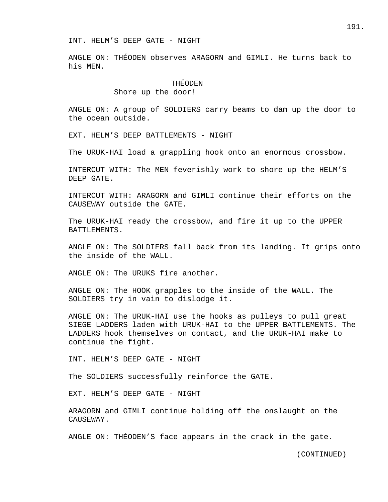ANGLE ON: THÉODEN observes ARAGORN and GIMLI. He turns back to his MEN.

# THÉODEN

## Shore up the door!

ANGLE ON: A group of SOLDIERS carry beams to dam up the door to the ocean outside.

EXT. HELM'S DEEP BATTLEMENTS - NIGHT

The URUK-HAI load a grappling hook onto an enormous crossbow.

INTERCUT WITH: The MEN feverishly work to shore up the HELM'S DEEP GATE.

INTERCUT WITH: ARAGORN and GIMLI continue their efforts on the CAUSEWAY outside the GATE.

The URUK-HAI ready the crossbow, and fire it up to the UPPER BATTLEMENTS.

ANGLE ON: The SOLDIERS fall back from its landing. It grips onto the inside of the WALL.

ANGLE ON: The URUKS fire another.

ANGLE ON: The HOOK grapples to the inside of the WALL. The SOLDIERS try in vain to dislodge it.

ANGLE ON: The URUK-HAI use the hooks as pulleys to pull great SIEGE LADDERS laden with URUK-HAI to the UPPER BATTLEMENTS. The LADDERS hook themselves on contact, and the URUK-HAI make to continue the fight.

INT. HELM'S DEEP GATE - NIGHT

The SOLDIERS successfully reinforce the GATE.

EXT. HELM'S DEEP GATE - NIGHT

ARAGORN and GIMLI continue holding off the onslaught on the CAUSEWAY.

ANGLE ON: THÉODEN'S face appears in the crack in the gate.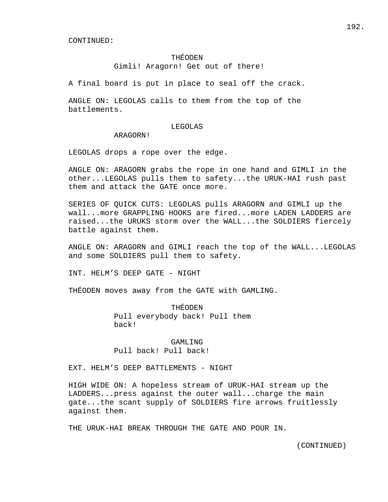## THÉODEN

Gimli! Aragorn! Get out of there!

A final board is put in place to seal off the crack.

ANGLE ON: LEGOLAS calls to them from the top of the battlements.

#### LEGOLAS

ARAGORN!

LEGOLAS drops a rope over the edge.

ANGLE ON: ARAGORN grabs the rope in one hand and GIMLI in the other...LEGOLAS pulls them to safety...the URUK-HAI rush past them and attack the GATE once more.

SERIES OF QUICK CUTS: LEGOLAS pulls ARAGORN and GIMLI up the wall...more GRAPPLING HOOKS are fired...more LADEN LADDERS are raised...the URUKS storm over the WALL...the SOLDIERS fiercely battle against them.

ANGLE ON: ARAGORN and GIMLI reach the top of the WALL...LEGOLAS and some SOLDIERS pull them to safety.

INT. HELM'S DEEP GATE - NIGHT

THÉODEN moves away from the GATE with GAMLING.

 THÉODEN Pull everybody back! Pull them back!

 GAMLING Pull back! Pull back!

EXT. HELM'S DEEP BATTLEMENTS - NIGHT

HIGH WIDE ON: A hopeless stream of URUK-HAI stream up the LADDERS...press against the outer wall...charge the main gate...the scant supply of SOLDIERS fire arrows fruitlessly against them.

THE URUK-HAI BREAK THROUGH THE GATE AND POUR IN.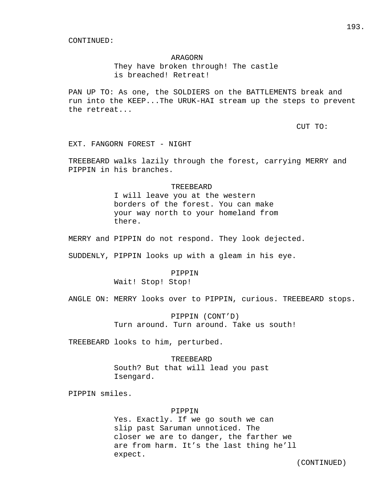# ARAGORN

 They have broken through! The castle is breached! Retreat!

PAN UP TO: As one, the SOLDIERS on the BATTLEMENTS break and run into the KEEP...The URUK-HAI stream up the steps to prevent the retreat...

CUT TO:

EXT. FANGORN FOREST - NIGHT

TREEBEARD walks lazily through the forest, carrying MERRY and PIPPIN in his branches.

#### TREEBEARD

 I will leave you at the western borders of the forest. You can make your way north to your homeland from there.

MERRY and PIPPIN do not respond. They look dejected.

SUDDENLY, PIPPIN looks up with a gleam in his eye.

PIPPIN

Wait! Stop! Stop!

ANGLE ON: MERRY looks over to PIPPIN, curious. TREEBEARD stops.

 PIPPIN (CONT'D) Turn around. Turn around. Take us south!

TREEBEARD looks to him, perturbed.

 TREEBEARD South? But that will lead you past Isengard.

PIPPIN smiles.

# PIPPIN

 Yes. Exactly. If we go south we can slip past Saruman unnoticed. The closer we are to danger, the farther we are from harm. It's the last thing he'll expect.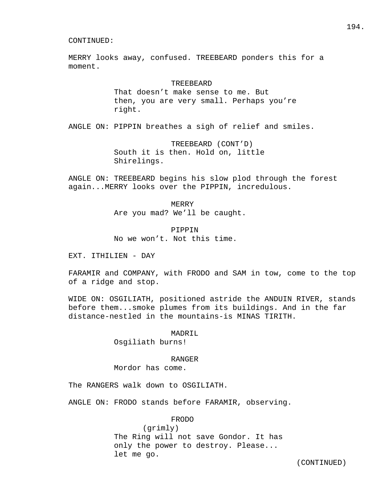MERRY looks away, confused. TREEBEARD ponders this for a moment.

# TREEBEARD

 That doesn't make sense to me. But then, you are very small. Perhaps you're right.

ANGLE ON: PIPPIN breathes a sigh of relief and smiles.

 TREEBEARD (CONT'D) South it is then. Hold on, little Shirelings.

ANGLE ON: TREEBEARD begins his slow plod through the forest again...MERRY looks over the PIPPIN, incredulous.

MERRY

Are you mad? We'll be caught.

 PIPPIN No we won't. Not this time.

EXT. ITHILIEN - DAY

FARAMIR and COMPANY, with FRODO and SAM in tow, come to the top of a ridge and stop.

WIDE ON: OSGILIATH, positioned astride the ANDUIN RIVER, stands before them...smoke plumes from its buildings. And in the far distance-nestled in the mountains-is MINAS TIRITH.

MADRIL

Osgiliath burns!

#### RANGER

Mordor has come.

The RANGERS walk down to OSGILIATH.

ANGLE ON: FRODO stands before FARAMIR, observing.

FRODO

 (grimly) The Ring will not save Gondor. It has only the power to destroy. Please... let me go.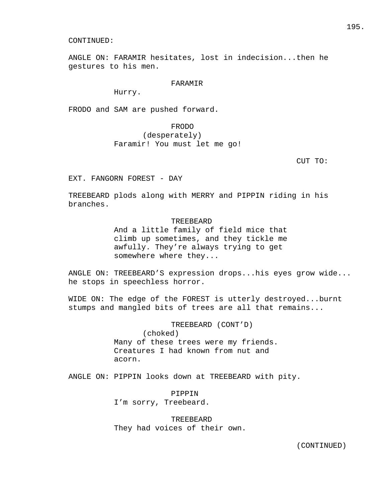ANGLE ON: FARAMIR hesitates, lost in indecision...then he gestures to his men.

# FARAMIR

Hurry.

FRODO and SAM are pushed forward.

# FRODO (desperately) Faramir! You must let me go!

CUT TO:

EXT. FANGORN FOREST - DAY

TREEBEARD plods along with MERRY and PIPPIN riding in his branches.

# TREEBEARD

 And a little family of field mice that climb up sometimes, and they tickle me awfully. They're always trying to get somewhere where they...

ANGLE ON: TREEBEARD'S expression drops...his eyes grow wide... he stops in speechless horror.

WIDE ON: The edge of the FOREST is utterly destroyed...burnt stumps and mangled bits of trees are all that remains...

> TREEBEARD (CONT'D) (choked) Many of these trees were my friends. Creatures I had known from nut and acorn.

ANGLE ON: PIPPIN looks down at TREEBEARD with pity.

 PIPPIN I'm sorry, Treebeard.

 TREEBEARD They had voices of their own.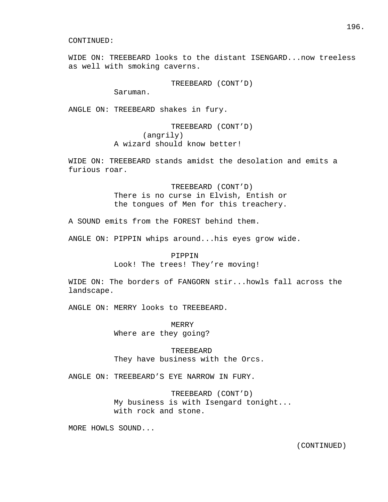WIDE ON: TREEBEARD looks to the distant ISENGARD...now treeless as well with smoking caverns.

TREEBEARD (CONT'D)

Saruman.

ANGLE ON: TREEBEARD shakes in fury.

 TREEBEARD (CONT'D) (angrily) A wizard should know better!

WIDE ON: TREEBEARD stands amidst the desolation and emits a furious roar.

> TREEBEARD (CONT'D) There is no curse in Elvish, Entish or the tongues of Men for this treachery.

A SOUND emits from the FOREST behind them.

ANGLE ON: PIPPIN whips around...his eyes grow wide.

#### PIPPIN

Look! The trees! They're moving!

WIDE ON: The borders of FANGORN stir...howls fall across the landscape.

ANGLE ON: MERRY looks to TREEBEARD.

 MERRY Where are they going?

# TREEBEARD

They have business with the Orcs.

ANGLE ON: TREEBEARD'S EYE NARROW IN FURY.

 TREEBEARD (CONT'D) My business is with Isengard tonight... with rock and stone.

MORE HOWLS SOUND...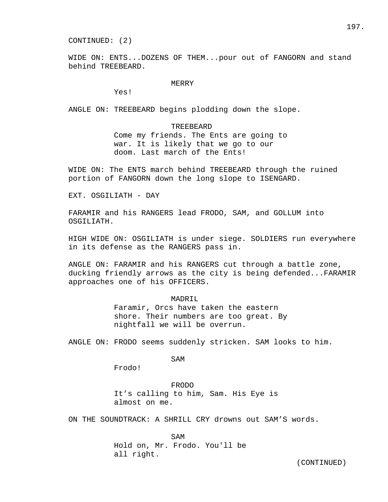CONTINUED: (2)

WIDE ON: ENTS...DOZENS OF THEM...pour out of FANGORN and stand behind TREEBEARD.

# MERRY

Yes!

ANGLE ON: TREEBEARD begins plodding down the slope.

# TREEBEARD

 Come my friends. The Ents are going to war. It is likely that we go to our doom. Last march of the Ents!

WIDE ON: The ENTS march behind TREEBEARD through the ruined portion of FANGORN down the long slope to ISENGARD.

EXT. OSGILIATH - DAY

FARAMIR and his RANGERS lead FRODO, SAM, and GOLLUM into OSGILIATH.

HIGH WIDE ON: OSGILIATH is under siege. SOLDIERS run everywhere in its defense as the RANGERS pass in.

ANGLE ON: FARAMIR and his RANGERS cut through a battle zone, ducking friendly arrows as the city is being defended...FARAMIR approaches one of his OFFICERS.

## MADRIL

 Faramir, Orcs have taken the eastern shore. Their numbers are too great. By nightfall we will be overrun.

ANGLE ON: FRODO seems suddenly stricken. SAM looks to him.

SAM

Frodo!

 FRODO It's calling to him, Sam. His Eye is almost on me.

ON THE SOUNDTRACK: A SHRILL CRY drowns out SAM'S words.

SAM Hold on, Mr. Frodo. You'll be all right.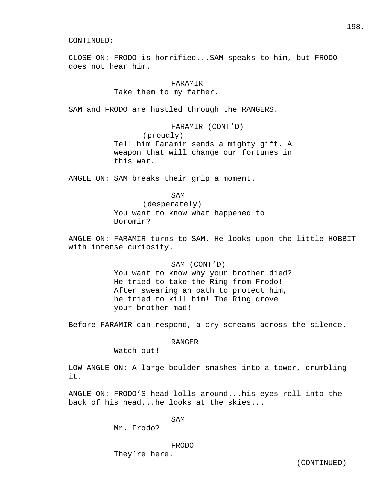CLOSE ON: FRODO is horrified...SAM speaks to him, but FRODO does not hear him.

> FARAMIR Take them to my father.

SAM and FRODO are hustled through the RANGERS.

 FARAMIR (CONT'D) (proudly) Tell him Faramir sends a mighty gift. A weapon that will change our fortunes in this war.

ANGLE ON: SAM breaks their grip a moment.

SAM

 (desperately) You want to know what happened to Boromir?

ANGLE ON: FARAMIR turns to SAM. He looks upon the little HOBBIT with intense curiosity.

> SAM (CONT'D) You want to know why your brother died? He tried to take the Ring from Frodo! After swearing an oath to protect him, he tried to kill him! The Ring drove your brother mad!

Before FARAMIR can respond, a cry screams across the silence.

RANGER

Watch out!

LOW ANGLE ON: A large boulder smashes into a tower, crumbling it.

ANGLE ON: FRODO'S head lolls around...his eyes roll into the back of his head...he looks at the skies...

SAM

Mr. Frodo?

FRODO

They're here.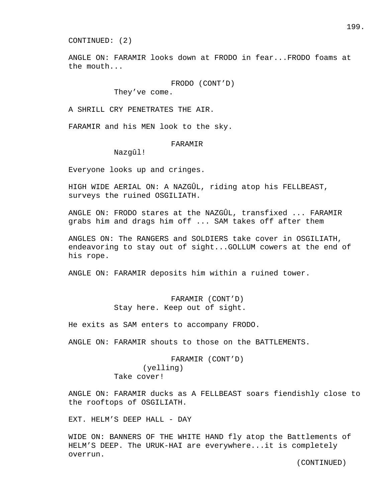CONTINUED: (2)

ANGLE ON: FARAMIR looks down at FRODO in fear...FRODO foams at the mouth...

FRODO (CONT'D)

They've come.

A SHRILL CRY PENETRATES THE AIR.

FARAMIR and his MEN look to the sky.

## FARAMIR

Nazgûl!

Everyone looks up and cringes.

HIGH WIDE AERIAL ON: A NAZGÛL, riding atop his FELLBEAST, surveys the ruined OSGILIATH.

ANGLE ON: FRODO stares at the NAZGÛL, transfixed ... FARAMIR grabs him and drags him off ... SAM takes off after them

ANGLES ON: The RANGERS and SOLDIERS take cover in OSGILIATH, endeavoring to stay out of sight...GOLLUM cowers at the end of his rope.

ANGLE ON: FARAMIR deposits him within a ruined tower.

# FARAMIR (CONT'D) Stay here. Keep out of sight.

He exits as SAM enters to accompany FRODO.

ANGLE ON: FARAMIR shouts to those on the BATTLEMENTS.

# FARAMIR (CONT'D) (yelling) Take cover!

ANGLE ON: FARAMIR ducks as A FELLBEAST soars fiendishly close to the rooftops of OSGILIATH.

EXT. HELM'S DEEP HALL - DAY

WIDE ON: BANNERS OF THE WHITE HAND fly atop the Battlements of HELM'S DEEP. The URUK-HAI are everywhere...it is completely overrun.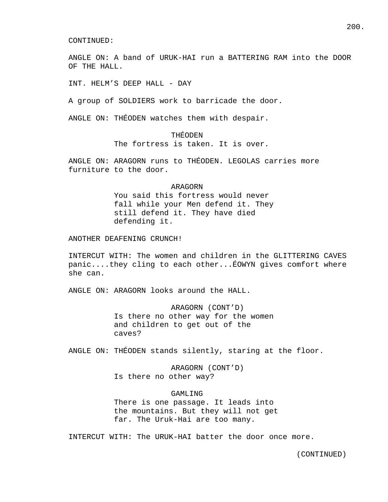ANGLE ON: A band of URUK-HAI run a BATTERING RAM into the DOOR OF THE HALL.

INT. HELM'S DEEP HALL - DAY

A group of SOLDIERS work to barricade the door.

ANGLE ON: THÉODEN watches them with despair.

# THÉODEN

The fortress is taken. It is over.

ANGLE ON: ARAGORN runs to THÉODEN. LEGOLAS carries more furniture to the door.

#### ARAGORN

 You said this fortress would never fall while your Men defend it. They still defend it. They have died defending it.

ANOTHER DEAFENING CRUNCH!

INTERCUT WITH: The women and children in the GLITTERING CAVES panic....they cling to each other...ÉOWYN gives comfort where she can.

ANGLE ON: ARAGORN looks around the HALL.

 ARAGORN (CONT'D) Is there no other way for the women and children to get out of the caves?

ANGLE ON: THÉODEN stands silently, staring at the floor.

 ARAGORN (CONT'D) Is there no other way?

# GAMLING

 There is one passage. It leads into the mountains. But they will not get far. The Uruk-Hai are too many.

INTERCUT WITH: The URUK-HAI batter the door once more.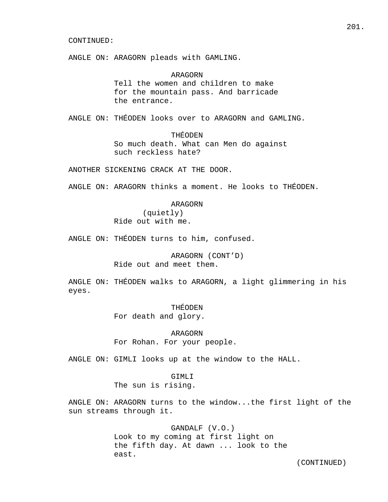ANGLE ON: ARAGORN pleads with GAMLING.

 ARAGORN Tell the women and children to make for the mountain pass. And barricade the entrance.

ANGLE ON: THÉODEN looks over to ARAGORN and GAMLING.

# THÉODEN

 So much death. What can Men do against such reckless hate?

ANOTHER SICKENING CRACK AT THE DOOR.

ANGLE ON: ARAGORN thinks a moment. He looks to THÉODEN.

# ARAGORN

 (quietly) Ride out with me.

ANGLE ON: THÉODEN turns to him, confused.

 ARAGORN (CONT'D) Ride out and meet them.

ANGLE ON: THÉODEN walks to ARAGORN, a light glimmering in his eyes.

> THÉODEN For death and glory.

 ARAGORN For Rohan. For your people.

ANGLE ON: GIMLI looks up at the window to the HALL.

 GIMLI The sun is rising.

ANGLE ON: ARAGORN turns to the window...the first light of the sun streams through it.

> GANDALF (V.O.) Look to my coming at first light on the fifth day. At dawn ... look to the east.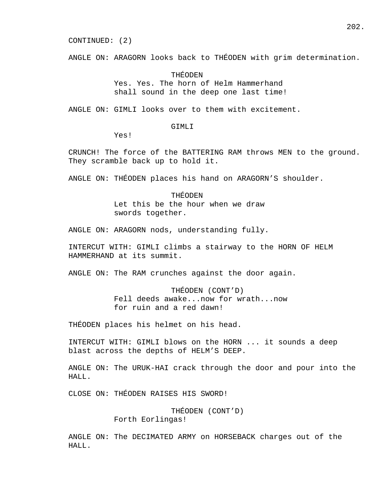#### CONTINUED: (2)

ANGLE ON: ARAGORN looks back to THÉODEN with grim determination.

 THÉODEN Yes. Yes. The horn of Helm Hammerhand shall sound in the deep one last time!

ANGLE ON: GIMLI looks over to them with excitement.

## GIMLI

Yes!

CRUNCH! The force of the BATTERING RAM throws MEN to the ground. They scramble back up to hold it.

ANGLE ON: THÉODEN places his hand on ARAGORN'S shoulder.

 THÉODEN Let this be the hour when we draw swords together.

ANGLE ON: ARAGORN nods, understanding fully.

INTERCUT WITH: GIMLI climbs a stairway to the HORN OF HELM HAMMERHAND at its summit.

ANGLE ON: The RAM crunches against the door again.

 THÉODEN (CONT'D) Fell deeds awake...now for wrath...now for ruin and a red dawn!

THÉODEN places his helmet on his head.

INTERCUT WITH: GIMLI blows on the HORN ... it sounds a deep blast across the depths of HELM'S DEEP.

ANGLE ON: The URUK-HAI crack through the door and pour into the HALL.

CLOSE ON: THÉODEN RAISES HIS SWORD!

 THÉODEN (CONT'D) Forth Eorlingas!

ANGLE ON: The DECIMATED ARMY on HORSEBACK charges out of the HALL.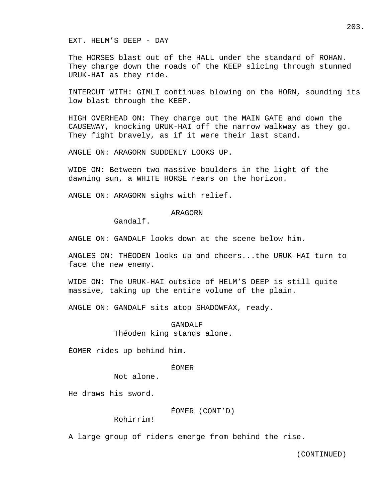EXT. HELM'S DEEP - DAY

The HORSES blast out of the HALL under the standard of ROHAN. They charge down the roads of the KEEP slicing through stunned URUK-HAI as they ride.

INTERCUT WITH: GIMLI continues blowing on the HORN, sounding its low blast through the KEEP.

HIGH OVERHEAD ON: They charge out the MAIN GATE and down the CAUSEWAY, knocking URUK-HAI off the narrow walkway as they go. They fight bravely, as if it were their last stand.

ANGLE ON: ARAGORN SUDDENLY LOOKS UP.

WIDE ON: Between two massive boulders in the light of the dawning sun, a WHITE HORSE rears on the horizon.

ANGLE ON: ARAGORN sighs with relief.

# ARAGORN

Gandalf.

ANGLE ON: GANDALF looks down at the scene below him.

ANGLES ON: THÉODEN looks up and cheers...the URUK-HAI turn to face the new enemy.

WIDE ON: The URUK-HAI outside of HELM'S DEEP is still quite massive, taking up the entire volume of the plain.

ANGLE ON: GANDALF sits atop SHADOWFAX, ready.

# GANDALF Théoden king stands alone.

ÉOMER rides up behind him.

# ÉOMER

Not alone.

He draws his sword.

ÉOMER (CONT'D)

Rohirrim!

A large group of riders emerge from behind the rise.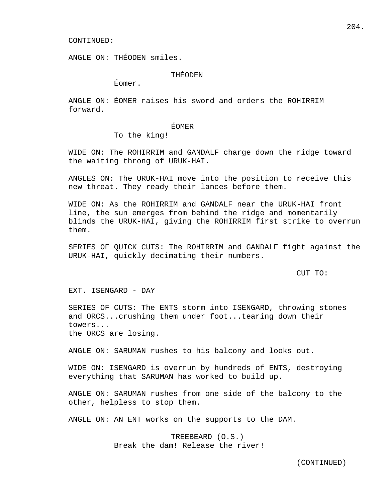ANGLE ON: THÉODEN smiles.

THÉODEN

Éomer.

ANGLE ON: ÉOMER raises his sword and orders the ROHIRRIM forward.

# ÉOMER

To the king!

WIDE ON: The ROHIRRIM and GANDALF charge down the ridge toward the waiting throng of URUK-HAI.

ANGLES ON: The URUK-HAI move into the position to receive this new threat. They ready their lances before them.

WIDE ON: As the ROHIRRIM and GANDALF near the URUK-HAI front line, the sun emerges from behind the ridge and momentarily blinds the URUK-HAI, giving the ROHIRRIM first strike to overrun them.

SERIES OF QUICK CUTS: The ROHIRRIM and GANDALF fight against the URUK-HAI, quickly decimating their numbers.

CUT TO:

EXT. ISENGARD - DAY

SERIES OF CUTS: The ENTS storm into ISENGARD, throwing stones and ORCS...crushing them under foot...tearing down their towers... the ORCS are losing.

ANGLE ON: SARUMAN rushes to his balcony and looks out.

WIDE ON: ISENGARD is overrun by hundreds of ENTS, destroying everything that SARUMAN has worked to build up.

ANGLE ON: SARUMAN rushes from one side of the balcony to the other, helpless to stop them.

ANGLE ON: AN ENT works on the supports to the DAM.

 TREEBEARD (O.S.) Break the dam! Release the river!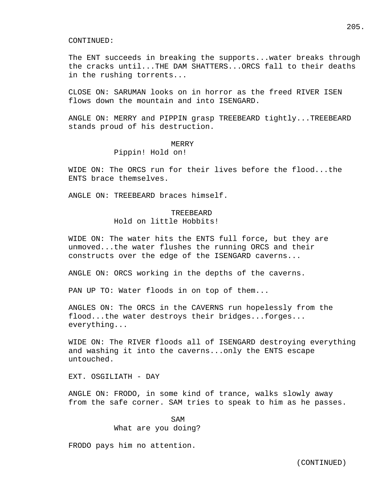The ENT succeeds in breaking the supports...water breaks through the cracks until...THE DAM SHATTERS...ORCS fall to their deaths in the rushing torrents...

CLOSE ON: SARUMAN looks on in horror as the freed RIVER ISEN flows down the mountain and into ISENGARD.

ANGLE ON: MERRY and PIPPIN grasp TREEBEARD tightly...TREEBEARD stands proud of his destruction.

#### MERRY

# Pippin! Hold on!

WIDE ON: The ORCS run for their lives before the flood...the ENTS brace themselves.

ANGLE ON: TREEBEARD braces himself.

# **TREEBEARD** Hold on little Hobbits!

WIDE ON: The water hits the ENTS full force, but they are unmoved...the water flushes the running ORCS and their constructs over the edge of the ISENGARD caverns...

ANGLE ON: ORCS working in the depths of the caverns.

PAN UP TO: Water floods in on top of them...

ANGLES ON: The ORCS in the CAVERNS run hopelessly from the flood...the water destroys their bridges...forges... everything...

WIDE ON: The RIVER floods all of ISENGARD destroying everything and washing it into the caverns...only the ENTS escape untouched.

EXT. OSGILIATH - DAY

ANGLE ON: FRODO, in some kind of trance, walks slowly away from the safe corner. SAM tries to speak to him as he passes.

SAM What are you doing?

FRODO pays him no attention.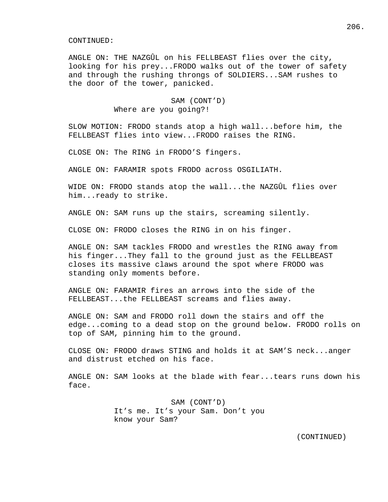ANGLE ON: THE NAZGÛL on his FELLBEAST flies over the city, looking for his prey...FRODO walks out of the tower of safety and through the rushing throngs of SOLDIERS...SAM rushes to the door of the tower, panicked.

# SAM (CONT'D) Where are you going?!

SLOW MOTION: FRODO stands atop a high wall...before him, the FELLBEAST flies into view...FRODO raises the RING.

CLOSE ON: The RING in FRODO'S fingers.

ANGLE ON: FARAMIR spots FRODO across OSGILIATH.

WIDE ON: FRODO stands atop the wall...the NAZGÛL flies over him...ready to strike.

ANGLE ON: SAM runs up the stairs, screaming silently.

CLOSE ON: FRODO closes the RING in on his finger.

ANGLE ON: SAM tackles FRODO and wrestles the RING away from his finger...They fall to the ground just as the FELLBEAST closes its massive claws around the spot where FRODO was standing only moments before.

ANGLE ON: FARAMIR fires an arrows into the side of the FELLBEAST...the FELLBEAST screams and flies away.

ANGLE ON: SAM and FRODO roll down the stairs and off the edge...coming to a dead stop on the ground below. FRODO rolls on top of SAM, pinning him to the ground.

CLOSE ON: FRODO draws STING and holds it at SAM'S neck...anger and distrust etched on his face.

ANGLE ON: SAM looks at the blade with fear...tears runs down his face.

> SAM (CONT'D) It's me. It's your Sam. Don't you know your Sam?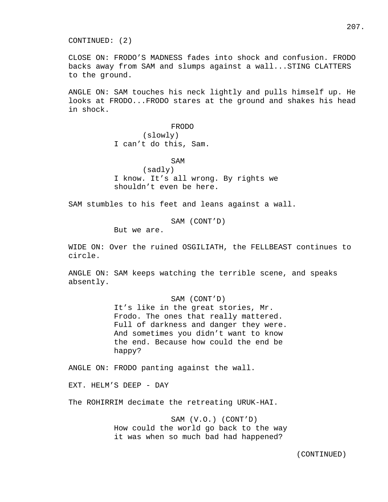CONTINUED: (2)

CLOSE ON: FRODO'S MADNESS fades into shock and confusion. FRODO backs away from SAM and slumps against a wall...STING CLATTERS to the ground.

ANGLE ON: SAM touches his neck lightly and pulls himself up. He looks at FRODO...FRODO stares at the ground and shakes his head in shock.

FRODO

 (slowly) I can't do this, Sam.

SAM (sadly) I know. It's all wrong. By rights we shouldn't even be here.

SAM stumbles to his feet and leans against a wall.

SAM (CONT'D)

But we are.

WIDE ON: Over the ruined OSGILIATH, the FELLBEAST continues to circle.

ANGLE ON: SAM keeps watching the terrible scene, and speaks absently.

SAM (CONT'D)

 It's like in the great stories, Mr. Frodo. The ones that really mattered. Full of darkness and danger they were. And sometimes you didn't want to know the end. Because how could the end be happy?

ANGLE ON: FRODO panting against the wall.

EXT. HELM'S DEEP - DAY

The ROHIRRIM decimate the retreating URUK-HAI.

 SAM (V.O.) (CONT'D) How could the world go back to the way it was when so much bad had happened?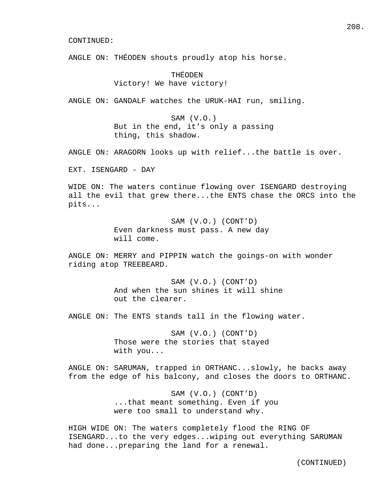ANGLE ON: THÉODEN shouts proudly atop his horse.

 THÉODEN Victory! We have victory!

ANGLE ON: GANDALF watches the URUK-HAI run, smiling.

 SAM (V.O.) But in the end, it's only a passing thing, this shadow.

ANGLE ON: ARAGORN looks up with relief...the battle is over.

EXT. ISENGARD - DAY

WIDE ON: The waters continue flowing over ISENGARD destroying all the evil that grew there...the ENTS chase the ORCS into the pits...

> SAM (V.O.) (CONT'D) Even darkness must pass. A new day will come.

ANGLE ON: MERRY and PIPPIN watch the goings-on with wonder riding atop TREEBEARD.

> SAM (V.O.) (CONT'D) And when the sun shines it will shine out the clearer.

ANGLE ON: The ENTS stands tall in the flowing water.

 SAM (V.O.) (CONT'D) Those were the stories that stayed with you...

ANGLE ON: SARUMAN, trapped in ORTHANC...slowly, he backs away from the edge of his balcony, and closes the doors to ORTHANC.

> SAM (V.O.) (CONT'D) ...that meant something. Even if you were too small to understand why.

HIGH WIDE ON: The waters completely flood the RING OF ISENGARD...to the very edges...wiping out everything SARUMAN had done...preparing the land for a renewal.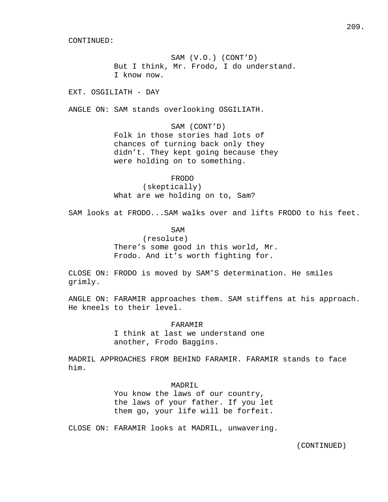SAM (V.O.) (CONT'D) But I think, Mr. Frodo, I do understand. I know now.

EXT. OSGILIATH - DAY

ANGLE ON: SAM stands overlooking OSGILIATH.

 SAM (CONT'D) Folk in those stories had lots of chances of turning back only they didn't. They kept going because they were holding on to something.

 FRODO (skeptically) What are we holding on to, Sam?

SAM looks at FRODO...SAM walks over and lifts FRODO to his feet.

SAM

 (resolute) There's some good in this world, Mr. Frodo. And it's worth fighting for.

CLOSE ON: FRODO is moved by SAM'S determination. He smiles grimly.

ANGLE ON: FARAMIR approaches them. SAM stiffens at his approach. He kneels to their level.

FARAMIR

 I think at last we understand one another, Frodo Baggins.

MADRIL APPROACHES FROM BEHIND FARAMIR. FARAMIR stands to face him.

MADRIL.

 You know the laws of our country, the laws of your father. If you let them go, your life will be forfeit.

CLOSE ON: FARAMIR looks at MADRIL, unwavering.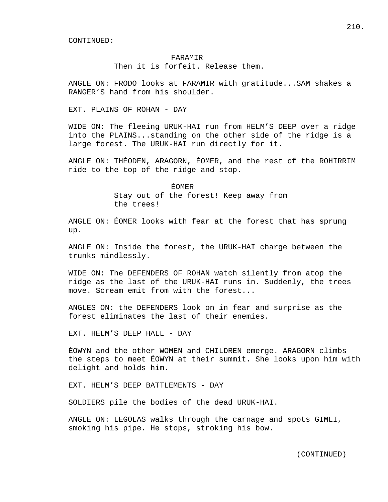## FARAMIR

Then it is forfeit. Release them.

ANGLE ON: FRODO looks at FARAMIR with gratitude...SAM shakes a RANGER'S hand from his shoulder.

EXT. PLAINS OF ROHAN - DAY

WIDE ON: The fleeing URUK-HAI run from HELM'S DEEP over a ridge into the PLAINS...standing on the other side of the ridge is a large forest. The URUK-HAI run directly for it.

ANGLE ON: THÉODEN, ARAGORN, ÉOMER, and the rest of the ROHIRRIM ride to the top of the ridge and stop.

> ÉOMER Stay out of the forest! Keep away from the trees!

ANGLE ON: ÉOMER looks with fear at the forest that has sprung up.

ANGLE ON: Inside the forest, the URUK-HAI charge between the trunks mindlessly.

WIDE ON: The DEFENDERS OF ROHAN watch silently from atop the ridge as the last of the URUK-HAI runs in. Suddenly, the trees move. Scream emit from with the forest...

ANGLES ON: the DEFENDERS look on in fear and surprise as the forest eliminates the last of their enemies.

EXT. HELM'S DEEP HALL - DAY

ÉOWYN and the other WOMEN and CHILDREN emerge. ARAGORN climbs the steps to meet ÉOWYN at their summit. She looks upon him with delight and holds him.

EXT. HELM'S DEEP BATTLEMENTS - DAY

SOLDIERS pile the bodies of the dead URUK-HAI.

ANGLE ON: LEGOLAS walks through the carnage and spots GIMLI, smoking his pipe. He stops, stroking his bow.

210.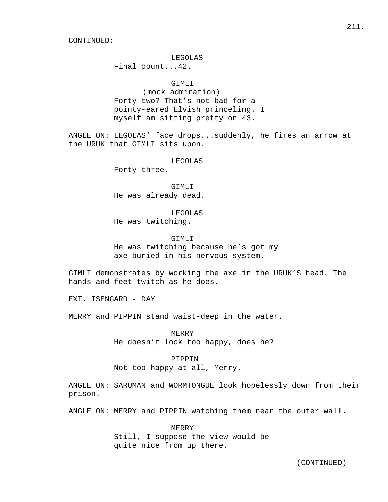## LEGOLAS

Final count...42.

# GIMLI

 (mock admiration) Forty-two? That's not bad for a pointy-eared Elvish princeling. I myself am sitting pretty on 43.

ANGLE ON: LEGOLAS' face drops...suddenly, he fires an arrow at the URUK that GIMLI sits upon.

LEGOLAS

Forty-three.

 GIMLI He was already dead.

 LEGOLAS He was twitching.

GIMLI

 He was twitching because he's got my axe buried in his nervous system.

GIMLI demonstrates by working the axe in the URUK'S head. The hands and feet twitch as he does.

EXT. ISENGARD - DAY

MERRY and PIPPIN stand waist-deep in the water.

 MERRY He doesn't look too happy, does he?

# PIPPIN

Not too happy at all, Merry.

ANGLE ON: SARUMAN and WORMTONGUE look hopelessly down from their prison.

ANGLE ON: MERRY and PIPPIN watching them near the outer wall.

 MERRY Still, I suppose the view would be quite nice from up there.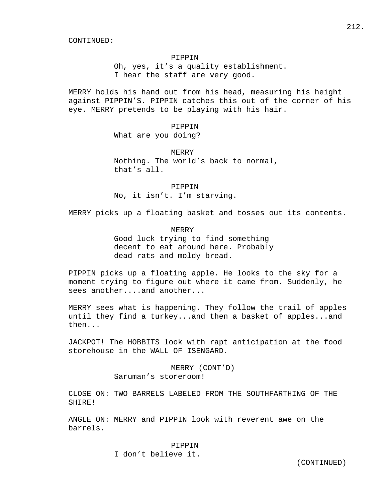## PIPPIN

 Oh, yes, it's a quality establishment. I hear the staff are very good.

MERRY holds his hand out from his head, measuring his height against PIPPIN'S. PIPPIN catches this out of the corner of his eye. MERRY pretends to be playing with his hair.

> PIPPIN What are you doing?

**MERRY**  Nothing. The world's back to normal, that's all.

 PIPPIN No, it isn't. I'm starving.

MERRY picks up a floating basket and tosses out its contents.

#### MERRY

 Good luck trying to find something decent to eat around here. Probably dead rats and moldy bread.

PIPPIN picks up a floating apple. He looks to the sky for a moment trying to figure out where it came from. Suddenly, he sees another....and another...

MERRY sees what is happening. They follow the trail of apples until they find a turkey...and then a basket of apples...and then...

JACKPOT! The HOBBITS look with rapt anticipation at the food storehouse in the WALL OF ISENGARD.

> MERRY (CONT'D) Saruman's storeroom!

CLOSE ON: TWO BARRELS LABELED FROM THE SOUTHFARTHING OF THE SHIRE!

ANGLE ON: MERRY and PIPPIN look with reverent awe on the barrels.

> PIPPIN I don't believe it.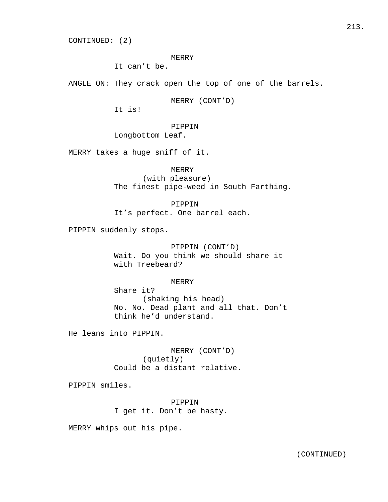CONTINUED: (2)

#### MERRY

It can't be.

ANGLE ON: They crack open the top of one of the barrels.

MERRY (CONT'D)

It is!

PIPPIN

Longbottom Leaf.

MERRY takes a huge sniff of it.

MERRY

 (with pleasure) The finest pipe-weed in South Farthing.

PIPPIN

It's perfect. One barrel each.

PIPPIN suddenly stops.

 PIPPIN (CONT'D) Wait. Do you think we should share it with Treebeard?

MERRY

 Share it? (shaking his head) No. No. Dead plant and all that. Don't think he'd understand.

He leans into PIPPIN.

 MERRY (CONT'D) (quietly) Could be a distant relative.

PIPPIN smiles.

 PIPPIN I get it. Don't be hasty.

MERRY whips out his pipe.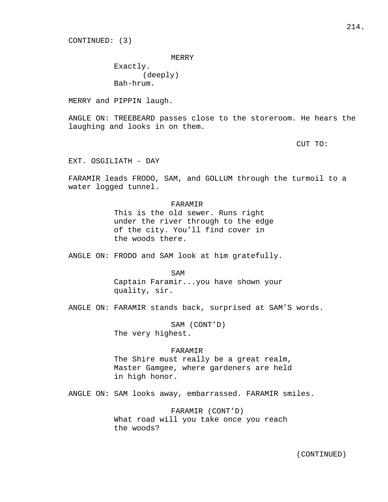CONTINUED: (3)

MERRY

 Exactly. (deeply) Bah-hrum.

MERRY and PIPPIN laugh.

ANGLE ON: TREEBEARD passes close to the storeroom. He hears the laughing and looks in on them.

CUT TO:

EXT. OSGILIATH - DAY

FARAMIR leads FRODO, SAM, and GOLLUM through the turmoil to a water logged tunnel.

FARAMIR

 This is the old sewer. Runs right under the river through to the edge of the city. You'll find cover in the woods there.

ANGLE ON: FRODO and SAM look at him gratefully.

SAM

 Captain Faramir...you have shown your quality, sir.

ANGLE ON: FARAMIR stands back, surprised at SAM'S words.

 SAM (CONT'D) The very highest.

#### FARAMIR

 The Shire must really be a great realm, Master Gamgee, where gardeners are held in high honor.

ANGLE ON: SAM looks away, embarrassed. FARAMIR smiles.

 FARAMIR (CONT'D) What road will you take once you reach the woods?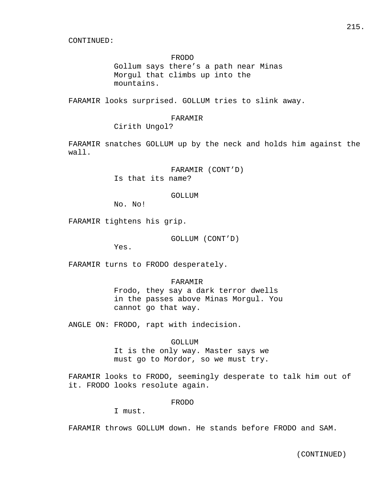#### FRODO

 Gollum says there's a path near Minas Morgul that climbs up into the mountains.

FARAMIR looks surprised. GOLLUM tries to slink away.

#### FARAMIR

Cirith Ungol?

FARAMIR snatches GOLLUM up by the neck and holds him against the wall.

> FARAMIR (CONT'D) Is that its name?

#### GOLLUM

No. No!

FARAMIR tightens his grip.

GOLLUM (CONT'D)

Yes.

FARAMIR turns to FRODO desperately.

FARAMIR

 Frodo, they say a dark terror dwells in the passes above Minas Morgul. You cannot go that way.

ANGLE ON: FRODO, rapt with indecision.

# GOLLUM

 It is the only way. Master says we must go to Mordor, so we must try.

FARAMIR looks to FRODO, seemingly desperate to talk him out of it. FRODO looks resolute again.

#### FRODO

I must.

FARAMIR throws GOLLUM down. He stands before FRODO and SAM.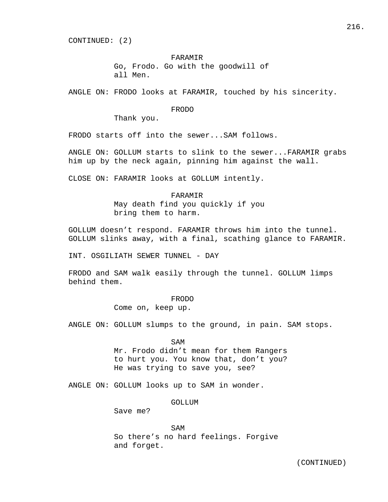CONTINUED: (2)

# FARAMIR

 Go, Frodo. Go with the goodwill of all Men.

ANGLE ON: FRODO looks at FARAMIR, touched by his sincerity.

## FRODO

Thank you.

FRODO starts off into the sewer...SAM follows.

ANGLE ON: GOLLUM starts to slink to the sewer...FARAMIR grabs him up by the neck again, pinning him against the wall.

CLOSE ON: FARAMIR looks at GOLLUM intently.

## FARAMIR

 May death find you quickly if you bring them to harm.

GOLLUM doesn't respond. FARAMIR throws him into the tunnel. GOLLUM slinks away, with a final, scathing glance to FARAMIR.

INT. OSGILIATH SEWER TUNNEL - DAY

FRODO and SAM walk easily through the tunnel. GOLLUM limps behind them.

FRODO

Come on, keep up.

ANGLE ON: GOLLUM slumps to the ground, in pain. SAM stops.

SAM

 Mr. Frodo didn't mean for them Rangers to hurt you. You know that, don't you? He was trying to save you, see?

ANGLE ON: GOLLUM looks up to SAM in wonder.

## GOLLUM

Save me?

SAM So there's no hard feelings. Forgive and forget.

216.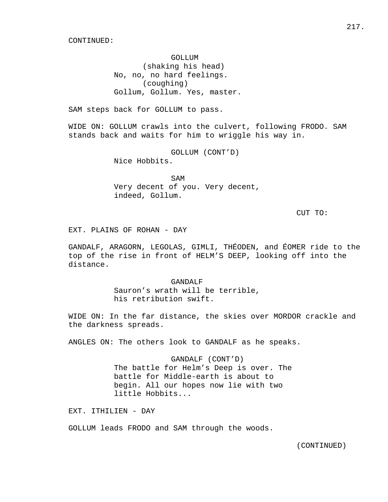GOLLUM (shaking his head) No, no, no hard feelings. (coughing) Gollum, Gollum. Yes, master.

SAM steps back for GOLLUM to pass.

WIDE ON: GOLLUM crawls into the culvert, following FRODO. SAM stands back and waits for him to wriggle his way in.

> GOLLUM (CONT'D) Nice Hobbits.

SAM Very decent of you. Very decent, indeed, Gollum.

CUT TO:

EXT. PLAINS OF ROHAN - DAY

GANDALF, ARAGORN, LEGOLAS, GIMLI, THÉODEN, and ÉOMER ride to the top of the rise in front of HELM'S DEEP, looking off into the distance.

> GANDALF Sauron's wrath will be terrible, his retribution swift.

WIDE ON: In the far distance, the skies over MORDOR crackle and the darkness spreads.

ANGLES ON: The others look to GANDALF as he speaks.

 GANDALF (CONT'D) The battle for Helm's Deep is over. The battle for Middle-earth is about to begin. All our hopes now lie with two little Hobbits...

EXT. ITHILIEN - DAY

GOLLUM leads FRODO and SAM through the woods.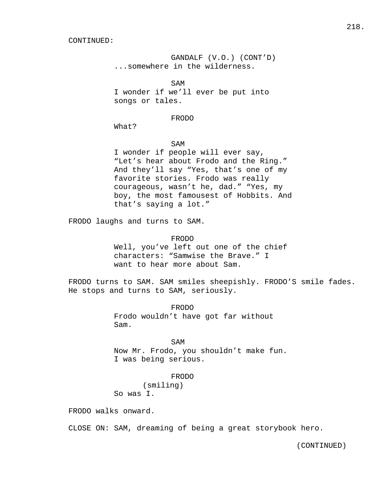GANDALF (V.O.) (CONT'D) ...somewhere in the wilderness.

SAM I wonder if we'll ever be put into songs or tales.

FRODO

What?

# SAM

 I wonder if people will ever say, "Let's hear about Frodo and the Ring." And they'll say "Yes, that's one of my favorite stories. Frodo was really courageous, wasn't he, dad." "Yes, my boy, the most famousest of Hobbits. And that's saying a lot."

FRODO laughs and turns to SAM.

#### FRODO

 Well, you've left out one of the chief characters: "Samwise the Brave." I want to hear more about Sam.

FRODO turns to SAM. SAM smiles sheepishly. FRODO'S smile fades. He stops and turns to SAM, seriously.

> FRODO Frodo wouldn't have got far without Sam.

SAM Now Mr. Frodo, you shouldn't make fun. I was being serious.

# FRODO

 (smiling) So was I.

FRODO walks onward.

CLOSE ON: SAM, dreaming of being a great storybook hero.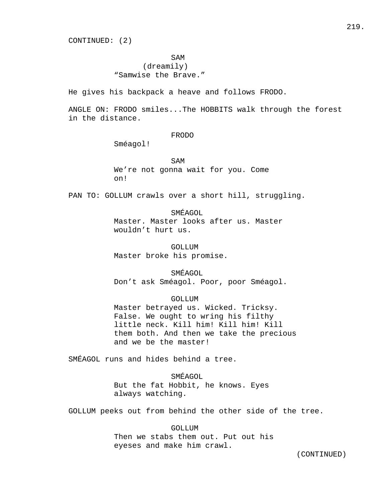CONTINUED: (2)

# SAM

# (dreamily) "Samwise the Brave."

He gives his backpack a heave and follows FRODO.

ANGLE ON: FRODO smiles...The HOBBITS walk through the forest in the distance.

FRODO

Sméagol!

SAM We're not gonna wait for you. Come on!

PAN TO: GOLLUM crawls over a short hill, struggling.

SMÉAGOL

 Master. Master looks after us. Master wouldn't hurt us.

 GOLLUM Master broke his promise.

 SMÉAGOL Don't ask Sméagol. Poor, poor Sméagol.

## GOLLUM

 Master betrayed us. Wicked. Tricksy. False. We ought to wring his filthy little neck. Kill him! Kill him! Kill them both. And then we take the precious and we be the master!

SMÉAGOL runs and hides behind a tree.

 SMÉAGOL But the fat Hobbit, he knows. Eyes always watching.

GOLLUM peeks out from behind the other side of the tree.

 GOLLUM Then we stabs them out. Put out his eyeses and make him crawl.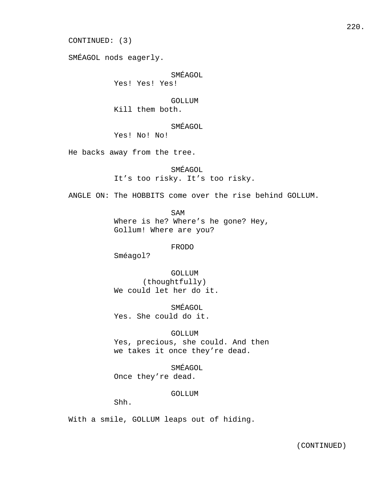CONTINUED: (3)

SMÉAGOL nods eagerly.

SMÉAGOL

Yes! Yes! Yes!

GOLLUM

Kill them both.

SMÉAGOL

Yes! No! No!

He backs away from the tree.

 SMÉAGOL It's too risky. It's too risky.

ANGLE ON: The HOBBITS come over the rise behind GOLLUM.

 SAM Where is he? Where's he gone? Hey, Gollum! Where are you?

FRODO

Sméagol?

 GOLLUM (thoughtfully) We could let her do it.

 SMÉAGOL Yes. She could do it.

 GOLLUM Yes, precious, she could. And then we takes it once they're dead.

 SMÉAGOL Once they're dead.

GOLLUM

Shh.

With a smile, GOLLUM leaps out of hiding.